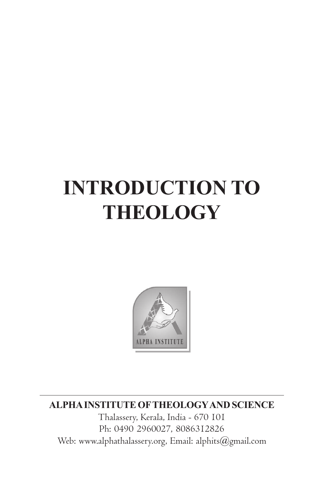# **INTRODUCTION TO THEOLOGY**



**ALPHA INSTITUTE OFTHEOLOGYAND SCIENCE**

Thalassery, Kerala, India - 670 101 Ph: 0490 2960027, 8086312826 Web: www.alphathalassery.org, Email: alphits@gmail.com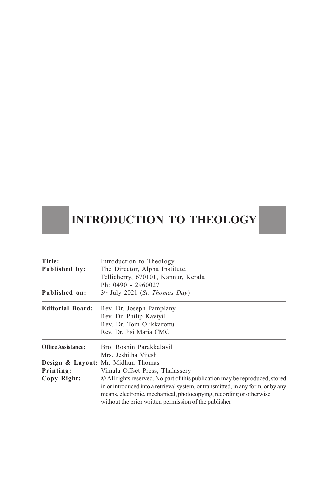## **INTRODUCTION TO THEOLOGY**

| Title:                    | Introduction to Theology                                                         |
|---------------------------|----------------------------------------------------------------------------------|
| Published by:             | The Director, Alpha Institute,                                                   |
|                           | Tellicherry, 670101, Kannur, Kerala                                              |
|                           | Ph: 0490 - 2960027<br>$3rd$ July 2021 ( <i>St. Thomas Day</i> )                  |
| Published on:             |                                                                                  |
| <b>Editorial Board:</b>   | Rev. Dr. Joseph Pamplany                                                         |
|                           | Rev. Dr. Philip Kaviyil                                                          |
|                           | Rev. Dr. Tom Olikkarottu                                                         |
|                           | Rev. Dr. Jisi Maria CMC                                                          |
| <b>Office Assistance:</b> | Bro. Roshin Parakkalayil                                                         |
|                           | Mrs. Jeshitha Vijesh                                                             |
|                           | Design & Layout: Mr. Midhun Thomas                                               |
| Printing:                 | Vimala Offset Press, Thalassery                                                  |
| Copy Right:               | © All rights reserved. No part of this publication may be reproduced, stored     |
|                           | in or introduced into a retrieval system, or transmitted, in any form, or by any |
|                           | means, electronic, mechanical, photocopying, recording or otherwise              |
|                           | without the prior written permission of the publisher                            |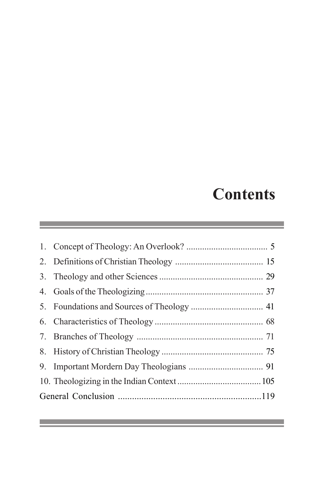## **Contents**

 $\mathcal{L}(\mathcal{L}(\mathcal{L}(\mathcal{L}(\mathcal{L}(\mathcal{L}(\mathcal{L}(\mathcal{L}(\mathcal{L}(\mathcal{L}(\mathcal{L}(\mathcal{L}(\mathcal{L}(\mathcal{L}(\mathcal{L}(\mathcal{L}(\mathcal{L}(\mathcal{L}(\mathcal{L}(\mathcal{L}(\mathcal{L}(\mathcal{L}(\mathcal{L}(\mathcal{L}(\mathcal{L}(\mathcal{L}(\mathcal{L}(\mathcal{L}(\mathcal{L}(\mathcal{L}(\mathcal{L}(\mathcal{L}(\mathcal{L}(\mathcal{L}(\mathcal{L}(\mathcal{L}(\mathcal{$ 

and the control of the control of the control of the control of the control of the control of the control of the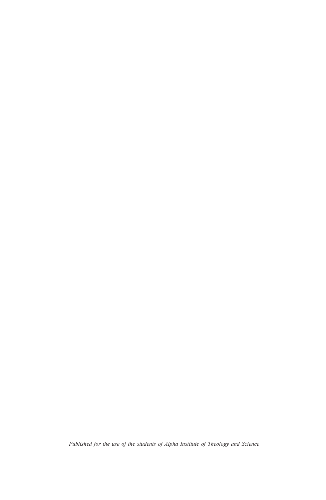*Published for the use of the students of Alpha Institute of Theology and Science*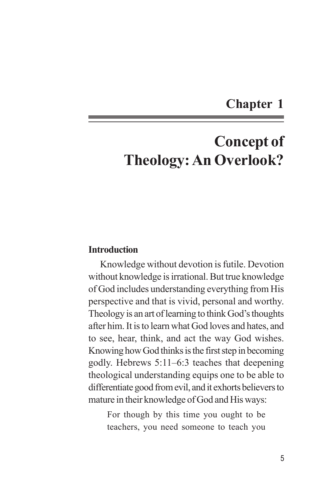## **Chapter 1**

## **Concept of Theology: An Overlook?**

#### **Introduction**

Knowledge without devotion is futile. Devotion without knowledge is irrational. But true knowledge of God includes understanding everything from His perspective and that is vivid, personal and worthy. Theology is an art of learning to think God's thoughts after him. It is to learn what God loves and hates, and to see, hear, think, and act the way God wishes. Knowing how God thinks is the first step in becoming godly. Hebrews 5:11–6:3 teaches that deepening theological understanding equips one to be able to differentiate good from evil, and it exhorts believers to mature in their knowledge of God and His ways:

For though by this time you ought to be teachers, you need someone to teach you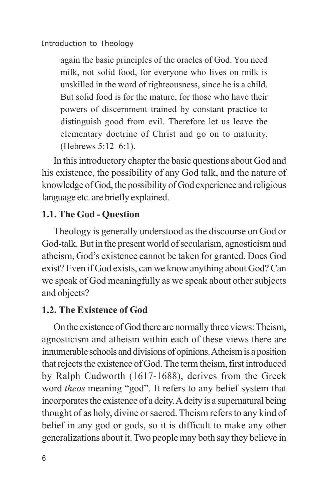again the basic principles of the oracles of God. You need milk, not solid food, for everyone who lives on milk is unskilled in the word of righteousness, since he is a child. But solid food is for the mature, for those who have their powers of discernment trained by constant practice to distinguish good from evil. Therefore let us leave the elementary doctrine of Christ and go on to maturity. (Hebrews 5:12–6:1).

In this introductory chapter the basic questions about God and his existence, the possibility of any God talk, and the nature of knowledge of God, the possibility of God experience and religious language etc. are briefly explained.

## **1.1. The God - Question**

Theology is generally understood as the discourse on God or God-talk. But in the present world of secularism, agnosticism and atheism, God's existence cannot be taken for granted. Does God exist? Even if God exists, can we know anything about God? Can we speak of God meaningfully as we speak about other subjects and objects?

## **1.2. The Existence of God**

On the existence of God there are normally three views: Theism, agnosticism and atheism within each of these views there are innumerable schools and divisions of opinions. Atheism is a position that rejects the existence of God. The term theism, first introduced by Ralph Cudworth (1617-1688), derives from the Greek word *theos* meaning "god". It refers to any belief system that incorporates the existence of a deity. A deity is a supernatural being thought of as holy, divine or sacred. Theism refers to any kind of belief in any god or gods, so it is difficult to make any other generalizations about it. Two people may both say they believe in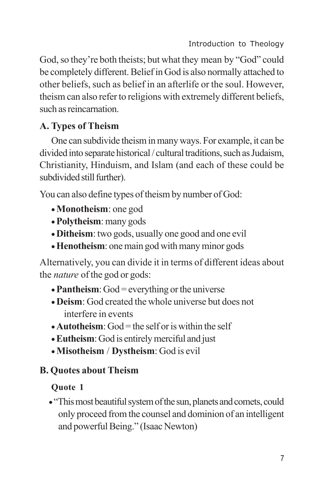God, so they're both theists; but what they mean by "God" could be completely different. Belief in God is also normally attached to other beliefs, such as belief in an afterlife or the soul. However, theism can also refer to religions with extremely different beliefs, such as reincarnation.

## **A. Types of Theism**

One can subdivide theism in many ways. For example, it can be divided into separate historical / cultural traditions, such as Judaism, Christianity, Hinduism, and Islam (and each of these could be subdivided still further).

You can also define types of theism by number of God:

- · **Monotheism**: one god
- · **Polytheism**: many gods
- · **Ditheism**: two gods, usually one good and one evil
- · **Henotheism**: one main god with many minor gods

Alternatively, you can divide it in terms of different ideas about the *nature* of the god or gods:

- **Pantheism**: God = everything or the universe
- · **Deism**: God created the whole universe but does not interfere in events
- $\bullet$  **Autotheism**: God = the self or is within the self
- · **Eutheism**: God is entirely merciful and just
- · **Misotheism** / **Dystheism**: God is evil

## **B. Quotes about Theism**

## **Quote 1**

· "This most beautiful system of the sun, planets and comets, could only proceed from the counsel and dominion of an intelligent and powerful Being." (Isaac Newton)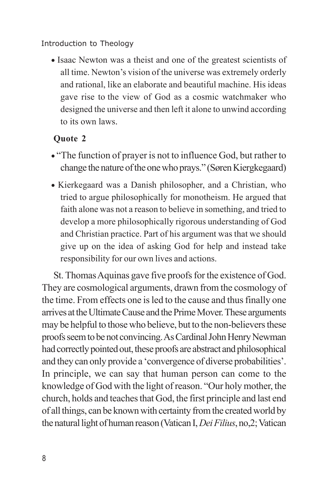· Isaac Newton was a theist and one of the greatest scientists of all time. Newton's vision of the universe was extremely orderly and rational, like an elaborate and beautiful machine. His ideas gave rise to the view of God as a cosmic watchmaker who designed the universe and then left it alone to unwind according to its own laws.

## **Quote 2**

- · "The function of prayer is not to influence God, but rather to change the nature of the one who prays." (Søren Kiergkegaard)
- · Kierkegaard was a Danish philosopher, and a Christian, who tried to argue philosophically for monotheism. He argued that faith alone was not a reason to believe in something, and tried to develop a more philosophically rigorous understanding of God and Christian practice. Part of his argument was that we should give up on the idea of asking God for help and instead take responsibility for our own lives and actions.

St. Thomas Aquinas gave five proofs for the existence of God. They are cosmological arguments, drawn from the cosmology of the time. From effects one is led to the cause and thus finally one arrives at the Ultimate Cause and the Prime Mover. These arguments may be helpful to those who believe, but to the non-believers these proofs seem to be not convincing. As Cardinal John Henry Newman had correctly pointed out, these proofs are abstract and philosophical and they can only provide a 'convergence of diverse probabilities'. In principle, we can say that human person can come to the knowledge of God with the light of reason. "Our holy mother, the church, holds and teaches that God, the first principle and last end of all things, can be known with certainty from the created world by the natural light of human reason (Vatican I, *Dei Filius*, no,2; Vatican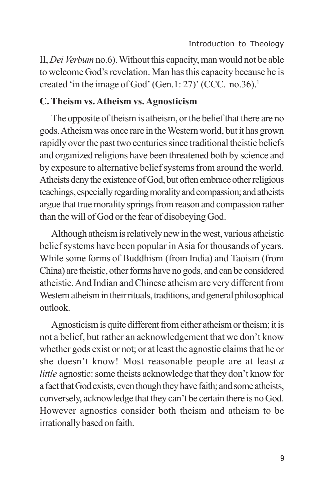II, *Dei Verbum* no.6). Without this capacity, man would not be able to welcome God's revelation. Man has this capacity because he is created 'in the image of God' (Gen.1: 27)' (CCC. no.36).<sup>1</sup>

#### **C. Theism vs. Atheism vs. Agnosticism**

The opposite of theism is atheism, or the belief that there are no gods. Atheism was once rare in the Western world, but it has grown rapidly over the past two centuries since traditional theistic beliefs and organized religions have been threatened both by science and by exposure to alternative belief systems from around the world. Atheists deny the existence of God, but often embrace other religious teachings, especially regarding morality and compassion; and atheists argue that true morality springs from reason and compassion rather than the will of God or the fear of disobeying God.

Although atheism is relatively new in the west, various atheistic belief systems have been popular in Asia for thousands of years. While some forms of Buddhism (from India) and Taoism (from China) are theistic, other forms have no gods, and can be considered atheistic. And Indian and Chinese atheism are very different from Western atheism in their rituals, traditions, and general philosophical outlook.

Agnosticism is quite different from either atheism or theism; it is not a belief, but rather an acknowledgement that we don't know whether gods exist or not; or at least the agnostic claims that he or she doesn't know! Most reasonable people are at least *a little* agnostic: some theists acknowledge that they don't know for a fact that God exists, even though they have faith; and some atheists, conversely, acknowledge that they can't be certain there is no God. However agnostics consider both theism and atheism to be irrationally based on faith.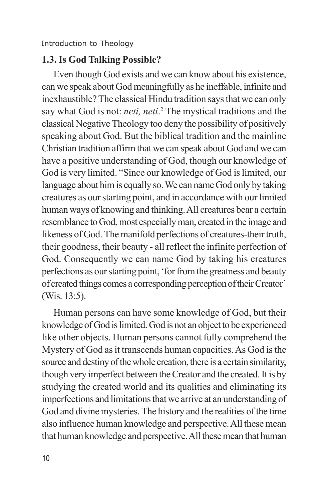#### **1.3. Is God Talking Possible?**

Even though God exists and we can know about his existence, can we speak about God meaningfully as he ineffable, infinite and inexhaustible? The classical Hindu tradition says that we can only say what God is not: *neti, neti*.<sup>2</sup> The mystical traditions and the classical Negative Theology too deny the possibility of positively speaking about God. But the biblical tradition and the mainline Christian tradition affirm that we can speak about God and we can have a positive understanding of God, though our knowledge of God is very limited. "Since our knowledge of God is limited, our language about him is equally so. We can name God only by taking creatures as our starting point, and in accordance with our limited human ways of knowing and thinking. All creatures bear a certain resemblance to God, most especially man, created in the image and likeness of God. The manifold perfections of creatures-their truth, their goodness, their beauty - all reflect the infinite perfection of God. Consequently we can name God by taking his creatures perfections as our starting point, 'for from the greatness and beauty of created things comes a corresponding perception of their Creator' (Wis. 13:5).

Human persons can have some knowledge of God, but their knowledge of God is limited. God is not an object to be experienced like other objects. Human persons cannot fully comprehend the Mystery of God as it transcends human capacities. As God is the source and destiny of the whole creation, there is a certain similarity, though very imperfect between the Creator and the created. It is by studying the created world and its qualities and eliminating its imperfections and limitations that we arrive at an understanding of God and divine mysteries. The history and the realities of the time also influence human knowledge and perspective. All these mean that human knowledge and perspective. All these mean that human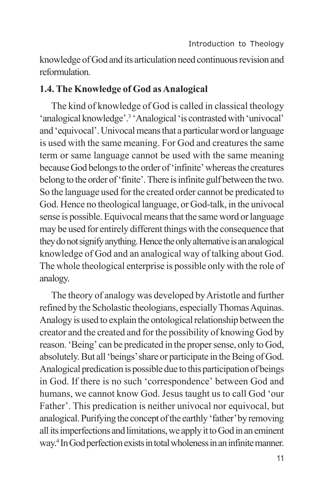knowledge of God and its articulation need continuous revision and reformulation.

### **1.4. The Knowledge of God as Analogical**

The kind of knowledge of God is called in classical theology 'analogical knowledge'.<sup>3</sup> 'Analogical 'is contrasted with 'univocal' and 'equivocal'. Univocal means that a particular word or language is used with the same meaning. For God and creatures the same term or same language cannot be used with the same meaning because God belongs to the order of 'infinite' whereas the creatures belong to the order of 'finite'. There is infinite gulf between the two. So the language used for the created order cannot be predicated to God. Hence no theological language, or God-talk, in the univocal sense is possible. Equivocal means that the same word or language may be used for entirely different things with the consequence that they do not signify anything. Hence the only alternative is an analogical knowledge of God and an analogical way of talking about God. The whole theological enterprise is possible only with the role of analogy.

The theory of analogy was developed by Aristotle and further refined by the Scholastic theologians, especially Thomas Aquinas. Analogy is used to explain the ontological relationship between the creator and the created and for the possibility of knowing God by reason. 'Being' can be predicated in the proper sense, only to God, absolutely. But all 'beings' share or participate in the Being of God. Analogical predication is possible due to this participation of beings in God. If there is no such 'correspondence' between God and humans, we cannot know God. Jesus taught us to call God 'our Father'. This predication is neither univocal nor equivocal, but analogical. Purifying the concept of the earthly 'father' by removing all its imperfections and limitations, we apply it to God in an eminent way. 4 In God perfection exists in total wholeness in an infinite manner.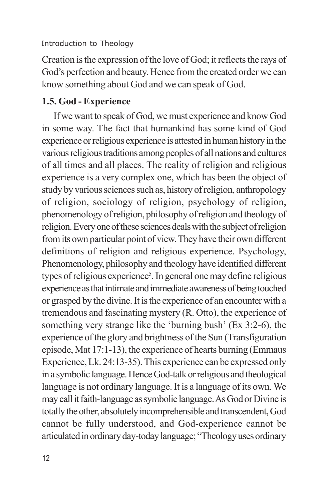Creation is the expression of the love of God; it reflects the rays of God's perfection and beauty. Hence from the created order we can know something about God and we can speak of God.

## **1.5. God - Experience**

If we want to speak of God, we must experience and know God in some way. The fact that humankind has some kind of God experience or religious experience is attested in human history in the various religious traditions among peoples of all nations and cultures of all times and all places. The reality of religion and religious experience is a very complex one, which has been the object of study by various sciences such as, history of religion, anthropology of religion, sociology of religion, psychology of religion, phenomenology of religion, philosophy of religion and theology of religion. Every one of these sciences deals with the subject of religion from its own particular point of view. They have their own different definitions of religion and religious experience. Psychology, Phenomenology, philosophy and theology have identified different types of religious experience<sup>5</sup>. In general one may define religious experience as that intimate and immediate awareness of being touched or grasped by the divine. It is the experience of an encounter with a tremendous and fascinating mystery (R. Otto), the experience of something very strange like the 'burning bush' (Ex 3:2-6), the experience of the glory and brightness of the Sun (Transfiguration episode, Mat 17:1-13), the experience of hearts burning (Emmaus Experience, Lk. 24:13-35). This experience can be expressed only in a symbolic language. Hence God-talk or religious and theological language is not ordinary language. It is a language of its own. We may call it faith-language as symbolic language. As God or Divine is totally the other, absolutely incomprehensible and transcendent, God cannot be fully understood, and God-experience cannot be articulated in ordinary day-today language; "Theology uses ordinary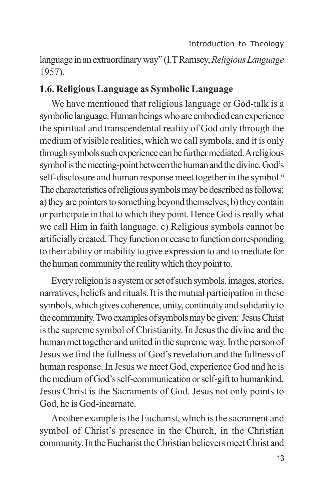language in an extraordinary way" (I.T Ramsey, *Religious Language* 1957).

#### **1.6. Religious Language as Symbolic Language**

We have mentioned that religious language or God-talk is a symbolic language. Human beings who are embodied can experience the spiritual and transcendental reality of God only through the medium of visible realities, which we call symbols, and it is only through symbols such experience can be further mediated. A religious symbol is the meeting-point between the human and the divine. God's self-disclosure and human response meet together in the symbol.<sup>6</sup> The characteristics of religious symbols may be described as follows: a) they are pointers to something beyond themselves; b) they contain or participate in that to which they point. Hence God is really what we call Him in faith language. c) Religious symbols cannot be artificially created. They function or cease to function corresponding to their ability or inability to give expression to and to mediate for the human community the reality which they point to.

Every religion is a system or set of such symbols, images, stories, narratives, beliefs and rituals. It is the mutual participation in these symbols, which gives coherence, unity, continuity and solidarity to the community. Two examples of symbols may be given: Jesus Christ is the supreme symbol of Christianity. In Jesus the divine and the human met together and united in the supreme way. In the person of Jesus we find the fullness of God's revelation and the fullness of human response. In Jesus we meet God, experience God and he is the medium of God's self-communication or self-gift to humankind. Jesus Christ is the Sacraments of God. Jesus not only points to God, he is God-incarnate.

Another example is the Eucharist, which is the sacrament and symbol of Christ's presence in the Church, in the Christian community. In the Eucharist the Christian believers meet Christ and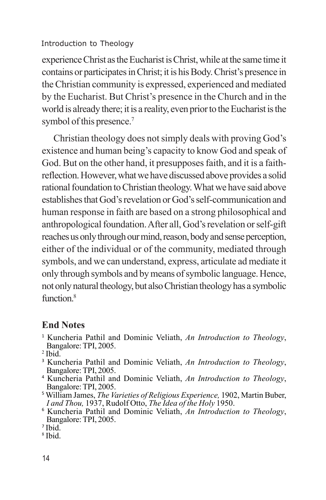experience Christ as the Eucharist is Christ, while at the same time it contains or participates in Christ; it is his Body. Christ's presence in the Christian community is expressed, experienced and mediated by the Eucharist. But Christ's presence in the Church and in the world is already there; it is a reality, even prior to the Eucharist is the symbol of this presence.<sup>7</sup>

Christian theology does not simply deals with proving God's existence and human being's capacity to know God and speak of God. But on the other hand, it presupposes faith, and it is a faithreflection. However, what we have discussed above provides a solid rational foundation to Christian theology. What we have said above establishes that God's revelation or God's self-communication and human response in faith are based on a strong philosophical and anthropological foundation. After all, God's revelation or self-gift reaches us only through our mind, reason, body and sense perception, either of the individual or of the community, mediated through symbols, and we can understand, express, articulate ad mediate it only through symbols and by means of symbolic language. Hence, not only natural theology, but also Christian theology has a symbolic function.<sup>8</sup>

## **End Notes**

- <sup>1</sup> Kuncheria Pathil and Dominic Veliath, *An Introduction to Theology*, Bangalore: TPI, 2005.
- $<sup>2</sup>$  Ibid.</sup>
- <sup>3</sup> Kuncheria Pathil and Dominic Veliath, *An Introduction to Theology*, Bangalore: TPI, 2005.
- <sup>4</sup> Kuncheria Pathil and Dominic Veliath, *An Introduction to Theology*, Bangalore: TPI, 2005.
- <sup>5</sup> William James, *The Varieties of Religious Experience,* 1902, Martin Buber, *I and Thou,* 1937, Rudolf Otto, *The Idea of the Holy* 1950.
- <sup>6</sup> Kuncheria Pathil and Dominic Veliath, *An Introduction to Theology*, Bangalore: TPI, 2005.

8 Ibid.

<sup>7</sup> Ibid.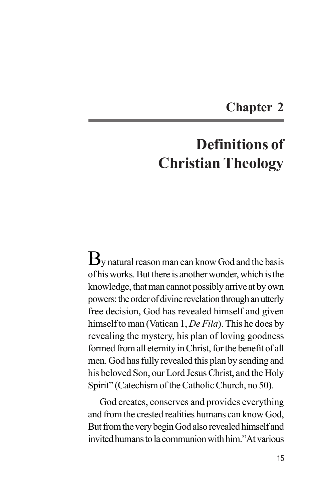## **Chapter 2**

## **Definitions of Christian Theology**

 $B_{\rm V}$  natural reason man can know God and the basis of his works. But there is another wonder, which is the knowledge, that man cannot possibly arrive at by own powers: the order of divine revelation through an utterly free decision, God has revealed himself and given himself to man (Vatican 1, *De Fila*). This he does by revealing the mystery, his plan of loving goodness formed from all eternity in Christ, for the benefit of all men. God has fully revealed this plan by sending and his beloved Son, our Lord Jesus Christ, and the Holy Spirit" (Catechism of the Catholic Church, no 50).

God creates, conserves and provides everything and from the crested realities humans can know God, But from the very begin God also revealed himself and invited humans to la communion with him."At various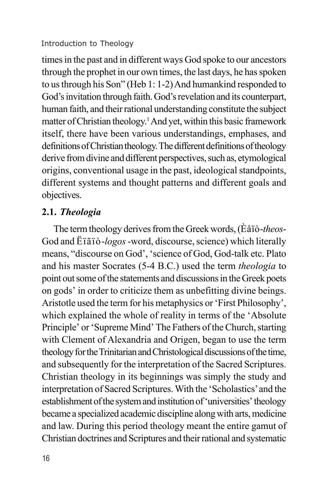times in the past and in different ways God spoke to our ancestors through the prophet in our own times, the last days, he has spoken to us through his Son" (Heb 1: 1-2) And humankind responded to God's invitation through faith. God's revelation and its counterpart, human faith, and their rational understanding constitute the subject matter of Christian theology. <sup>1</sup>And yet, within this basic framework itself, there have been various understandings, emphases, and definitions of Christian theology. The different definitions of theology derive from divine and different perspectives, such as, etymological origins, conventional usage in the past, ideological standpoints, different systems and thought patterns and different goals and objectives.

## **2.1.** *Theologia*

The term theology derives from the Greek words, (Èåïò-*theos*-God and Ëïãïò-*logos* -word, discourse, science) which literally means, "discourse on God', 'science of God, God-talk etc. Plato and his master Socrates (5-4 B.C.) used the term *theologia* to point out some of the statements and discussions in the Greek poets on gods' in order to criticize them as unbefitting divine beings. Aristotle used the term for his metaphysics or 'First Philosophy', which explained the whole of reality in terms of the 'Absolute Principle' or 'Supreme Mind' The Fathers of the Church, starting with Clement of Alexandria and Origen, began to use the term theology for the Trinitarian and Christological discussions of the time, and subsequently for the interpretation of the Sacred Scriptures. Christian theology in its beginnings was simply the study and interpretation of Sacred Scriptures. With the 'Scholastics' and the establishment of the system and institution of 'universities' theology became a specialized academic discipline along with arts, medicine and law. During this period theology meant the entire gamut of Christian doctrines and Scriptures and their rational and systematic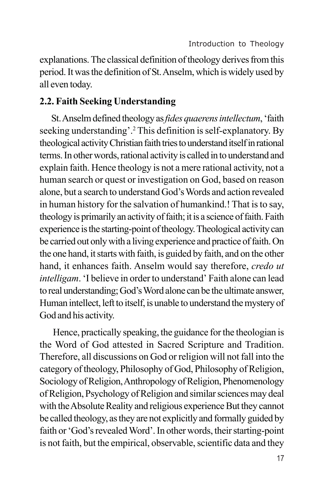explanations. The classical definition of theology derives from this period. It was the definition of St. Anselm, which is widely used by all even today.

## **2.2. Faith Seeking Understanding**

St. Anselm defined theology as *fides quaerens intellectum*, 'faith seeking understanding'.<sup>2</sup> This definition is self-explanatory. By theological activity Christian faith tries to understand itself in rational terms. In other words, rational activity is called in to understand and explain faith. Hence theology is not a mere rational activity, not a human search or quest or investigation on God, based on reason alone, but a search to understand God's Words and action revealed in human history for the salvation of humankind.! That is to say, theology is primarily an activity of faith; it is a science of faith. Faith experience is the starting-point of theology. Theological activity can be carried out only with a living experience and practice of faith. On the one hand, it starts with faith, is guided by faith, and on the other hand, it enhances faith. Anselm would say therefore, *credo ut intelligam*. 'I believe in order to understand' Faith alone can lead to real understanding; God's Word alone can be the ultimate answer, Human intellect, left to itself, is unable to understand the mystery of God and his activity.

 Hence, practically speaking, the guidance for the theologian is the Word of God attested in Sacred Scripture and Tradition. Therefore, all discussions on God or religion will not fall into the category of theology, Philosophy of God, Philosophy of Religion, Sociology of Religion, Anthropology of Religion, Phenomenology of Religion, Psychology of Religion and similar sciences may deal with the Absolute Reality and religious experience But they cannot be called theology, as they are not explicitly and formally guided by faith or 'God's revealed Word'. In other words, their starting-point is not faith, but the empirical, observable, scientific data and they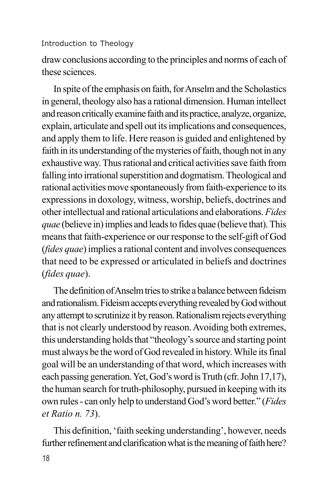draw conclusions according to the principles and norms of each of these sciences.

In spite of the emphasis on faith, for Anselm and the Scholastics in general, theology also has a rational dimension. Human intellect and reason critically examine faith and its practice, analyze, organize, explain, articulate and spell out its implications and consequences, and apply them to life. Here reason is guided and enlightened by faith in its understanding of the mysteries of faith, though not in any exhaustive way. Thus rational and critical activities save faith from falling into irrational superstition and dogmatism. Theological and rational activities move spontaneously from faith-experience to its expressions in doxology, witness, worship, beliefs, doctrines and other intellectual and rational articulations and elaborations. *Fides quae* (believe in) implies and leads to fides quae (believe that). This means that faith-experience or our response to the self-gift of God (*fides quae*) implies a rational content and involves consequences that need to be expressed or articulated in beliefs and doctrines (*fides quae*).

The definition of Anselm tries to strike a balance between fideism and rationalism. Fideism accepts everything revealed by God without any attempt to scrutinize it by reason. Rationalism rejects everything that is not clearly understood by reason. Avoiding both extremes, this understanding holds that "theology's source and starting point must always be the word of God revealed in history. While its final goal will be an understanding of that word, which increases with each passing generation. Yet, God's word is Truth (cfr. John 17,17), the human search for truth-philosophy, pursued in keeping with its own rules - can only help to understand God's word better." (*Fides et Ratio n. 73*).

This definition, 'faith seeking understanding', however, needs further refinement and clarification what is the meaning of faith here?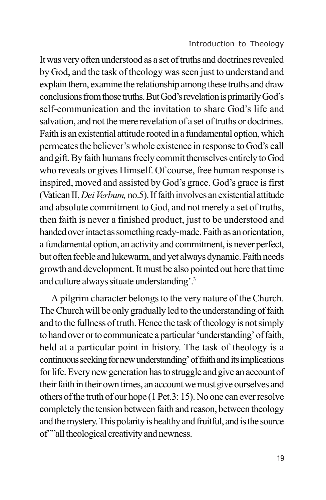It was very often understood as a set of truths and doctrines revealed by God, and the task of theology was seen just to understand and explain them, examine the relationship among these truths and draw conclusions from those truths. But God's revelation is primarily God's self-communication and the invitation to share God's life and salvation, and not the mere revelation of a set of truths or doctrines. Faith is an existential attitude rooted in a fundamental option, which permeates the believer's whole existence in response to God's call and gift. By faith humans freely commit themselves entirely to God who reveals or gives Himself. Of course, free human response is inspired, moved and assisted by God's grace. God's grace is first (Vatican II, *Dei Verbum,* no.5). If faith involves an existential attitude and absolute commitment to God, and not merely a set of truths, then faith is never a finished product, just to be understood and handed over intact as something ready-made. Faith as an orientation, a fundamental option, an activity and commitment, is never perfect, but often feeble and lukewarm, and yet always dynamic. Faith needs growth and development. It must be also pointed out here that time and culture always situate understanding'.<sup>3</sup>

A pilgrim character belongs to the very nature of the Church. The Church will be only gradually led to the understanding of faith and to the fullness of truth. Hence the task of theology is not simply to hand over or to communicate a particular 'understanding' of faith, held at a particular point in history. The task of theology is a continuous seeking for new understanding' of faith and its implications for life. Every new generation has to struggle and give an account of their faith in their own times, an account we must give ourselves and others of the truth of our hope (1 Pet.3: 15). No one can ever resolve completely the tension between faith and reason, between theology and the mystery. This polarity is healthy and fruitful, and is the source of""all theological creativity and newness.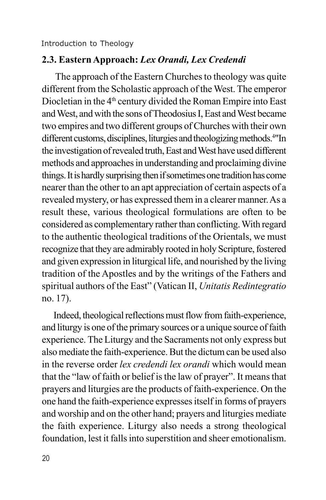#### **2.3. Eastern Approach:** *Lex Orandi, Lex Credendi*

 The approach of the Eastern Churches to theology was quite different from the Scholastic approach of the West. The emperor Diocletian in the 4<sup>th</sup> century divided the Roman Empire into East and West, and with the sons of Theodosius I, East and West became two empires and two different groups of Churches with their own different customs, disciplines, liturgies and theologizing methods.<sup>4"</sup>In the investigation of revealed truth, East and West have used different methods and approaches in understanding and proclaiming divine things. It is hardly surprising then if sometimes one tradition has come nearer than the other to an apt appreciation of certain aspects of a revealed mystery, or has expressed them in a clearer manner. As a result these, various theological formulations are often to be considered as complementary rather than conflicting. With regard to the authentic theological traditions of the Orientals, we must recognize that they are admirably rooted in holy Scripture, fostered and given expression in liturgical life, and nourished by the living tradition of the Apostles and by the writings of the Fathers and spiritual authors of the East" (Vatican II, *Unitatis Redintegratio* no. 17).

Indeed, theological reflections must flow from faith-experience, and liturgy is one of the primary sources or a unique source of faith experience. The Liturgy and the Sacraments not only express but also mediate the faith-experience. But the dictum can be used also in the reverse order *lex credendi lex orandi* which would mean that the "law of faith or belief is the law of prayer". It means that prayers and liturgies are the products of faith-experience. On the one hand the faith-experience expresses itself in forms of prayers and worship and on the other hand; prayers and liturgies mediate the faith experience. Liturgy also needs a strong theological foundation, lest it falls into superstition and sheer emotionalism.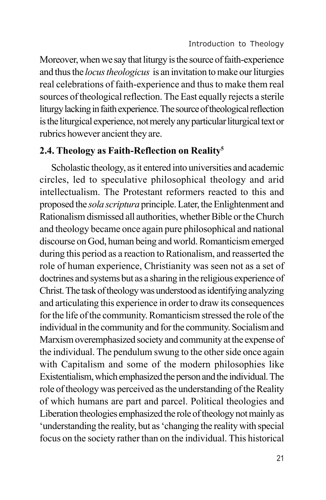Moreover, when we say that liturgy is the source of faith-experience and thus the *locus theologicus* is an invitation to make our liturgies real celebrations of faith-experience and thus to make them real sources of theological reflection. The East equally rejects a sterile liturgy lacking in faith experience. The source of theological reflection is the liturgical experience, not merely any particular liturgical text or rubrics however ancient they are.

### **2.4. Theology as Faith-Reflection on Reality<sup>5</sup>**

Scholastic theology, as it entered into universities and academic circles, led to speculative philosophical theology and arid intellectualism. The Protestant reformers reacted to this and proposed the *sola scriptura* principle. Later, the Enlightenment and Rationalism dismissed all authorities, whether Bible or the Church and theology became once again pure philosophical and national discourse on God, human being and world. Romanticism emerged during this period as a reaction to Rationalism, and reasserted the role of human experience, Christianity was seen not as a set of doctrines and systems but as a sharing in the religious experience of Christ. The task of theology was understood as identifying analyzing and articulating this experience in order to draw its consequences for the life of the community. Romanticism stressed the role of the individual in the community and for the community. Socialism and Marxism overemphasized society and community at the expense of the individual. The pendulum swung to the other side once again with Capitalism and some of the modern philosophies like Existentialism, which emphasized the person and the individual. The role of theology was perceived as the understanding of the Reality of which humans are part and parcel. Political theologies and Liberation theologies emphasized the role of theology not mainly as 'understanding the reality, but as 'changing the reality with special focus on the society rather than on the individual. This historical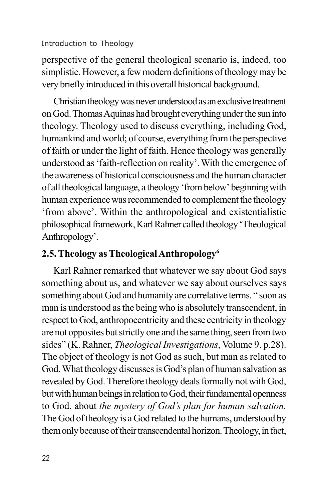perspective of the general theological scenario is, indeed, too simplistic. However, a few modern definitions of theology may be very briefly introduced in this overall historical background.

Christian theology was never understood as an exclusive treatment on God. Thomas Aquinas had brought everything under the sun into theology. Theology used to discuss everything, including God, humankind and world; of course, everything from the perspective of faith or under the light of faith. Hence theology was generally understood as 'faith-reflection on reality'. With the emergence of the awareness of historical consciousness and the human character of all theological language, a theology 'from below' beginning with human experience was recommended to complement the theology 'from above'. Within the anthropological and existentialistic philosophical framework, Karl Rahner called theology 'Theological Anthropology'.

## **2.5. Theology as Theological Anthropology<sup>6</sup>**

Karl Rahner remarked that whatever we say about God says something about us, and whatever we say about ourselves says something about God and humanity are correlative terms. " soon as man is understood as the being who is absolutely transcendent, in respect to God, anthropocentricity and these centricity in theology are not opposites but strictly one and the same thing, seen from two sides" (K. Rahner, *Theological Investigations*, Volume 9. p.28). The object of theology is not God as such, but man as related to God. What theology discusses is God's plan of human salvation as revealed by God. Therefore theology deals formally not with God, but with human beings in relation to God, their fundamental openness to God, about *the mystery of God's plan for human salvation.* The God of theology is a God related to the humans, understood by them only because of their transcendental horizon. Theology, in fact,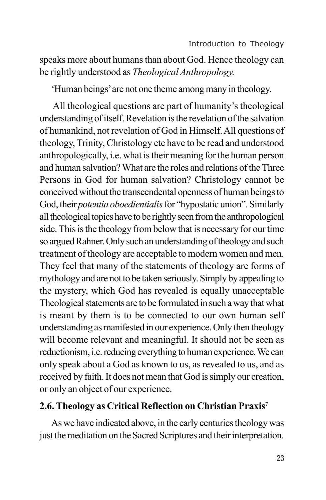speaks more about humans than about God. Hence theology can be rightly understood as *Theological Anthropology.*

'Human beings' are not one theme among many in theology.

All theological questions are part of humanity's theological understanding of itself. Revelation is the revelation of the salvation of humankind, not revelation of God in Himself. All questions of theology, Trinity, Christology etc have to be read and understood anthropologically, i.e. what is their meaning for the human person and human salvation? What are the roles and relations of the Three Persons in God for human salvation? Christology cannot be conceived without the transcendental openness of human beings to God, their *potentia oboedientialis* for "hypostatic union". Similarly all theological topics have to be rightly seen from the anthropological side. This is the theology from below that is necessary for our time so argued Rahner. Only such an understanding of theology and such treatment of theology are acceptable to modern women and men. They feel that many of the statements of theology are forms of mythology and are not to be taken seriously. Simply by appealing to the mystery, which God has revealed is equally unacceptable Theological statements are to be formulated in such a way that what is meant by them is to be connected to our own human self understanding as manifested in our experience. Only then theology will become relevant and meaningful. It should not be seen as reductionism, i.e. reducing everything to human experience. We can only speak about a God as known to us, as revealed to us, and as received by faith. It does not mean that God is simply our creation, or only an object of our experience.

#### **2.6. Theology as Critical Reflection on Christian Praxis<sup>7</sup>**

As we have indicated above, in the early centuries theology was just the meditation on the Sacred Scriptures and their interpretation.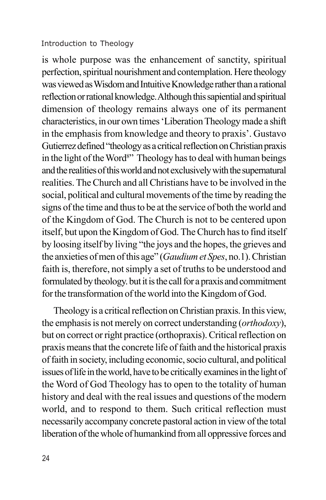is whole purpose was the enhancement of sanctity, spiritual perfection, spiritual nourishment and contemplation. Here theology was viewed as Wisdom and Intuitive Knowledge rather than a rational reflection or rational knowledge. Although this sapiential and spiritual dimension of theology remains always one of its permanent characteristics, in our own times 'Liberation Theology made a shift in the emphasis from knowledge and theory to praxis'. Gustavo Gutierrez defined "theology as a critical reflection on Christian praxis in the light of the Word<sup>8</sup>" Theology has to deal with human beings and the realities of this world and not exclusively with the supernatural realities. The Church and all Christians have to be involved in the social, political and cultural movements of the time by reading the signs of the time and thus to be at the service of both the world and of the Kingdom of God. The Church is not to be centered upon itself, but upon the Kingdom of God. The Church has to find itself by loosing itself by living "the joys and the hopes, the grieves and the anxieties of men of this age" (*Gaudium et Spes*, no.1). Christian faith is, therefore, not simply a set of truths to be understood and formulated by theology. but it is the call for a praxis and commitment for the transformation of the world into the Kingdom of God.

Theology is a critical reflection on Christian praxis. In this view, the emphasis is not merely on correct understanding (*orthodoxy*), but on correct or right practice (orthopraxis). Critical reflection on praxis means that the concrete life of faith and the historical praxis of faith in society, including economic, socio cultural, and political issues of life in the world, have to be critically examines in the light of the Word of God Theology has to open to the totality of human history and deal with the real issues and questions of the modern world, and to respond to them. Such critical reflection must necessarily accompany concrete pastoral action in view of the total liberation of the whole of humankind from all oppressive forces and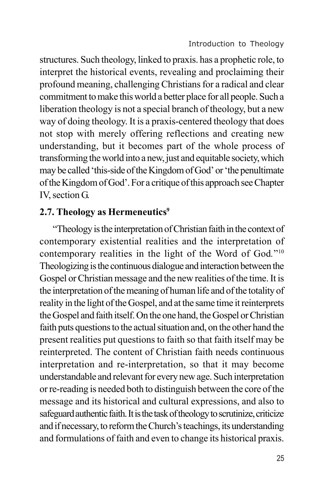structures. Such theology, linked to praxis. has a prophetic role, to interpret the historical events, revealing and proclaiming their profound meaning, challenging Christians for a radical and clear commitment to make this world a better place for all people. Such a liberation theology is not a special branch of theology, but a new way of doing theology. It is a praxis-centered theology that does not stop with merely offering reflections and creating new understanding, but it becomes part of the whole process of transforming the world into a new, just and equitable society, which may be called 'this-side of the Kingdom of God' or 'the penultimate of the Kingdom of God'. For a critique of this approach see Chapter IV, section G.

## **2.7. Theology as Hermeneutics<sup>9</sup>**

 "Theology is the interpretation of Christian faith in the context of contemporary existential realities and the interpretation of contemporary realities in the light of the Word of God*.*" 10 Theologizing is the continuous dialogue and interaction between the Gospel or Christian message and the new realities of the time. It is the interpretation of the meaning of human life and of the totality of reality in the light of the Gospel, and at the same time it reinterprets the Gospel and faith itself. On the one hand, the Gospel or Christian faith puts questions to the actual situation and, on the other hand the present realities put questions to faith so that faith itself may be reinterpreted. The content of Christian faith needs continuous interpretation and re-interpretation, so that it may become understandable and relevant for every new age. Such interpretation or re-reading is needed both to distinguish between the core of the message and its historical and cultural expressions, and also to safeguard authentic faith. It is the task of theology to scrutinize, criticize and if necessary, to reform the Church's teachings, its understanding and formulations of faith and even to change its historical praxis.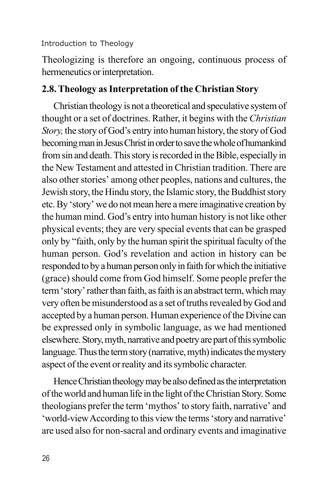Theologizing is therefore an ongoing, continuous process of hermeneutics or interpretation.

### **2.8. Theology as Interpretation of the Christian Story**

Christian theology is not a theoretical and speculative system of thought or a set of doctrines. Rather, it begins with the *Christian Story,* the story of God's entry into human history, the story of God becoming man in Jesus Christ in order to save the whole of humankind from sin and death. This story is recorded in the Bible, especially in the New Testament and attested in Christian tradition. There are also other stories' among other peoples, nations and cultures, the Jewish story, the Hindu story, the Islamic story, the Buddhist story etc. By 'story' we do not mean here a mere imaginative creation by the human mind. God's entry into human history is not like other physical events; they are very special events that can be grasped only by "faith, only by the human spirit the spiritual faculty of the human person. God's revelation and action in history can be responded to by a human person only in faith for which the initiative (grace) should come from God himself. Some people prefer the term 'story' rather than faith, as faith is an abstract term, which may very often be misunderstood as a set of truths revealed by God and accepted by a human person. Human experience of the Divine can be expressed only in symbolic language, as we had mentioned elsewhere. Story, myth, narrative and poetry are part of this symbolic language. Thus the term story (narrative, myth) indicates the mystery aspect of the event or reality and its symbolic character.

Hence Christian theology may be also defined as the interpretation of the world and human life in the light of the Christian Story. Some theologians prefer the term 'mythos' to story faith, narrative' and 'world-view According to this view the terms 'story and narrative' are used also for non-sacral and ordinary events and imaginative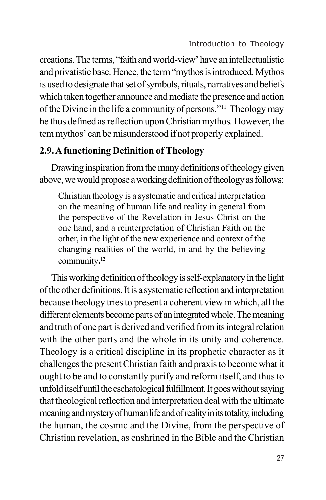creations. The terms, "faith and world-view' have an intellectualistic and privatistic base. Hence, the term "mythos is introduced. Mythos is used to designate that set of symbols, rituals, narratives and beliefs which taken together announce and mediate the presence and action of the Divine in the life a community of persons."<sup>11</sup> Theology may he thus defined as reflection upon Christian mythos*.* However, the tem mythos' can be misunderstood if not properly explained.

## **2.9. A functioning Definition of Theology**

Drawing inspiration from the many definitions of theology given above, we would propose a working definition of theology as follows:

Christian theology is a systematic and critical interpretation on the meaning of human life and reality in general from the perspective of the Revelation in Jesus Christ on the one hand, and a reinterpretation of Christian Faith on the other, in the light of the new experience and context of the changing realities of the world, in and by the believing community**. 12**

This working definition of theology is self-explanatory in the light of the other definitions. It is a systematic reflection and interpretation because theology tries to present a coherent view in which, all the different elements become parts of an integrated whole. The meaning and truth of one part is derived and verified from its integral relation with the other parts and the whole in its unity and coherence. Theology is a critical discipline in its prophetic character as it challenges the present Christian faith and praxis to become what it ought to be and to constantly purify and reform itself, and thus to unfold itself until the eschatological fulfillment. It goes without saying that theological reflection and interpretation deal with the ultimate meaning and mystery of human life and of reality in its totality, including the human, the cosmic and the Divine, from the perspective of Christian revelation, as enshrined in the Bible and the Christian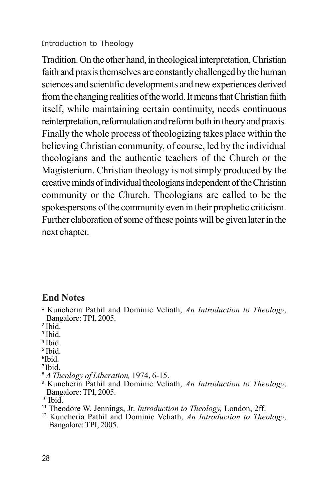Tradition. On the other hand, in theological interpretation, Christian faith and praxis themselves are constantly challenged by the human sciences and scientific developments and new experiences derived from the changing realities of the world. It means that Christian faith itself, while maintaining certain continuity, needs continuous reinterpretation, reformulation and reform both in theory and praxis. Finally the whole process of theologizing takes place within the believing Christian community, of course, led by the individual theologians and the authentic teachers of the Church or the Magisterium. Christian theology is not simply produced by the creative minds of individual theologians independent of the Christian community or the Church. Theologians are called to be the spokespersons of the community even in their prophetic criticism. Further elaboration of some of these points will be given later in the next chapter.

#### **End Notes**

<sup>1</sup> Kuncheria Pathil and Dominic Veliath, *An Introduction to Theology*, Bangalore: TPI, 2005.

2 Ibid.

- 3 Ibid.
- 4 Ibid.
- 5 Ibid.
- 6 Ibid.
- <sup>7</sup>Ibid.
- <sup>8</sup> *A Theology of Liberation,* 1974, 6-15.
- <sup>9</sup> Kuncheria Pathil and Dominic Veliath, *An Introduction to Theology*, Bangalore: TPI, 2005.
- $10$  Ibid.
- <sup>11</sup> Theodore W. Jennings, Jr. *Introduction to Theology,* London, 2ff.
- <sup>12</sup> Kuncheria Pathil and Dominic Veliath, *An Introduction to Theology*, Bangalore: TPI, 2005.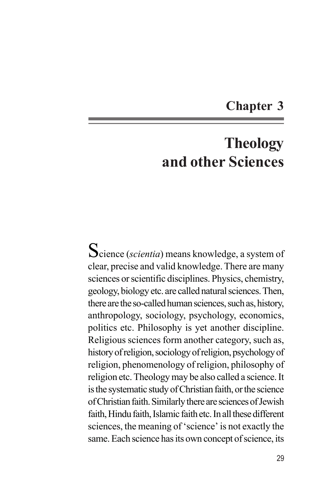## **Chapter 3**

## **Theology and other Sciences**

Science (*scientia*) means knowledge, a system of clear, precise and valid knowledge. There are many sciences or scientific disciplines. Physics, chemistry, geology, biology etc. are called natural sciences. Then, there are the so-called human sciences, such as, history, anthropology, sociology, psychology, economics, politics etc. Philosophy is yet another discipline. Religious sciences form another category, such as, history of religion, sociology of religion, psychology of religion, phenomenology of religion, philosophy of religion etc. Theology may be also called a science. It is the systematic study of Christian faith, or the science of Christian faith. Similarly there are sciences of Jewish faith, Hindu faith, Islamic faith etc. In all these different sciences, the meaning of 'science' is not exactly the same. Each science has its own concept of science, its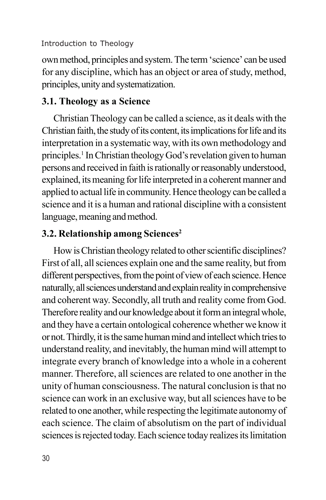own method, principles and system. The term 'science' can be used for any discipline, which has an object or area of study, method, principles, unity and systematization.

## **3.1. Theology as a Science**

Christian Theology can be called a science, as it deals with the Christian faith, the study of its content, its implications for life and its interpretation in a systematic way, with its own methodology and principles.<sup>1</sup> In Christian theology God's revelation given to human persons and received in faith is rationally or reasonably understood, explained, its meaning for life interpreted in a coherent manner and applied to actual life in community. Hence theology can be called a science and it is a human and rational discipline with a consistent language, meaning and method.

## **3.2. Relationship among Sciences<sup>2</sup>**

How is Christian theology related to other scientific disciplines? First of all, all sciences explain one and the same reality, but from different perspectives, from the point of view of each science. Hence naturally, all sciences understand and explain reality in comprehensive and coherent way. Secondly, all truth and reality come from God. Therefore reality and our knowledge about it form an integral whole, and they have a certain ontological coherence whether we know it or not. Thirdly, it is the same human mind and intellect which tries to understand reality, and inevitably, the human mind will attempt to integrate every branch of knowledge into a whole in a coherent manner. Therefore, all sciences are related to one another in the unity of human consciousness. The natural conclusion is that no science can work in an exclusive way, but all sciences have to be related to one another, while respecting the legitimate autonomy of each science. The claim of absolutism on the part of individual sciences is rejected today. Each science today realizes its limitation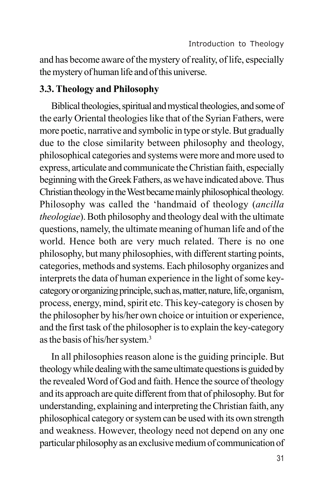and has become aware of the mystery of reality, of life, especially the mystery of human life and of this universe.

#### **3.3. Theology and Philosophy**

Biblical theologies, spiritual and mystical theologies, and some of the early Oriental theologies like that of the Syrian Fathers, were more poetic, narrative and symbolic in type or style. But gradually due to the close similarity between philosophy and theology, philosophical categories and systems were more and more used to express, articulate and communicate the Christian faith, especially beginning with the Greek Fathers, as we have indicated above. Thus Christian theology in the West became mainly philosophical theology. Philosophy was called the 'handmaid of theology (*ancilla theologiae*). Both philosophy and theology deal with the ultimate questions, namely, the ultimate meaning of human life and of the world. Hence both are very much related. There is no one philosophy, but many philosophies, with different starting points, categories, methods and systems. Each philosophy organizes and interprets the data of human experience in the light of some keycategory or organizing principle, such as, matter, nature, life, organism, process, energy, mind, spirit etc. This key-category is chosen by the philosopher by his/her own choice or intuition or experience, and the first task of the philosopher is to explain the key-category as the basis of his/her system.<sup>3</sup>

In all philosophies reason alone is the guiding principle. But theology while dealing with the same ultimate questions is guided by the revealed Word of God and faith. Hence the source of theology and its approach are quite different from that of philosophy. But for understanding, explaining and interpreting the Christian faith, any philosophical category or system can be used with its own strength and weakness. However, theology need not depend on any one particular philosophy as an exclusive medium of communication of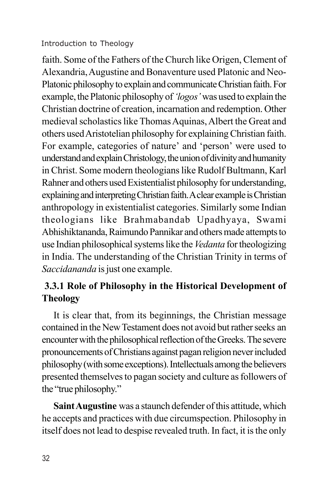faith. Some of the Fathers of the Church like Origen, Clement of Alexandria, Augustine and Bonaventure used Platonic and Neo-Platonic philosophy to explain and communicate Christian faith. For example, the Platonic philosophy of *'logos'* was used to explain the Christian doctrine of creation, incarnation and redemption. Other medieval scholastics like Thomas Aquinas, Albert the Great and others used Aristotelian philosophy for explaining Christian faith. For example, categories of nature' and 'person' were used to understand and explain Christology, the union of divinity and humanity in Christ. Some modern theologians like Rudolf Bultmann, Karl Rahner and others used Existentialist philosophy for understanding, explaining and interpreting Christian faith. A clear example is Christian anthropology in existentialist categories. Similarly some Indian theologians like Brahmabandab Upadhyaya, Swami Abhishiktananda, Raimundo Pannikar and others made attempts to use Indian philosophical systems like the *Vedanta* for theologizing in India. The understanding of the Christian Trinity in terms of *Saccidananda* is just one example.

## **3.3.1 Role of Philosophy in the Historical Development of Theology**

It is clear that, from its beginnings, the Christian message contained in the New Testament does not avoid but rather seeks an encounter with the philosophical reflection of the Greeks. The severe pronouncements of Christians against pagan religion never included philosophy (with some exceptions). Intellectuals among the believers presented themselves to pagan society and culture as followers of the "true philosophy."

**Saint Augustine** was a staunch defender of this attitude, which he accepts and practices with due circumspection. Philosophy in itself does not lead to despise revealed truth. In fact, it is the only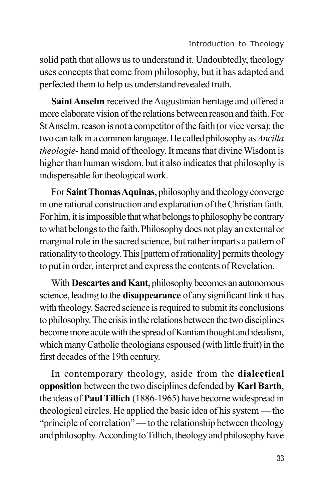solid path that allows us to understand it. Undoubtedly, theology uses concepts that come from philosophy, but it has adapted and perfected them to help us understand revealed truth.

**Saint Anselm** received the Augustinian heritage and offered a more elaborate vision of the relations between reason and faith. For St Anselm, reason is not a competitor of the faith (or vice versa): the two can talk in a common language. He called philosophy as *Ancilla theologie*- hand maid of theology. It means that divine Wisdom is higher than human wisdom, but it also indicates that philosophy is indispensable for theological work.

For **Saint Thomas Aquinas**, philosophy and theology converge in one rational construction and explanation of the Christian faith. For him, it is impossible that what belongs to philosophy be contrary to what belongs to the faith. Philosophy does not play an external or marginal role in the sacred science, but rather imparts a pattern of rationality to theology. This [pattern of rationality] permits theology to put in order, interpret and express the contents of Revelation.

With **Descartes and Kant**, philosophy becomes an autonomous science, leading to the **disappearance** of any significant link it has with theology. Sacred science is required to submit its conclusions to philosophy. The crisis in the relations between the two disciplines become more acute with the spread of Kantian thought and idealism, which many Catholic theologians espoused (with little fruit) in the first decades of the 19th century.

In contemporary theology, aside from the **dialectical opposition** between the two disciplines defended by **Karl Barth**, the ideas of **Paul Tillich** (1886-1965) have become widespread in theological circles. He applied the basic idea of his system — the "principle of correlation" — to the relationship between theology and philosophy. According to Tillich, theology and philosophy have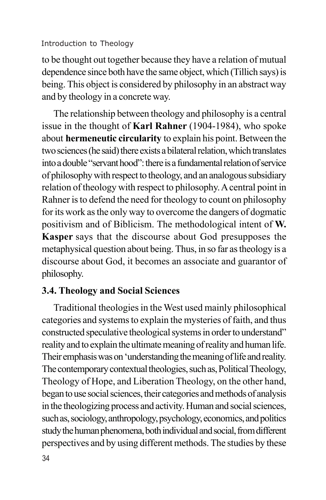to be thought out together because they have a relation of mutual dependence since both have the same object, which (Tillich says) is being. This object is considered by philosophy in an abstract way and by theology in a concrete way.

The relationship between theology and philosophy is a central issue in the thought of **Karl Rahner** (1904-1984), who spoke about **hermeneutic circularity** to explain his point. Between the two sciences (he said) there exists a bilateral relation, which translates into a double "servant hood": there is a fundamental relation of service of philosophy with respect to theology, and an analogous subsidiary relation of theology with respect to philosophy. A central point in Rahner is to defend the need for theology to count on philosophy for its work as the only way to overcome the dangers of dogmatic positivism and of Biblicism. The methodological intent of **W. Kasper** says that the discourse about God presupposes the metaphysical question about being. Thus, in so far as theology is a discourse about God, it becomes an associate and guarantor of philosophy.

## **3.4. Theology and Social Sciences**

Traditional theologies in the West used mainly philosophical categories and systems to explain the mysteries of faith, and thus constructed speculative theological systems in order to understand" reality and to explain the ultimate meaning of reality and human life. Their emphasis was on 'understanding the meaning of life and reality. The contemporary contextual theologies, such as, Political Theology, Theology of Hope, and Liberation Theology, on the other hand, began to use social sciences, their categories and methods of analysis in the theologizing process and activity. Human and social sciences, such as, sociology, anthropology, psychology, economics, and politics study the human phenomena, both individual and social, from different perspectives and by using different methods. The studies by these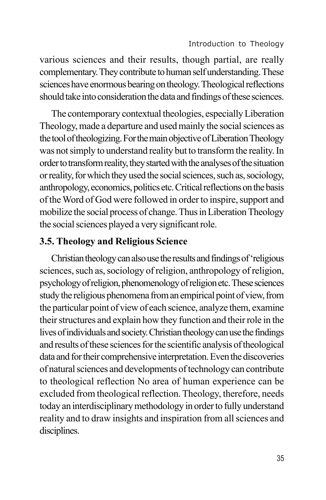various sciences and their results, though partial, are really complementary. They contribute to human self understanding. These sciences have enormous bearing on theology. Theological reflections should take into consideration the data and findings of these sciences.

The contemporary contextual theologies, especially Liberation Theology, made a departure and used mainly the social sciences as the tool of theologizing. For the main objective of Liberation Theology was not simply to understand reality but to transform the reality. In order to transform reality, they started with the analyses of the situation or reality, for which they used the social sciences, such as, sociology, anthropology, economics, politics etc. Critical reflections on the basis of the Word of God were followed in order to inspire, support and mobilize the social process of change. Thus in Liberation Theology the social sciences played a very significant role.

## **3.5. Theology and Religious Science**

Christian theology can also use the results and findings of 'religious sciences, such as, sociology of religion, anthropology of religion, psychology of religion, phenomenology of religion etc. These sciences study the religious phenomena from an empirical point of view, from the particular point of view of each science, analyze them, examine their structures and explain how they function and their role in the lives of individuals and society. Christian theology can use the findings and results of these sciences for the scientific analysis of theological data and for their comprehensive interpretation. Even the discoveries of natural sciences and developments of technology can contribute to theological reflection No area of human experience can be excluded from theological reflection. Theology, therefore, needs today an interdisciplinary methodology in order to fully understand reality and to draw insights and inspiration from all sciences and disciplines.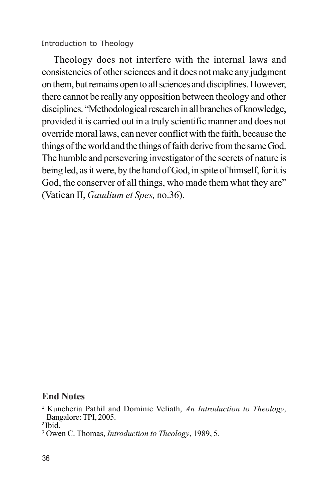Theology does not interfere with the internal laws and consistencies of other sciences and it does not make any judgment on them, but remains open to all sciences and disciplines. However, there cannot be really any opposition between theology and other disciplines. "Methodological research in all branches of knowledge, provided it is carried out in a truly scientific manner and does not override moral laws, can never conflict with the faith, because the things of the world and the things of faith derive from the same God. The humble and persevering investigator of the secrets of nature is being led, as it were, by the hand of God, in spite of himself, for it is God, the conserver of all things, who made them what they are" (Vatican II, *Gaudium et Spes,* no.36).

#### **End Notes**

<sup>1</sup> Kuncheria Pathil and Dominic Veliath, *An Introduction to Theology*, Bangalore: TPI, 2005.

<sup>2</sup>Ibid.

<sup>3</sup> Owen C. Thomas, *Introduction to Theology*, 1989, 5.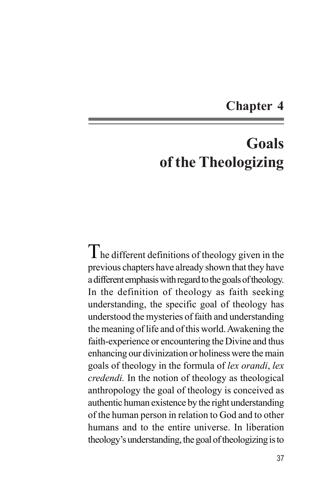# **Chapter 4**

# **Goals of the Theologizing**

 $T_{\rm he}$  different definitions of theology given in the previous chapters have already shown that they have a different emphasis with regard to the goals of theology. In the definition of theology as faith seeking understanding, the specific goal of theology has understood the mysteries of faith and understanding the meaning of life and of this world. Awakening the faith-experience or encountering the Divine and thus enhancing our divinization or holiness were the main goals of theology in the formula of *lex orandi*, *lex credendi.* In the notion of theology as theological anthropology the goal of theology is conceived as authentic human existence by the right understanding of the human person in relation to God and to other humans and to the entire universe. In liberation theology's understanding, the goal of theologizing is to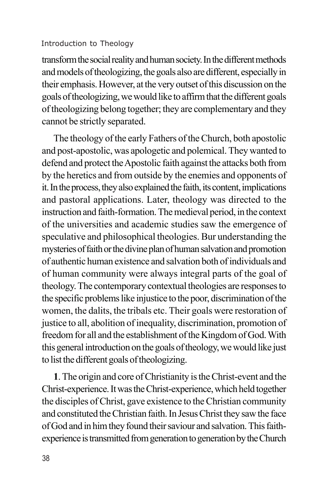transform the social reality and human society. In the different methods and models of theologizing, the goals also are different, especially in their emphasis. However, at the very outset of this discussion on the goals of theologizing, we would like to affirm that the different goals of theologizing belong together; they are complementary and they cannot be strictly separated.

The theology of the early Fathers of the Church, both apostolic and post-apostolic, was apologetic and polemical. They wanted to defend and protect the Apostolic faith against the attacks both from by the heretics and from outside by the enemies and opponents of it. In the process, they also explained the faith, its content, implications and pastoral applications. Later, theology was directed to the instruction and faith-formation. The medieval period, in the context of the universities and academic studies saw the emergence of speculative and philosophical theologies. Bur understanding the mysteries of faith or the divine plan of human salvation and promotion of authentic human existence and salvation both of individuals and of human community were always integral parts of the goal of theology. The contemporary contextual theologies are responses to the specific problems like injustice to the poor, discrimination of the women, the dalits, the tribals etc. Their goals were restoration of justice to all, abolition of inequality, discrimination, promotion of freedom for all and the establishment of the Kingdom of God. With this general introduction on the goals of theology, we would like just to list the different goals of theologizing.

**1**. The origin and core of Christianity is the Christ-event and the Christ-experience. It was the Christ-experience, which held together the disciples of Christ, gave existence to the Christian community and constituted the Christian faith. In Jesus Christ they saw the face of God and in him they found their saviour and salvation. This faithexperience is transmitted from generation to generation by the Church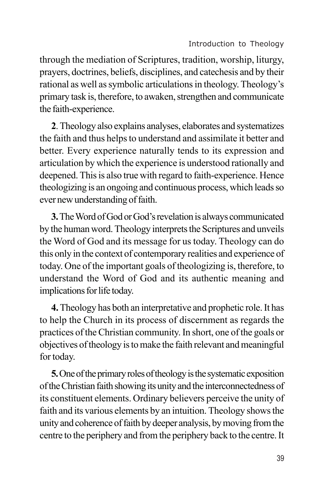through the mediation of Scriptures, tradition, worship, liturgy, prayers, doctrines, beliefs, disciplines, and catechesis and by their rational as well as symbolic articulations in theology. Theology's primary task is, therefore, to awaken, strengthen and communicate the faith-experience.

**2**. Theology also explains analyses, elaborates and systematizes the faith and thus helps to understand and assimilate it better and better. Every experience naturally tends to its expression and articulation by which the experience is understood rationally and deepened. This is also true with regard to faith-experience. Hence theologizing is an ongoing and continuous process, which leads so ever new understanding of faith.

**3.**The Word of God or God's revelation is always communicated by the human word. Theology interprets the Scriptures and unveils the Word of God and its message for us today. Theology can do this only in the context of contemporary realities and experience of today. One of the important goals of theologizing is, therefore, to understand the Word of God and its authentic meaning and implications for life today.

**4.** Theology has both an interpretative and prophetic role. It has to help the Church in its process of discernment as regards the practices of the Christian community. In short, one of the goals or objectives of theology is to make the faith relevant and meaningful for today.

**5.** One of the primary roles of theology is the systematic exposition of the Christian faith showing its unity and the interconnectedness of its constituent elements. Ordinary believers perceive the unity of faith and its various elements by an intuition. Theology shows the unity and coherence of faith by deeper analysis, by moving from the centre to the periphery and from the periphery back to the centre. It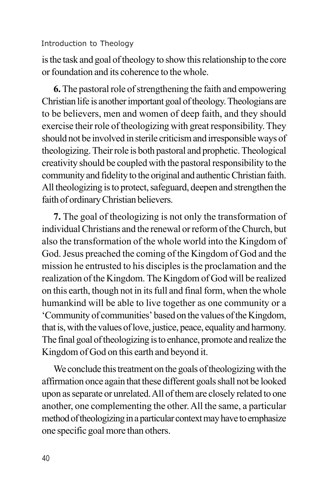is the task and goal of theology to show this relationship to the core or foundation and its coherence to the whole.

**6.** The pastoral role of strengthening the faith and empowering Christian life is another important goal of theology. Theologians are to be believers, men and women of deep faith, and they should exercise their role of theologizing with great responsibility. They should not be involved in sterile criticism and irresponsible ways of theologizing. Their role is both pastoral and prophetic. Theological creativity should be coupled with the pastoral responsibility to the community and fidelity to the original and authentic Christian faith. All theologizing is to protect, safeguard, deepen and strengthen the faith of ordinary Christian believers.

**7.** The goal of theologizing is not only the transformation of individual Christians and the renewal or reform of the Church, but also the transformation of the whole world into the Kingdom of God. Jesus preached the coming of the Kingdom of God and the mission he entrusted to his disciples is the proclamation and the realization of the Kingdom. The Kingdom of God will be realized on this earth, though not in its full and final form, when the whole humankind will be able to live together as one community or a 'Community of communities' based on the values of the Kingdom, that is, with the values of love, justice, peace, equality and harmony. The final goal of theologizing is to enhance, promote and realize the Kingdom of God on this earth and beyond it.

We conclude this treatment on the goals of theologizing with the affirmation once again that these different goals shall not be looked upon as separate or unrelated. All of them are closely related to one another, one complementing the other. All the same, a particular method of theologizing in a particular context may have to emphasize one specific goal more than others.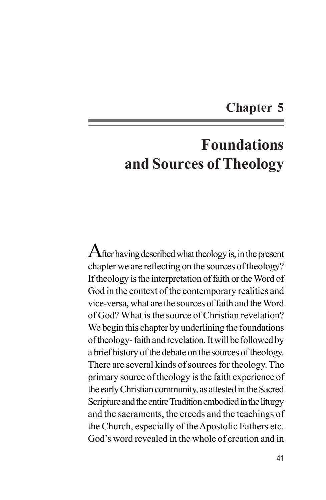# **Chapter 5**

# **Foundations and Sources of Theology**

 $A$ fter having described what theology is, in the present chapter we are reflecting on the sources of theology? If theology is the interpretation of faith or the Word of God in the context of the contemporary realities and vice-versa, what are the sources of faith and the Word of God? What is the source of Christian revelation? We begin this chapter by underlining the foundations of theology- faith and revelation. It will be followed by a brief history of the debate on the sources of theology. There are several kinds of sources for theology. The primary source of theology is the faith experience of the early Christian community, as attested in the Sacred Scripture and the entire Tradition embodied in the liturgy and the sacraments, the creeds and the teachings of the Church, especially of the Apostolic Fathers etc. God's word revealed in the whole of creation and in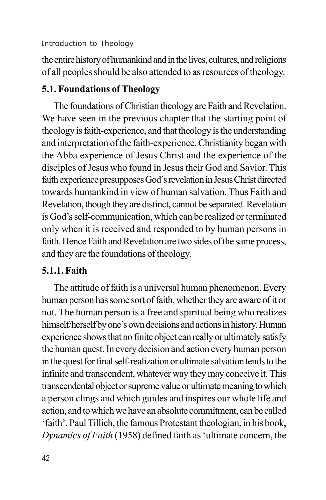the entire history of humankind and in the lives, cultures, and religions of all peoples should be also attended to as resources of theology.

# **5.1. Foundations of Theology**

The foundations of Christian theology are Faith and Revelation. We have seen in the previous chapter that the starting point of theology is faith-experience, and that theology is the understanding and interpretation of the faith-experience. Christianity began with the Abba experience of Jesus Christ and the experience of the disciples of Jesus who found in Jesus their God and Savior. This faith experience presupposes God's revelation in Jesus Christ directed towards humankind in view of human salvation. Thus Faith and Revelation, though they are distinct, cannot be separated. Revelation is God's self-communication, which can be realized or terminated only when it is received and responded to by human persons in faith. Hence Faith and Revelation are two sides of the same process, and they are the foundations of theology.

## **5.1.1. Faith**

The attitude of faith is a universal human phenomenon. Every human person has some sort of faith, whether they are aware of it or not. The human person is a free and spiritual being who realizes himself/herself by one's own decisions and actions in history. Human experience shows that no finite object can really or ultimately satisfy the human quest. In every decision and action every human person in the quest for final self-realization or ultimate salvation tends to the infinite and transcendent, whatever way they may conceive it. This transcendental object or supreme value or ultimate meaning to which a person clings and which guides and inspires our whole life and action, and to which we have an absolute commitment, can be called 'faith'. Paul Tillich, the famous Protestant theologian, in his book, *Dynamics of Faith* (1958) defined faith as 'ultimate concern, the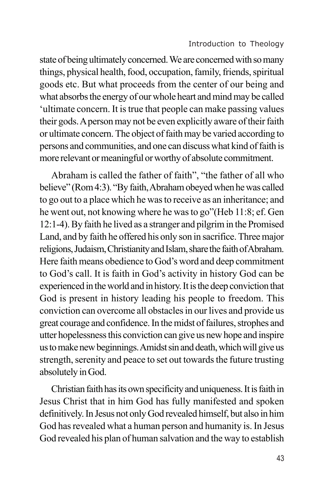state of being ultimately concerned. We are concerned with so many things, physical health, food, occupation, family, friends, spiritual goods etc. But what proceeds from the center of our being and what absorbs the energy of our whole heart and mind may be called 'ultimate concern. It is true that people can make passing values their gods. A person may not be even explicitly aware of their faith or ultimate concern. The object of faith may be varied according to persons and communities, and one can discuss what kind of faith is more relevant or meaningful or worthy of absolute commitment.

Abraham is called the father of faith", "the father of all who believe" (Rom 4:3). "By faith, Abraham obeyed when he was called to go out to a place which he was to receive as an inheritance; and he went out, not knowing where he was to go"(Heb 11:8; ef. Gen 12:1-4). By faith he lived as a stranger and pilgrim in the Promised Land, and by faith he offered his only son in sacrifice. Three major religions, Judaism, Christianity and Islam, share the faith of Abraham. Here faith means obedience to God's word and deep commitment to God's call. It is faith in God's activity in history God can be experienced in the world and in history. It is the deep conviction that God is present in history leading his people to freedom. This conviction can overcome all obstacles in our lives and provide us great courage and confidence. In the midst of failures, strophes and utter hopelessness this conviction can give us new hope and inspire us to make new beginnings. Amidst sin and death, which will give us strength, serenity and peace to set out towards the future trusting absolutely in God.

Christian faith has its own specificity and uniqueness. It is faith in Jesus Christ that in him God has fully manifested and spoken definitively. In Jesus not only God revealed himself, but also in him God has revealed what a human person and humanity is. In Jesus God revealed his plan of human salvation and the way to establish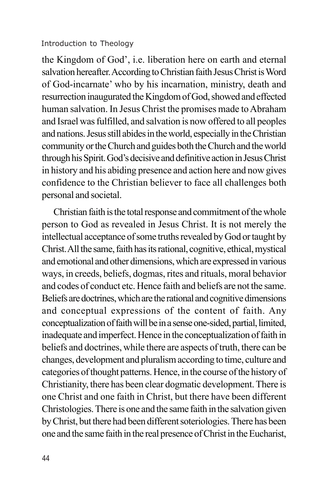the Kingdom of God', i.e. liberation here on earth and eternal salvation hereafter. According to Christian faith Jesus Christ is Word of God-incarnate' who by his incarnation, ministry, death and resurrection inaugurated the Kingdom of God, showed and effected human salvation. In Jesus Christ the promises made to Abraham and Israel was fulfilled, and salvation is now offered to all peoples and nations. Jesus still abides in the world, especially in the Christian community or the Church and guides both the Church and the world through his Spirit. God's decisive and definitive action in Jesus Christ in history and his abiding presence and action here and now gives confidence to the Christian believer to face all challenges both personal and societal.

Christian faith is the total response and commitment of the whole person to God as revealed in Jesus Christ. It is not merely the intellectual acceptance of some truths revealed by God or taught by Christ. All the same, faith has its rational, cognitive, ethical, mystical and emotional and other dimensions, which are expressed in various ways, in creeds, beliefs, dogmas, rites and rituals, moral behavior and codes of conduct etc. Hence faith and beliefs are not the same. Beliefs are doctrines, which are the rational and cognitive dimensions and conceptual expressions of the content of faith. Any conceptualization of faith will be in a sense one-sided, partial, limited, inadequate and imperfect. Hence in the conceptualization of faith in beliefs and doctrines, while there are aspects of truth, there can be changes, development and pluralism according to time, culture and categories of thought patterns. Hence, in the course of the history of Christianity, there has been clear dogmatic development. There is one Christ and one faith in Christ, but there have been different Christologies. There is one and the same faith in the salvation given by Christ, but there had been different soteriologies. There has been one and the same faith in the real presence of Christ in the Eucharist,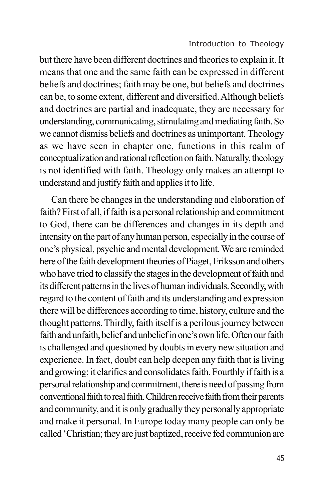but there have been different doctrines and theories to explain it. It means that one and the same faith can be expressed in different beliefs and doctrines; faith may be one, but beliefs and doctrines can be, to some extent, different and diversified. Although beliefs and doctrines are partial and inadequate, they are necessary for understanding, communicating, stimulating and mediating faith. So we cannot dismiss beliefs and doctrines as unimportant. Theology as we have seen in chapter one, functions in this realm of conceptualization and rational reflection on faith. Naturally, theology is not identified with faith. Theology only makes an attempt to understand and justify faith and applies it to life.

Can there be changes in the understanding and elaboration of faith? First of all, if faith is a personal relationship and commitment to God, there can be differences and changes in its depth and intensity on the part of any human person, especially in the course of one's physical, psychic and mental development. We are reminded here of the faith development theories of Piaget, Eriksson and others who have tried to classify the stages in the development of faith and its different patterns in the lives of human individuals. Secondly, with regard to the content of faith and its understanding and expression there will be differences according to time, history, culture and the thought patterns. Thirdly, faith itself is a perilous journey between faith and unfaith, belief and unbelief in one's own life. Often our faith is challenged and questioned by doubts in every new situation and experience. In fact, doubt can help deepen any faith that is living and growing; it clarifies and consolidates faith. Fourthly if faith is a personal relationship and commitment, there is need of passing from conventional faith to real faith. Children receive faith from their parents and community, and it is only gradually they personally appropriate and make it personal. In Europe today many people can only be called 'Christian; they are just baptized, receive fed communion are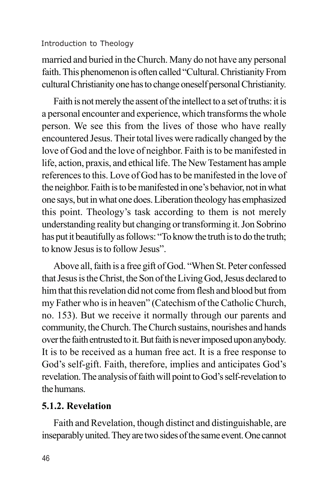married and buried in the Church. Many do not have any personal faith. This phenomenon is often called "Cultural. Christianity From cultural Christianity one has to change oneself personal Christianity.

Faith is not merely the assent of the intellect to a set of truths: it is a personal encounter and experience, which transforms the whole person. We see this from the lives of those who have really encountered Jesus. Their total lives were radically changed by the love of God and the love of neighbor. Faith is to be manifested in life, action, praxis, and ethical life. The New Testament has ample references to this. Love of God has to be manifested in the love of the neighbor. Faith is to be manifested in one's behavior, not in what one says, but in what one does. Liberation theology has emphasized this point. Theology's task according to them is not merely understanding reality but changing or transforming it. Jon Sobrino has put it beautifully as follows: "To know the truth is to do the truth; to know Jesus is to follow Jesus".

Above all, faith is a free gift of God. "When St. Peter confessed that Jesus is the Christ, the Son of the Living God, Jesus declared to him that this revelation did not come from flesh and blood but from my Father who is in heaven" (Catechism of the Catholic Church, no. 153). But we receive it normally through our parents and community, the Church. The Church sustains, nourishes and hands over the faith entrusted to it. But faith is never imposed upon anybody. It is to be received as a human free act. It is a free response to God's self-gift. Faith, therefore, implies and anticipates God's revelation. The analysis of faith will point to God's self-revelation to the humans.

# **5.1.2. Revelation**

Faith and Revelation, though distinct and distinguishable, are inseparably united. They are two sides of the same event. One cannot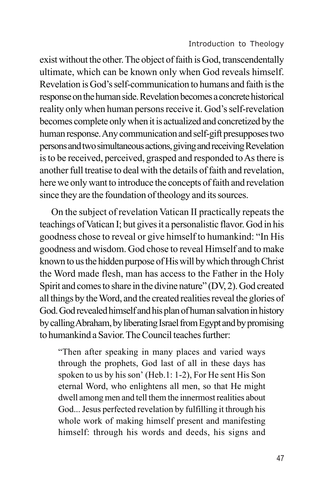exist without the other. The object of faith is God, transcendentally ultimate, which can be known only when God reveals himself. Revelation is God's self-communication to humans and faith is the response on the human side. Revelation becomes a concrete historical reality only when human persons receive it. God's self-revelation becomes complete only when it is actualized and concretized by the human response. Any communication and self-gift presupposes two persons and two simultaneous actions, giving and receiving Revelation is to be received, perceived, grasped and responded to As there is another full treatise to deal with the details of faith and revelation, here we only want to introduce the concepts of faith and revelation since they are the foundation of theology and its sources.

On the subject of revelation Vatican II practically repeats the teachings of Vatican I; but gives it a personalistic flavor. God in his goodness chose to reveal or give himself to humankind: "In His goodness and wisdom. God chose to reveal Himself and to make known to us the hidden purpose of His will by which through Christ the Word made flesh, man has access to the Father in the Holy Spirit and comes to share in the divine nature" (DV, 2). God created all things by the Word, and the created realities reveal the glories of God. God revealed himself and his plan of human salvation in history by calling Abraham, by liberating Israel from Egypt and by promising to humankind a Savior. The Council teaches further:

"Then after speaking in many places and varied ways through the prophets, God last of all in these days has spoken to us by his son' (Heb.1: 1-2), For He sent His Son eternal Word, who enlightens all men, so that He might dwell among men and tell them the innermost realities about God... Jesus perfected revelation by fulfilling it through his whole work of making himself present and manifesting himself: through his words and deeds, his signs and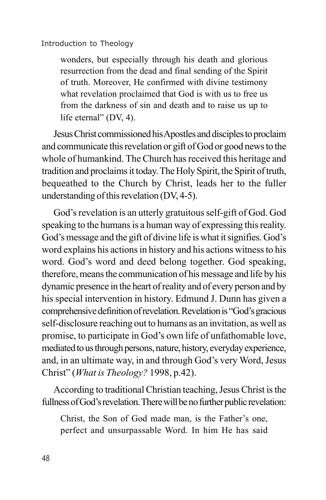wonders, but especially through his death and glorious resurrection from the dead and final sending of the Spirit of truth. Moreover, He confirmed with divine testimony what revelation proclaimed that God is with us to free us from the darkness of sin and death and to raise us up to life eternal" (DV, 4).

Jesus Christ commissioned his Apostles and disciples to proclaim and communicate this revelation or gift of God or good news to the whole of humankind. The Church has received this heritage and tradition and proclaims it today. The Holy Spirit, the Spirit of truth, bequeathed to the Church by Christ, leads her to the fuller understanding of this revelation (DV, 4-5).

God's revelation is an utterly gratuitous self-gift of God. God speaking to the humans is a human way of expressing this reality. God's message and the gift of divine life is what it signifies. God's word explains his actions in history and his actions witness to his word. God's word and deed belong together. God speaking, therefore, means the communication of his message and life by his dynamic presence in the heart of reality and of every person and by his special intervention in history. Edmund J. Dunn has given a comprehensive definition of revelation. Revelation is "God's gracious self-disclosure reaching out to humans as an invitation, as well as promise, to participate in God's own life of unfathomable love, mediated to us through persons, nature, history, everyday experience, and, in an ultimate way, in and through God's very Word, Jesus Christ" (*What is Theology?* 1998, p.42).

According to traditional Christian teaching, Jesus Christ is the fullness of God's revelation. There will be no further public revelation:

Christ, the Son of God made man, is the Father's one, perfect and unsurpassable Word. In him He has said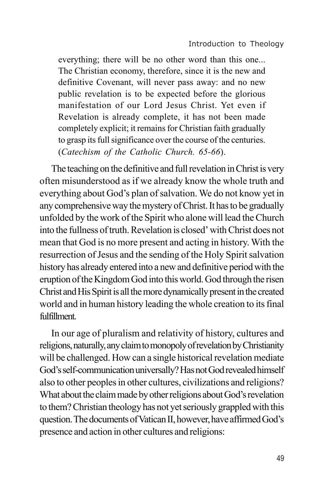everything; there will be no other word than this one... The Christian economy, therefore, since it is the new and definitive Covenant, will never pass away: and no new public revelation is to be expected before the glorious manifestation of our Lord Jesus Christ. Yet even if Revelation is already complete, it has not been made completely explicit; it remains for Christian faith gradually to grasp its full significance over the course of the centuries. (*Catechism of the Catholic Church. 65-66*).

The teaching on the definitive and full revelation in Christ is very often misunderstood as if we already know the whole truth and everything about God's plan of salvation. We do not know yet in any comprehensive way the mystery of Christ. It has to be gradually unfolded by the work of the Spirit who alone will lead the Church into the fullness of truth. Revelation is closed' with Christ does not mean that God is no more present and acting in history. With the resurrection of Jesus and the sending of the Holy Spirit salvation history has already entered into a new and definitive period with the eruption of the Kingdom God into this world. God through the risen Christ and His Spirit is all the more dynamically present in the created world and in human history leading the whole creation to its final fulfillment.

In our age of pluralism and relativity of history, cultures and religions, naturally, any claim to monopoly of revelation by Christianity will be challenged. How can a single historical revelation mediate God's self-communication universally? Has not God revealed himself also to other peoples in other cultures, civilizations and religions? What about the claim made by other religions about God's revelation to them? Christian theology has not yet seriously grappled with this question. The documents of Vatican II, however, have affirmed God's presence and action in other cultures and religions: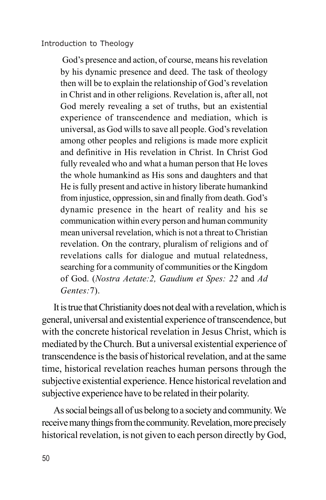God's presence and action, of course, means his revelation by his dynamic presence and deed. The task of theology then will be to explain the relationship of God's revelation in Christ and in other religions. Revelation is, after all, not God merely revealing a set of truths, but an existential experience of transcendence and mediation, which is universal, as God wills to save all people. God's revelation among other peoples and religions is made more explicit and definitive in His revelation in Christ. In Christ God fully revealed who and what a human person that He loves the whole humankind as His sons and daughters and that He is fully present and active in history liberate humankind from injustice, oppression, sin and finally from death. God's dynamic presence in the heart of reality and his se communication within every person and human community mean universal revelation, which is not a threat to Christian revelation. On the contrary, pluralism of religions and of revelations calls for dialogue and mutual relatedness, searching for a community of communities or the Kingdom of God. (*Nostra Aetate:2, Gaudium et Spes: 22* and *Ad Gentes:*7).

It is true that Christianity does not deal with a revelation, which is general, universal and existential experience of transcendence, but with the concrete historical revelation in Jesus Christ, which is mediated by the Church. But a universal existential experience of transcendence is the basis of historical revelation, and at the same time, historical revelation reaches human persons through the subjective existential experience. Hence historical revelation and subjective experience have to be related in their polarity.

As social beings all of us belong to a society and community. We receive many things from the community. Revelation, more precisely historical revelation, is not given to each person directly by God,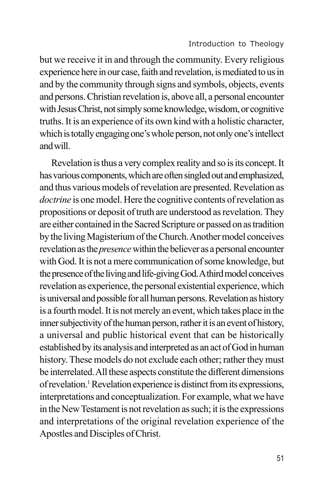but we receive it in and through the community. Every religious experience here in our case, faith and revelation, is mediated to us in and by the community through signs and symbols, objects, events and persons. Christian revelation is, above all, a personal encounter with Jesus Christ, not simply some knowledge, wisdom, or cognitive truths. It is an experience of its own kind with a holistic character, which is totally engaging one's whole person, not only one's intellect and will.

Revelation is thus a very complex reality and so is its concept. It has various components, which are often singled out and emphasized, and thus various models of revelation are presented. Revelation as *doctrine* is one model. Here the cognitive contents of revelation as propositions or deposit of truth are understood as revelation. They are either contained in the Sacred Scripture or passed on as tradition by the living Magisterium of the Church. Another model conceives revelation as the *presence* within the believer as a personal encounter with God. It is not a mere communication of some knowledge, but the presence of the living and life-giving God. A third model conceives revelation as experience, the personal existential experience, which is universal and possible for all human persons. Revelation as history is a fourth model. It is not merely an event, which takes place in the inner subjectivity of the human person, rather it is an event of history, a universal and public historical event that can be historically established by its analysis and interpreted as an act of God in human history. These models do not exclude each other; rather they must be interrelated. All these aspects constitute the different dimensions of revelation.<sup>1</sup> Revelation experience is distinct from its expressions, interpretations and conceptualization. For example, what we have in the New Testament is not revelation as such; it is the expressions and interpretations of the original revelation experience of the Apostles and Disciples of Christ.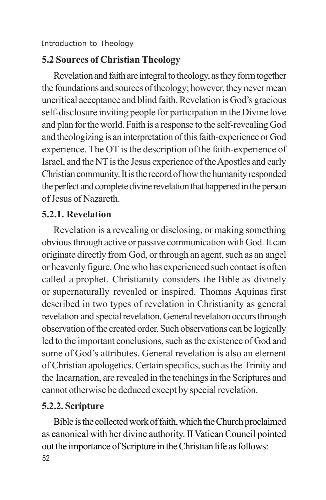# **5.2 Sources of Christian Theology**

Revelation and faith are integral to theology, as they form together the foundations and sources of theology; however, they never mean uncritical acceptance and blind faith. Revelation is God's gracious self-disclosure inviting people for participation in the Divine love and plan for the world. Faith is a response to the self-revealing God and theologizing is an interpretation of this faith-experience or God experience. The OT is the description of the faith-experience of Israel, and the NT is the Jesus experience of the Apostles and early Christian community. It is the record of how the humanity responded the perfect and complete divine revelation that happened in the person of Jesus of Nazareth.

# **5.2.1. Revelation**

Revelation is a revealing or disclosing, or making something obvious through active or passive communication with God. It can originate directly from God, or through an agent, such as an angel or heavenly figure. One who has experienced such contact is often called a prophet. Christianity considers the Bible as divinely or supernaturally revealed or inspired. Thomas Aquinas first described in two types of revelation in Christianity as general revelation and special revelation. General revelation occurs through observation of the created order. Such observations can be logically led to the important conclusions, such as the existence of God and some of God's attributes. General revelation is also an element of Christian apologetics. Certain specifics, such as the Trinity and the Incarnation, are revealed in the teachings in the Scriptures and cannot otherwise be deduced except by special revelation.

# **5.2.2. Scripture**

52 Bible is the collected work of faith, which the Church proclaimed as canonical with her divine authority. II Vatican Council pointed out the importance of Scripture in the Christian life as follows: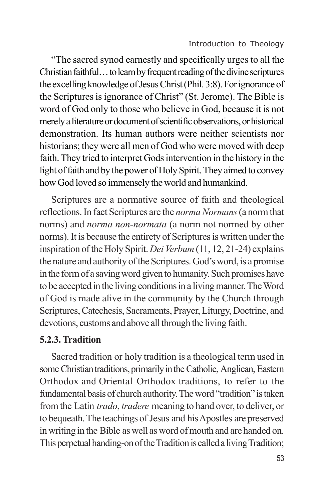"The sacred synod earnestly and specifically urges to all the Christian faithful… to learn by frequent reading of the divine scriptures the excelling knowledge of Jesus Christ (Phil. 3:8). For ignorance of the Scriptures is ignorance of Christ" (St. Jerome). The Bible is word of God only to those who believe in God, because it is not merely a literature or document of scientific observations, or historical demonstration. Its human authors were neither scientists nor historians; they were all men of God who were moved with deep faith. They tried to interpret Gods intervention in the history in the light of faith and by the power of Holy Spirit. They aimed to convey how God loved so immensely the world and humankind.

Scriptures are a normative source of faith and theological reflections. In fact Scriptures are the *norma Normans* (a norm that norms) and *norma non-normata* (a norm not normed by other norms). It is because the entirety of Scriptures is written under the inspiration of the Holy Spirit. *Dei Verbum* (11, 12, 21-24) explains the nature and authority of the Scriptures. God's word, is a promise in the form of a saving word given to humanity. Such promises have to be accepted in the living conditions in a living manner. The Word of God is made alive in the community by the Church through Scriptures, Catechesis, Sacraments, Prayer, Liturgy, Doctrine, and devotions, customs and above all through the living faith.

## **5.2.3. Tradition**

Sacred tradition or holy tradition is a theological term used in some Christian traditions, primarily in the Catholic, Anglican, Eastern Orthodox and Oriental Orthodox traditions, to refer to the fundamental basis of church authority. The word "tradition" is taken from the Latin *trado*, *tradere* meaning to hand over, to deliver, or to bequeath. The teachings of Jesus and his Apostles are preserved in writing in the Bible as well as word of mouth and are handed on. This perpetual handing-on of the Tradition is called a living Tradition;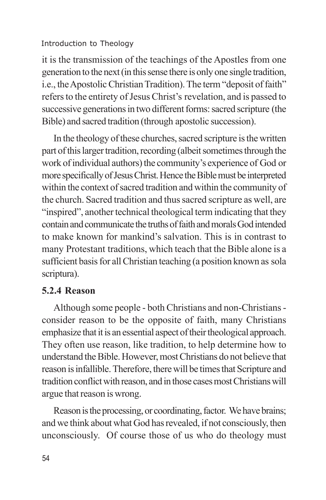it is the transmission of the teachings of the Apostles from one generation to the next (in this sense there is only one single tradition, i.e., the Apostolic Christian Tradition). The term "deposit of faith" refers to the entirety of Jesus Christ's revelation, and is passed to successive generations in two different forms: sacred scripture (the Bible) and sacred tradition (through apostolic succession).

In the theology of these churches, sacred scripture is the written part of this larger tradition, recording (albeit sometimes through the work of individual authors) the community's experience of God or more specifically of Jesus Christ. Hence the Bible must be interpreted within the context of sacred tradition and within the community of the church. Sacred tradition and thus sacred scripture as well, are "inspired", another technical theological term indicating that they contain and communicate the truths of faith and morals God intended to make known for mankind's salvation. This is in contrast to many Protestant traditions, which teach that the Bible alone is a sufficient basis for all Christian teaching (a position known as sola scriptura).

# **5.2.4 Reason**

Although some people - both Christians and non-Christians consider reason to be the opposite of faith, many Christians emphasize that it is an essential aspect of their theological approach. They often use reason, like tradition, to help determine how to understand the Bible. However, most Christians do not believe that reason is infallible. Therefore, there will be times that Scripture and tradition conflict with reason, and in those cases most Christians will argue that reason is wrong.

Reason is the processing, or coordinating, factor. We have brains; and we think about what God has revealed, if not consciously, then unconsciously. Of course those of us who do theology must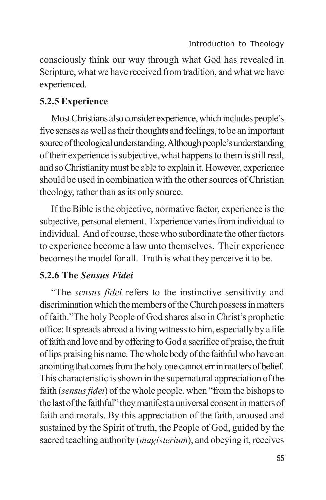consciously think our way through what God has revealed in Scripture, what we have received from tradition, and what we have experienced.

## **5.2.5 Experience**

Most Christians also consider experience, which includes people's five senses as well as their thoughts and feelings, to be an important source of theological understanding. Although people's understanding of their experience is subjective, what happens to them is still real, and so Christianity must be able to explain it. However, experience should be used in combination with the other sources of Christian theology, rather than as its only source.

If the Bible is the objective, normative factor, experience is the subjective, personal element. Experience varies from individual to individual. And of course, those who subordinate the other factors to experience become a law unto themselves. Their experience becomes the model for all. Truth is what they perceive it to be.

## **5.2.6 The** *Sensus Fidei*

"The *sensus fidei* refers to the instinctive sensitivity and discrimination which the members of the Church possess in matters of faith."The holy People of God shares also in Christ's prophetic office: It spreads abroad a living witness to him, especially by a life of faith and love and by offering to God a sacrifice of praise, the fruit of lips praising his name. The whole body of the faithful who have an anointing that comes from the holy one cannot err in matters of belief. This characteristic is shown in the supernatural appreciation of the faith (*sensus fidei*) of the whole people, when "from the bishops to the last of the faithful" they manifest a universal consent in matters of faith and morals. By this appreciation of the faith, aroused and sustained by the Spirit of truth, the People of God, guided by the sacred teaching authority (*magisterium*), and obeying it, receives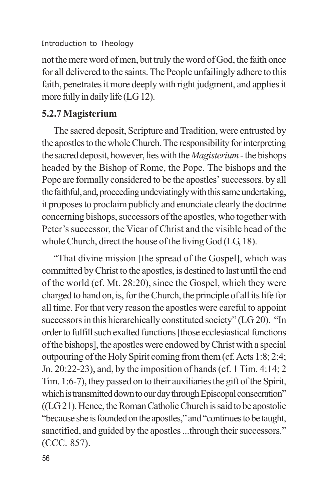not the mere word of men, but truly the word of God, the faith once for all delivered to the saints. The People unfailingly adhere to this faith, penetrates it more deeply with right judgment, and applies it more fully in daily life (LG 12).

### **5.2.7 Magisterium**

The sacred deposit, Scripture and Tradition, were entrusted by the apostles to the whole Church. The responsibility for interpreting the sacred deposit, however, lies with the *Magisterium* - the bishops headed by the Bishop of Rome, the Pope. The bishops and the Pope are formally considered to be the apostles' successors. by all the faithful, and, proceeding undeviatingly with this same undertaking, it proposes to proclaim publicly and enunciate clearly the doctrine concerning bishops, successors of the apostles, who together with Peter's successor, the Vicar of Christ and the visible head of the whole Church, direct the house of the living God (LG, 18).

"That divine mission [the spread of the Gospel], which was committed by Christ to the apostles, is destined to last until the end of the world (cf. Mt. 28:20), since the Gospel, which they were charged to hand on, is, for the Church, the principle of all its life for all time. For that very reason the apostles were careful to appoint successors in this hierarchically constituted society" (LG 20). "In order to fulfill such exalted functions [those ecclesiastical functions of the bishops], the apostles were endowed by Christ with a special outpouring of the Holy Spirit coming from them (cf. Acts 1:8; 2:4; Jn. 20:22-23), and, by the imposition of hands (cf. 1 Tim. 4:14; 2 Tim. 1:6-7), they passed on to their auxiliaries the gift of the Spirit, which is transmitted down to our day through Episcopal consecration" ((LG 21). Hence, the Roman Catholic Church is said to be apostolic "because she is founded on the apostles," and "continues to be taught, sanctified, and guided by the apostles ...through their successors." (CCC. 857).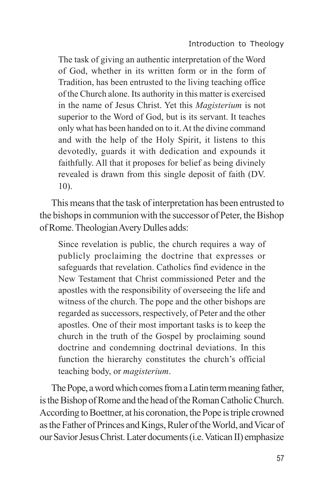The task of giving an authentic interpretation of the Word of God, whether in its written form or in the form of Tradition, has been entrusted to the living teaching office of the Church alone. Its authority in this matter is exercised in the name of Jesus Christ. Yet this *Magisterium* is not superior to the Word of God, but is its servant. It teaches only what has been handed on to it. At the divine command and with the help of the Holy Spirit, it listens to this devotedly, guards it with dedication and expounds it faithfully. All that it proposes for belief as being divinely revealed is drawn from this single deposit of faith (DV. 10).

This means that the task of interpretation has been entrusted to the bishops in communion with the successor of Peter, the Bishop of Rome. Theologian Avery Dulles adds:

Since revelation is public, the church requires a way of publicly proclaiming the doctrine that expresses or safeguards that revelation. Catholics find evidence in the New Testament that Christ commissioned Peter and the apostles with the responsibility of overseeing the life and witness of the church. The pope and the other bishops are regarded as successors, respectively, of Peter and the other apostles. One of their most important tasks is to keep the church in the truth of the Gospel by proclaiming sound doctrine and condemning doctrinal deviations. In this function the hierarchy constitutes the church's official teaching body, or *magisterium*.

The Pope, a word which comes from a Latin term meaning father, is the Bishop of Rome and the head of the Roman Catholic Church. According to Boettner, at his coronation, the Pope is triple crowned as the Father of Princes and Kings, Ruler of the World, and Vicar of our Savior Jesus Christ. Later documents (i.e. Vatican II) emphasize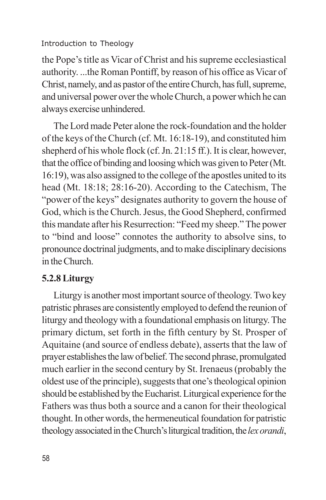the Pope's title as Vicar of Christ and his supreme ecclesiastical authority. ...the Roman Pontiff, by reason of his office as Vicar of Christ, namely, and as pastor of the entire Church, has full, supreme, and universal power over the whole Church, a power which he can always exercise unhindered.

The Lord made Peter alone the rock-foundation and the holder of the keys of the Church (cf. Mt. 16:18-19), and constituted him shepherd of his whole flock (cf. Jn. 21:15 ff.). It is clear, however, that the office of binding and loosing which was given to Peter (Mt. 16:19), was also assigned to the college of the apostles united to its head (Mt. 18:18; 28:16-20). According to the Catechism, The "power of the keys" designates authority to govern the house of God, which is the Church. Jesus, the Good Shepherd, confirmed this mandate after his Resurrection: "Feed my sheep." The power to "bind and loose" connotes the authority to absolve sins, to pronounce doctrinal judgments, and to make disciplinary decisions in the Church.

# **5.2.8 Liturgy**

Liturgy is another most important source of theology. Two key patristic phrases are consistently employed to defend the reunion of liturgy and theology with a foundational emphasis on liturgy. The primary dictum, set forth in the fifth century by St. Prosper of Aquitaine (and source of endless debate), asserts that the law of prayer establishes the law of belief. The second phrase, promulgated much earlier in the second century by St. Irenaeus (probably the oldest use of the principle), suggests that one's theological opinion should be established by the Eucharist. Liturgical experience for the Fathers was thus both a source and a canon for their theological thought. In other words, the hermeneutical foundation for patristic theology associated in the Church's liturgical tradition, the *lex orandi*,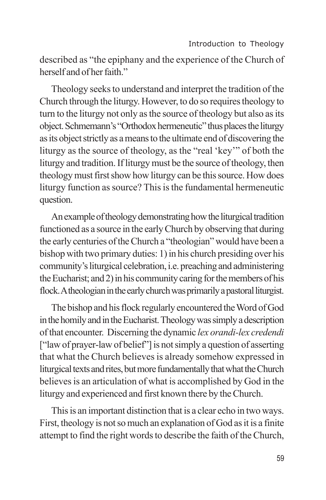described as "the epiphany and the experience of the Church of herself and of her faith."

Theology seeks to understand and interpret the tradition of the Church through the liturgy. However, to do so requires theology to turn to the liturgy not only as the source of theology but also as its object. Schmemann's "Orthodox hermeneutic" thus places the liturgy as its object strictly as a means to the ultimate end of discovering the liturgy as the source of theology, as the "real 'key'" of both the liturgy and tradition. If liturgy must be the source of theology, then theology must first show how liturgy can be this source. How does liturgy function as source? This is the fundamental hermeneutic question.

An example of theology demonstrating how the liturgical tradition functioned as a source in the early Church by observing that during the early centuries of the Church a "theologian" would have been a bishop with two primary duties: 1) in his church presiding over his community's liturgical celebration, i.e. preaching and administering the Eucharist; and 2) in his community caring for the members of his flock. A theologian in the early church was primarily a pastoral liturgist.

The bishop and his flock regularly encountered the Word of God in the homily and in the Eucharist. Theology was simply a description of that encounter. Discerning the dynamic *lex orandi-lex credendi* ["law of prayer-law of belief"] is not simply a question of asserting that what the Church believes is already somehow expressed in liturgical texts and rites, but more fundamentally that what the Church believes is an articulation of what is accomplished by God in the liturgy and experienced and first known there by the Church.

This is an important distinction that is a clear echo in two ways. First, theology is not so much an explanation of God as it is a finite attempt to find the right words to describe the faith of the Church,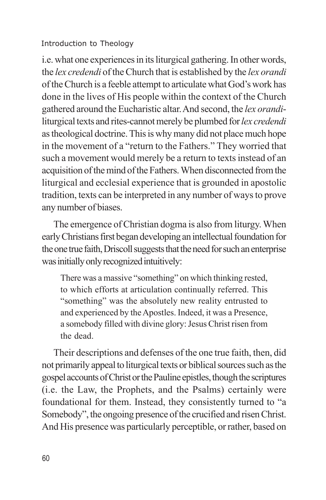i.e. what one experiences in its liturgical gathering. In other words, the *lex credendi* of the Church that is established by the *lex orandi* of the Church is a feeble attempt to articulate what God's work has done in the lives of His people within the context of the Church gathered around the Eucharistic altar. And second, the *lex orandi*liturgical texts and rites-cannot merely be plumbed for *lex credendi* as theological doctrine. This is why many did not place much hope in the movement of a "return to the Fathers." They worried that such a movement would merely be a return to texts instead of an acquisition of the mind of the Fathers. When disconnected from the liturgical and ecclesial experience that is grounded in apostolic tradition, texts can be interpreted in any number of ways to prove any number of biases.

The emergence of Christian dogma is also from liturgy. When early Christians first began developing an intellectual foundation for the one true faith, Driscoll suggests that the need for such an enterprise was initially only recognized intuitively:

There was a massive "something" on which thinking rested, to which efforts at articulation continually referred. This "something" was the absolutely new reality entrusted to and experienced by the Apostles. Indeed, it was a Presence, a somebody filled with divine glory: Jesus Christ risen from the dead.

Their descriptions and defenses of the one true faith, then, did not primarily appeal to liturgical texts or biblical sources such as the gospel accounts of Christ or the Pauline epistles, though the scriptures (i.e. the Law, the Prophets, and the Psalms) certainly were foundational for them. Instead, they consistently turned to "a Somebody", the ongoing presence of the crucified and risen Christ. And His presence was particularly perceptible, or rather, based on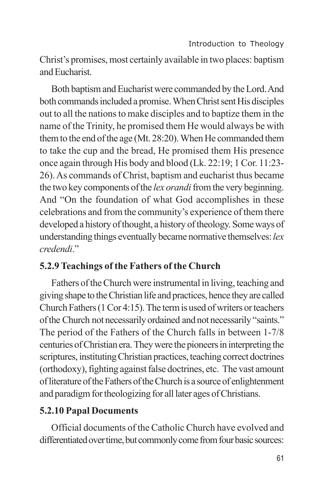Christ's promises, most certainly available in two places: baptism and Eucharist.

Both baptism and Eucharist were commanded by the Lord. And both commands included a promise. When Christ sent His disciples out to all the nations to make disciples and to baptize them in the name of the Trinity, he promised them He would always be with them to the end of the age (Mt. 28:20). When He commanded them to take the cup and the bread, He promised them His presence once again through His body and blood (Lk. 22:19; 1 Cor. 11:23- 26). As commands of Christ, baptism and eucharist thus became the two key components of the *lex orandi* from the very beginning. And "On the foundation of what God accomplishes in these celebrations and from the community's experience of them there developed a history of thought, a history of theology. Some ways of understanding things eventually became normative themselves: *lex credendi*."

# **5.2.9 Teachings of the Fathers of the Church**

Fathers of the Church were instrumental in living, teaching and giving shape to the Christian life and practices, hence they are called Church Fathers (1 Cor 4:15). The term is used of writers or teachers of the Church not necessarily ordained and not necessarily "saints." The period of the Fathers of the Church falls in between 1-7/8 centuries of Christian era. They were the pioneers in interpreting the scriptures, instituting Christian practices, teaching correct doctrines (orthodoxy), fighting against false doctrines, etc. The vast amount of literature of the Fathers of the Church is a source of enlightenment and paradigm for theologizing for all later ages of Christians.

# **5.2.10 Papal Documents**

Official documents of the Catholic Church have evolved and differentiated over time, but commonly come from four basic sources: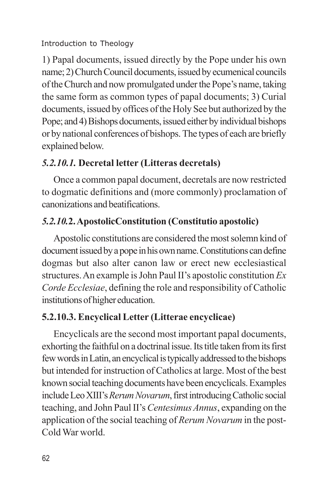1) Papal documents, issued directly by the Pope under his own name; 2) Church Council documents, issued by ecumenical councils of the Church and now promulgated under the Pope's name, taking the same form as common types of papal documents; 3) Curial documents, issued by offices of the Holy See but authorized by the Pope; and 4) Bishops documents, issued either by individual bishops or by national conferences of bishops. The types of each are briefly explained below.

# *5.2.10.1.* **Decretal letter (Litteras decretals)**

Once a common papal document, decretals are now restricted to dogmatic definitions and (more commonly) proclamation of canonizations and beatifications.

# *5.2.10.***2. ApostolicConstitution (Constitutio apostolic)**

Apostolic constitutions are considered the most solemn kind of document issued by a pope in his own name. Constitutions can define dogmas but also alter canon law or erect new ecclesiastical structures. An example is John Paul II's apostolic constitution *Ex Corde Ecclesiae*, defining the role and responsibility of Catholic institutions of higher education.

# **5.2.10.3. Encyclical Letter (Litterae encyclicae)**

Encyclicals are the second most important papal documents, exhorting the faithful on a doctrinal issue. Its title taken from its first few words in Latin, an encyclical is typically addressed to the bishops but intended for instruction of Catholics at large. Most of the best known social teaching documents have been encyclicals. Examples include Leo XIII's *Rerum Novarum*, first introducing Catholic social teaching, and John Paul II's *Centesimus Annus*, expanding on the application of the social teaching of *Rerum Novarum* in the post-Cold War world.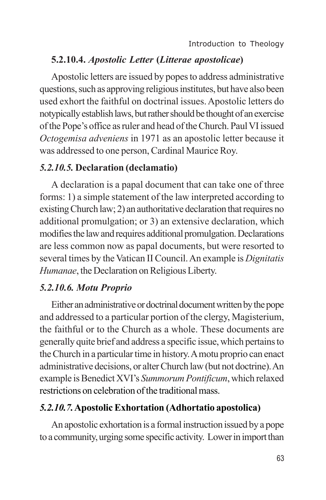### **5.2.10.4.** *Apostolic Letter* **(***Litterae apostolicae***)**

Apostolic letters are issued by popes to address administrative questions, such as approving religious institutes, but have also been used exhort the faithful on doctrinal issues. Apostolic letters do notypically establish laws, but rather should be thought of an exercise of the Pope's office as ruler and head of the Church. Paul VI issued *Octogemisa adveniens* in 1971 as an apostolic letter because it was addressed to one person, Cardinal Maurice Roy.

#### *5.2.10.5.* **Declaration (declamatio)**

A declaration is a papal document that can take one of three forms: 1) a simple statement of the law interpreted according to existing Church law; 2) an authoritative declaration that requires no additional promulgation; or 3) an extensive declaration, which modifies the law and requires additional promulgation. Declarations are less common now as papal documents, but were resorted to several times by the Vatican II Council. An example is *Dignitatis Humanae*, the Declaration on Religious Liberty.

#### *5.2.10.6. Motu Proprio*

Either an administrative or doctrinal document written by the pope and addressed to a particular portion of the clergy, Magisterium, the faithful or to the Church as a whole. These documents are generally quite brief and address a specific issue, which pertains to the Church in a particular time in history. A motu proprio can enact administrative decisions, or alter Church law (but not doctrine). An example is Benedict XVI's *Summorum Pontificum*, which relaxed restrictions on celebration of the traditional mass.

#### *5.2.10.7.***Apostolic Exhortation (Adhortatio apostolica)**

An apostolic exhortation is a formal instruction issued by a pope to a community, urging some specific activity. Lower in import than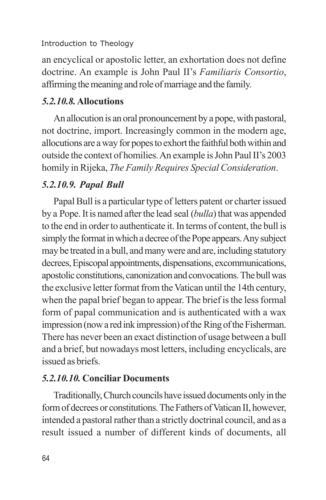an encyclical or apostolic letter, an exhortation does not define doctrine. An example is John Paul II's *Familiaris Consortio*, affirming the meaning and role of marriage and the family.

### *5.2.10.8.***Allocutions**

An allocution is an oral pronouncement by a pope, with pastoral, not doctrine, import. Increasingly common in the modern age, allocutions are a way for popes to exhort the faithful both within and outside the context of homilies. An example is John Paul II's 2003 homily in Rijeka, *The Family Requires Special Consideration*.

# *5.2.10.9. Papal Bull*

Papal Bull is a particular type of letters patent or charter issued by a Pope. It is named after the lead seal (*bulla*) that was appended to the end in order to authenticate it. In terms of content, the bull is simply the format in which a decree of the Pope appears. Any subject may be treated in a bull, and many were and are, including statutory decrees, Episcopal appointments, dispensations, excommunications, apostolic constitutions, canonization and convocations. The bull was the exclusive letter format from the Vatican until the 14th century, when the papal brief began to appear. The brief is the less formal form of papal communication and is authenticated with a wax impression (now a red ink impression) of the Ring of the Fisherman. There has never been an exact distinction of usage between a bull and a brief, but nowadays most letters, including encyclicals, are issued as briefs.

## *5.2.10.10.* **Conciliar Documents**

Traditionally, Church councils have issued documents only in the form of decrees or constitutions. The Fathers of Vatican II, however, intended a pastoral rather than a strictly doctrinal council, and as a result issued a number of different kinds of documents, all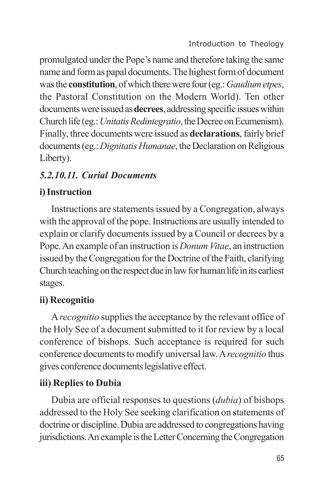promulgated under the Pope's name and therefore taking the same name and form as papal documents. The highest form of document was the **constitution**, of which there were four (eg.: *Gaudium etpes*, the Pastoral Constitution on the Modern World). Ten other documents were issued as **decrees**, addressing specific issues within Church life (eg.: *Unitatis Redintegratio*, the Decree on Ecumenism). Finally, three documents were issued as **declarations**, fairly brief documents (eg.: *Dignitatis Humanae*, the Declaration on Religious Liberty).

# *5.2.10.11. Curial Documents*

# **i) Instruction**

Instructions are statements issued by a Congregation, always with the approval of the pope. Instructions are usually intended to explain or clarify documents issued by a Council or decrees by a Pope. An example of an instruction is *Donum Vitae*, an instruction issued by the Congregation for the Doctrine of the Faith, clarifying Church teaching on the respect due in law for human life in its earliest stages.

# **ii) Recognitio**

A *recognitio* supplies the acceptance by the relevant office of the Holy See of a document submitted to it for review by a local conference of bishops. Such acceptance is required for such conference documents to modify universal law. A *recognitio* thus gives conference documents legislative effect.

# **iii) Replies to Dubia**

Dubia are official responses to questions (*dubia*) of bishops addressed to the Holy See seeking clarification on statements of doctrine or discipline. Dubia are addressed to congregations having jurisdictions. An example is the Letter Concerning the Congregation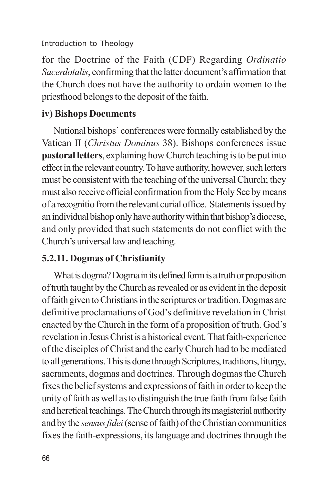for the Doctrine of the Faith (CDF) Regarding *Ordinatio Sacerdotalis*, confirming that the latter document's affirmation that the Church does not have the authority to ordain women to the priesthood belongs to the deposit of the faith.

# **iv) Bishops Documents**

National bishops' conferences were formally established by the Vatican II (*Christus Dominus* 38). Bishops conferences issue **pastoral letters**, explaining how Church teaching is to be put into effect in the relevant country. To have authority, however, such letters must be consistent with the teaching of the universal Church; they must also receive official confirmation from the Holy See by means of a recognitio from the relevant curial office. Statements issued by an individual bishop only have authority within that bishop's diocese, and only provided that such statements do not conflict with the Church's universal law and teaching.

# **5.2.11. Dogmas of Christianity**

What is dogma? Dogma in its defined form is a truth or proposition of truth taught by the Church as revealed or as evident in the deposit of faith given to Christians in the scriptures or tradition. Dogmas are definitive proclamations of God's definitive revelation in Christ enacted by the Church in the form of a proposition of truth. God's revelation in Jesus Christ is a historical event. That faith-experience of the disciples of Christ and the early Church had to be mediated to all generations. This is done through Scriptures, traditions, liturgy, sacraments, dogmas and doctrines. Through dogmas the Church fixes the belief systems and expressions of faith in order to keep the unity of faith as well as to distinguish the true faith from false faith and heretical teachings. The Church through its magisterial authority and by the *sensus fidei* (sense of faith) of the Christian communities fixes the faith-expressions, its language and doctrines through the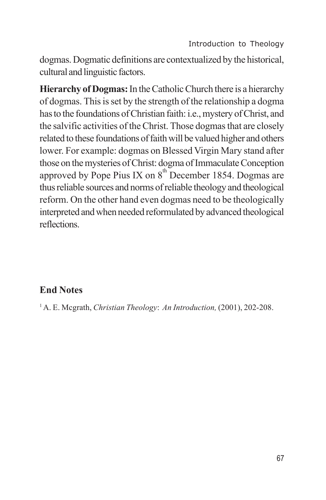dogmas. Dogmatic definitions are contextualized by the historical, cultural and linguistic factors.

**Hierarchy of Dogmas:** In the Catholic Church there is a hierarchy of dogmas. This is set by the strength of the relationship a dogma has to the foundations of Christian faith: i.e., mystery of Christ, and the salvific activities of the Christ. Those dogmas that are closely related to these foundations of faith will be valued higher and others lower. For example: dogmas on Blessed Virgin Mary stand after those on the mysteries of Christ: dogma of Immaculate Conception approved by Pope Pius IX on  $8<sup>th</sup>$  December 1854. Dogmas are thus reliable sources and norms of reliable theology and theological reform. On the other hand even dogmas need to be theologically interpreted and when needed reformulated by advanced theological reflections.

## **End Notes**

1A. E. Mcgrath, *Christian Theology*: *An Introduction,* (2001), 202-208.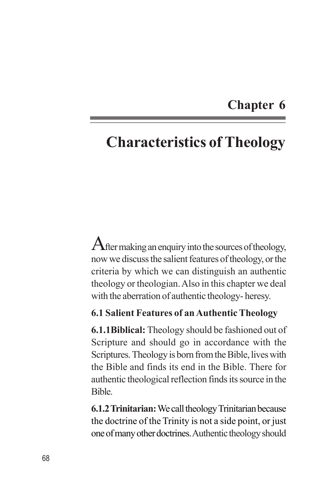# **Chapter 6**

# **Characteristics of Theology**

After making an enquiry into the sources of theology, now we discuss the salient features of theology, or the criteria by which we can distinguish an authentic theology or theologian. Also in this chapter we deal with the aberration of authentic theology- heresy.

#### **6.1 Salient Features of an Authentic Theology**

**6.1.1Biblical:** Theology should be fashioned out of Scripture and should go in accordance with the Scriptures. Theology is born from the Bible, lives with the Bible and finds its end in the Bible. There for authentic theological reflection finds its source in the Bible.

**6.1.2 Trinitarian:** We call theology Trinitarian because the doctrine of the Trinity is not a side point, or just one of many other doctrines. Authentic theology should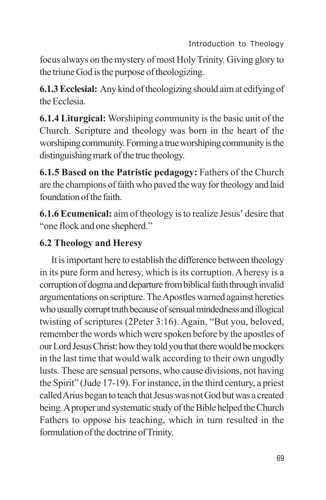focus always on the mystery of most Holy Trinity. Giving glory to the triune God is the purpose of theologizing.

**6.1.3 Ecclesial:** Any kind of theologizing should aim at edifying of the Ecclesia.

**6.1.4 Liturgical:** Worshiping community is the basic unit of the Church. Scripture and theology was born in the heart of the worshiping community. Forming a true worshiping community is the distinguishing mark of the true theology.

**6.1.5 Based on the Patristic pedagogy:** Fathers of the Church are the champions of faith who paved the way for theology and laid foundation of the faith.

**6.1.6Ecumenical:** aim of theology is to realize Jesus' desire that "one flock and one shepherd."

# **6.2 Theology and Heresy**

It is important here to establish the difference between theology in its pure form and heresy, which is its corruption. A heresy is a corruption of dogma and departure from biblical faith through invalid argumentations on scripture. The Apostles warned against heretics who usually corrupt truth because of sensual mindedness and illogical twisting of scriptures (2Peter 3:16). Again, "But you, beloved, remember the words which were spoken before by the apostles of our Lord Jesus Christ: how they told you that there would be mockers in the last time that would walk according to their own ungodly lusts. These are sensual persons, who cause divisions, not having the Spirit" (Jude 17-19). For instance, in the third century, a priest called Arius began to teach that Jesus was not God but was a created being. A proper and systematic study of the Bible helped the Church Fathers to oppose his teaching, which in turn resulted in the formulation of the doctrine of Trinity.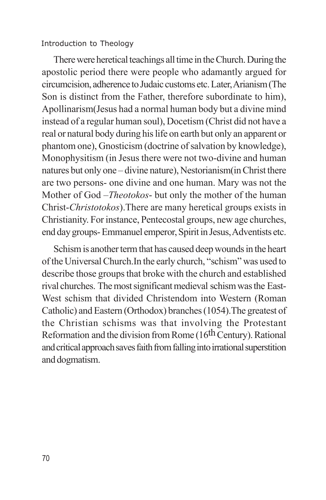There were heretical teachings all time in the Church. During the apostolic period there were people who adamantly argued for circumcision, adherence to Judaic customs etc. Later, Arianism (The Son is distinct from the Father, therefore subordinate to him), Apollinarism(Jesus had a normal human body but a divine mind instead of a regular human soul), Docetism (Christ did not have a real or natural body during his life on earth but only an apparent or phantom one), Gnosticism (doctrine of salvation by knowledge), Monophysitism (in Jesus there were not two-divine and human natures but only one – divine nature), Nestorianism(in Christ there are two persons- one divine and one human. Mary was not the Mother of God –*Theotokos*- but only the mother of the human Christ-*Christotokos*).There are many heretical groups exists in Christianity. For instance, Pentecostal groups, new age churches, end day groups- Emmanuel emperor, Spirit in Jesus, Adventists etc.

Schism is another term that has caused deep wounds in the heart of the Universal Church.In the early church, "schism" was used to describe those groups that broke with the church and established rival churches. The most significant medieval schism was the East-West schism that divided Christendom into Western (Roman Catholic) and Eastern (Orthodox) branches (1054).The greatest of the Christian schisms was that involving the Protestant Reformation and the division from Rome (16<sup>th</sup> Century). Rational and critical approach saves faith from falling into irrational superstition and dogmatism.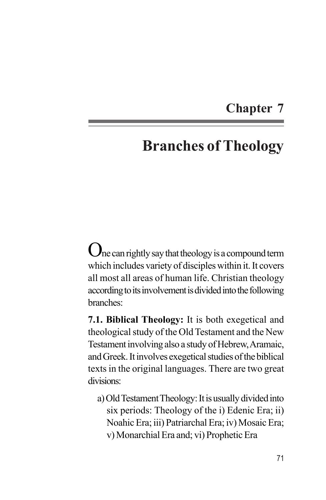# **Chapter 7**

# **Branches of Theology**

One can rightly say that theology is a compound term which includes variety of disciples within it. It covers all most all areas of human life. Christian theology according to its involvement is divided into the following branches:

**7.1. Biblical Theology:** It is both exegetical and theological study of the Old Testament and the New Testament involving also a study of Hebrew, Aramaic, and Greek. It involves exegetical studies of the biblical texts in the original languages. There are two great divisions:

a) Old Testament Theology: It is usually divided into six periods: Theology of the i) Edenic Era; ii) Noahic Era; iii) Patriarchal Era; iv) Mosaic Era; v) Monarchial Era and; vi) Prophetic Era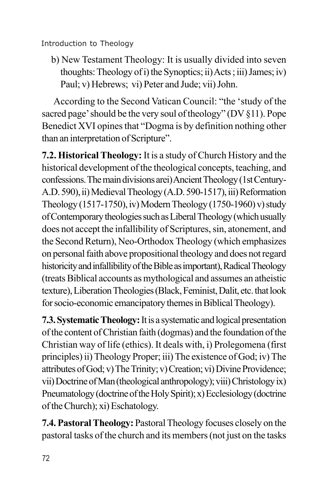b) New Testament Theology: It is usually divided into seven thoughts: Theology of i) the Synoptics; ii) Acts ; iii) James; iv) Paul; v) Hebrews; vi) Peter and Jude; vii) John.

According to the Second Vatican Council: "the 'study of the sacred page' should be the very soul of theology" (DV §11). Pope Benedict XVI opines that "Dogma is by definition nothing other than an interpretation of Scripture".

**7.2. Historical Theology:** It is a study of Church History and the historical development of the theological concepts, teaching, and confessions. The main divisions arei) Ancient Theology (1st Century-A.D. 590), ii) Medieval Theology (A.D. 590-1517), iii) Reformation Theology (1517-1750), iv) Modern Theology (1750-1960) v) study of Contemporary theologies such as Liberal Theology (which usually does not accept the infallibility of Scriptures, sin, atonement, and the Second Return), Neo-Orthodox Theology (which emphasizes on personal faith above propositional theology and does not regard historicity and infallibility of the Bible as important), Radical Theology (treats Biblical accounts as mythological and assumes an atheistic texture), Liberation Theologies (Black, Feminist, Dalit, etc. that look for socio-economic emancipatory themes in Biblical Theology).

**7.3. Systematic Theology:** It is a systematic and logical presentation of the content of Christian faith (dogmas) and the foundation of the Christian way of life (ethics). It deals with, i) Prolegomena (first principles) ii) Theology Proper; iii) The existence of God; iv) The attributes of God; v) The Trinity; v) Creation; vi) Divine Providence; vii) Doctrine of Man (theological anthropology); viii) Christology ix) Pneumatology (doctrine of the Holy Spirit); x) Ecclesiology (doctrine of the Church); xi) Eschatology.

**7.4. Pastoral Theology:** Pastoral Theology focuses closely on the pastoral tasks of the church and its members (not just on the tasks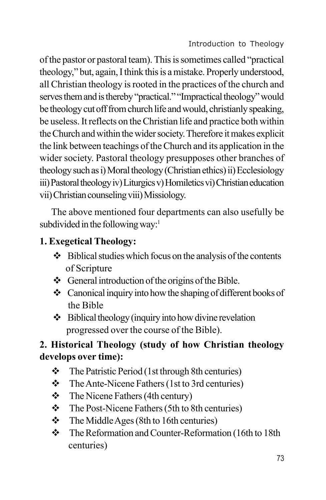of the pastor or pastoral team). This is sometimes called "practical theology," but, again, I think this is a mistake. Properly understood, all Christian theology is rooted in the practices of the church and serves them and is thereby "practical." "Impractical theology" would be theology cut off from church life and would, christianly speaking, be useless. It reflects on the Christian life and practice both within the Church and within the wider society. Therefore it makes explicit the link between teachings of the Church and its application in the wider society. Pastoral theology presupposes other branches of theology such as i) Moral theology (Christian ethics) ii) Ecclesiology iii) Pastoral theology iv) Liturgics v) Homiletics vi) Christian education vii) Christian counseling viii) Missiology.

The above mentioned four departments can also usefully be subdivided in the following way:<sup>1</sup>

## **1. Exegetical Theology:**

- $\triangle$  Biblical studies which focus on the analysis of the contents of Scripture
- $\div$  General introduction of the origins of the Bible.
- $\triangle$  Canonical inquiry into how the shaping of different books of the Bible
- $\triangleleft$  Biblical theology (inquiry into how divine revelation progressed over the course of the Bible).

# **2. Historical Theology (study of how Christian theology develops over time):**

- $\triangle$  The Patristic Period (1st through 8th centuries)
- $\div$  The Ante-Nicene Fathers (1st to 3rd centuries)
- $\div$  The Nicene Fathers (4th century)
- $\div$  The Post-Nicene Fathers (5th to 8th centuries)
- $\div$  The Middle Ages (8th to 16th centuries)
- \* The Reformation and Counter-Reformation (16th to 18th) centuries)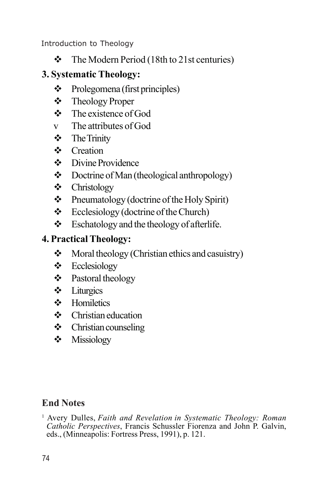$\div$  The Modern Period (18th to 21st centuries)

# **3. Systematic Theology:**

- $\triangleleft$  Prolegomena (first principles)
- v Theology Proper
- $\div$  The existence of God
- v The attributes of God
- $\div$  The Trinity
- ❖ Creation
- $\div$  Divine Providence
- $\triangleleft$  Doctrine of Man (theological anthropology)
- v Christology
- $\triangle$  Pneumatology (doctrine of the Holy Spirit)
- $\div$  Ecclesiology (doctrine of the Church)
- $\div$  Eschatology and the theology of afterlife.

# **4. Practical Theology:**

- $\triangleleft$  Moral theology (Christian ethics and casuistry)
- $\triangleleft$  Ecclesiology
- v Pastoral theology
- $\div$  Liturgics
- $\div$  Homiletics
- $\div$  Christian education
- $\div$  Christian counseling
- v Missiology

## **End Notes**

1 Avery Dulles, *Faith and Revelation in Systematic Theology: Roman Catholic Perspectives*, Francis Schussler Fiorenza and John P. Galvin, eds., (Minneapolis: Fortress Press, 1991), p. 121.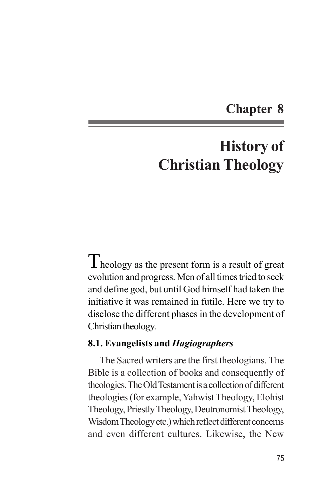# **Chapter 8**

# **History of Christian Theology**

Theology as the present form is a result of great evolution and progress. Men of all times tried to seek and define god, but until God himself had taken the initiative it was remained in futile. Here we try to disclose the different phases in the development of Christian theology.

#### **8.1. Evangelists and** *Hagiographers*

The Sacred writers are the first theologians. The Bible is a collection of books and consequently of theologies. The Old Testament is a collection of different theologies (for example, Yahwist Theology, Elohist Theology, Priestly Theology, Deutronomist Theology, Wisdom Theology etc.) which reflect different concerns and even different cultures. Likewise, the New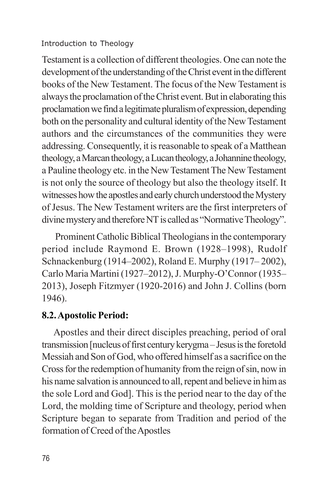Testament is a collection of different theologies. One can note the development of the understanding of the Christ event in the different books of the New Testament. The focus of the New Testament is always the proclamation of the Christ event. But in elaborating this proclamation we find a legitimate pluralism of expression, depending both on the personality and cultural identity of the New Testament authors and the circumstances of the communities they were addressing. Consequently, it is reasonable to speak of a Matthean theology, a Marcan theology, a Lucan theology, a Johannine theology, a Pauline theology etc. in the New Testament The New Testament is not only the source of theology but also the theology itself. It witnesses how the apostles and early church understood the Mystery of Jesus. The New Testament writers are the first interpreters of divine mystery and therefore NT is called as "Normative Theology".

 Prominent Catholic Biblical Theologians in the contemporary period include Raymond E. Brown (1928–1998), Rudolf Schnackenburg (1914–2002), Roland E. Murphy (1917– 2002), Carlo Maria Martini (1927–2012), J. Murphy-O'Connor (1935– 2013), Joseph Fitzmyer (1920-2016) and John J. Collins (born 1946).

## **8.2. Apostolic Period:**

Apostles and their direct disciples preaching, period of oral transmission [nucleus of first century kerygma – Jesus is the foretold Messiah and Son of God, who offered himself as a sacrifice on the Cross for the redemption of humanity from the reign of sin, now in his name salvation is announced to all, repent and believe in him as the sole Lord and God]. This is the period near to the day of the Lord, the molding time of Scripture and theology, period when Scripture began to separate from Tradition and period of the formation of Creed of the Apostles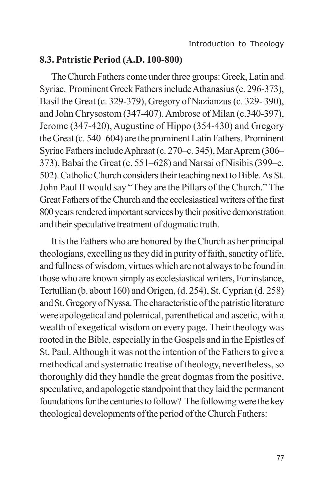#### **8.3. Patristic Period (A.D. 100-800)**

The Church Fathers come under three groups: Greek, Latin and Syriac. Prominent Greek Fathers include Athanasius (c. 296-373), Basil the Great (c. 329-379), Gregory of Nazianzus (c. 329- 390), and John Chrysostom (347-407). Ambrose of Milan (c.340-397), Jerome (347-420), Augustine of Hippo (354-430) and Gregory the Great (c. 540–604) are the prominent Latin Fathers. Prominent Syriac Fathers include Aphraat (c. 270–c. 345), Mar Aprem (306– 373), Babai the Great (c. 551–628) and Narsai of Nisibis (399–c. 502).Catholic Church considers their teaching next to Bible. As St. John Paul II would say "They are the Pillars of the Church." The Great Fathers of the Church and the ecclesiastical writers of the first 800 years rendered important services by their positive demonstration and their speculative treatment of dogmatic truth.

It is the Fathers who are honored by the Church as her principal theologians, excelling as they did in purity of faith, sanctity of life, and fullness of wisdom, virtues which are not always to be found in those who are known simply as ecclesiastical writers, For instance, Tertullian (b. about 160) and Origen, (d. 254), St. Cyprian (d. 258) and St. Gregory of Nyssa. The characteristic of the patristic literature were apologetical and polemical, parenthetical and ascetic, with a wealth of exegetical wisdom on every page. Their theology was rooted in the Bible, especially in the Gospels and in the Epistles of St. Paul. Although it was not the intention of the Fathers to give a methodical and systematic treatise of theology, nevertheless, so thoroughly did they handle the great dogmas from the positive, speculative, and apologetic standpoint that they laid the permanent foundations for the centuries to follow? The following were the key theological developments of the period of the Church Fathers: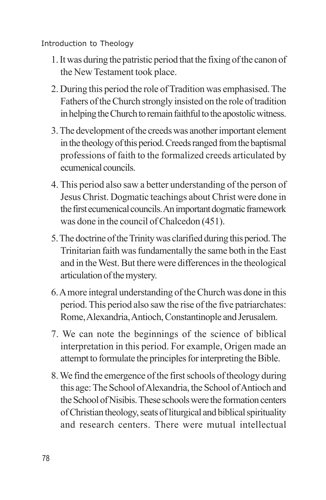- 1. It was during the patristic period that the fixing of the canon of the New Testament took place.
- 2. During this period the role of Tradition was emphasised. The Fathers of the Church strongly insisted on the role of tradition in helping the Church to remain faithful to the apostolic witness.
- 3. The development of the creeds was another important element in the theology of this period. Creeds ranged from the baptismal professions of faith to the formalized creeds articulated by ecumenical councils.
- 4. This period also saw a better understanding of the person of Jesus Christ. Dogmatic teachings about Christ were done in the first ecumenical councils. An important dogmatic framework was done in the council of Chalcedon (451).
- 5. The doctrine of the Trinity was clarified during this period. The Trinitarian faith was fundamentally the same both in the East and in the West. But there were differences in the theological articulation of the mystery.
- 6. A more integral understanding of the Church was done in this period. This period also saw the rise of the five patriarchates: Rome, Alexandria, Antioch, Constantinople and Jerusalem.
- 7. We can note the beginnings of the science of biblical interpretation in this period. For example, Origen made an attempt to formulate the principles for interpreting the Bible.
- 8. We find the emergence of the first schools of theology during this age: The School of Alexandria, the School of Antioch and the School of Nisibis. These schools were the formation centers of Christian theology, seats of liturgical and biblical spirituality and research centers. There were mutual intellectual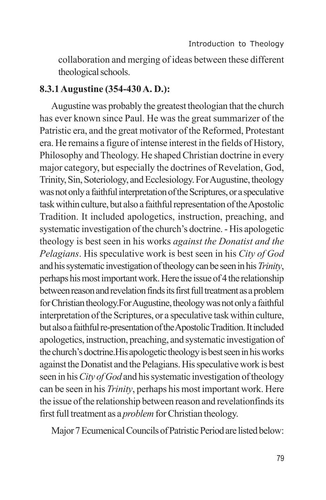collaboration and merging of ideas between these different theological schools.

#### **8.3.1 Augustine (354-430 A. D.):**

Augustine was probably the greatest theologian that the church has ever known since Paul. He was the great summarizer of the Patristic era, and the great motivator of the Reformed, Protestant era. He remains a figure of intense interest in the fields of History, Philosophy and Theology. He shaped Christian doctrine in every major category, but especially the doctrines of Revelation, God, Trinity, Sin, Soteriology, and Ecclesiology. For Augustine, theology was not only a faithful interpretation of the Scriptures, or a speculative task within culture, but also a faithful representation of the Apostolic Tradition. It included apologetics, instruction, preaching, and systematic investigation of the church's doctrine. - His apologetic theology is best seen in his works *against the Donatist and the Pelagians*. His speculative work is best seen in his *City of God* and his systematic investigation of theology can be seen in his *Trinity*, perhaps his most important work. Here the issue of 4 the relationship between reason and revelation finds its first full treatment as a problem for Christian theology.For Augustine, theology was not only a faithful interpretation of the Scriptures, or a speculative task within culture, but also a faithful re-presentation of the Apostolic Tradition. It included apologetics, instruction, preaching, and systematic investigation of the church's doctrine.His apologetic theology is best seen in his works against the Donatist and the Pelagians. His speculative work is best seen in his *City of God* and his systematic investigation of theology can be seen in his *Trinity*, perhaps his most important work. Here the issue of the relationship between reason and revelationfinds its first full treatment as a *problem* for Christian theology.

Major 7 Ecumenical Councils of Patristic Period are listed below: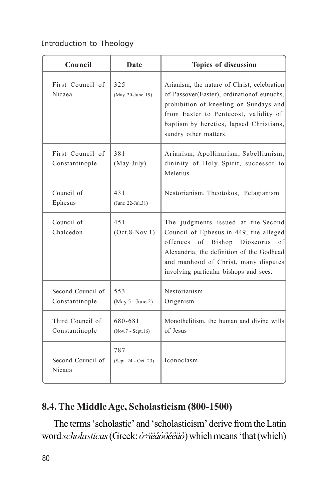| Council                             | Date                         | Topics of discussion                                                                                                                                                                                                                              |
|-------------------------------------|------------------------------|---------------------------------------------------------------------------------------------------------------------------------------------------------------------------------------------------------------------------------------------------|
| First Council of<br>Nicaea          | 325<br>(May 20-June 19)      | Arianism, the nature of Christ, celebration<br>of Passover(Easter), ordination of eunuchs,<br>prohibition of kneeling on Sundays and<br>from Easter to Pentecost, validity of<br>baptism by heretics, lapsed Christians,<br>sundry other matters. |
| First Council of<br>Constantinople  | 381<br>$(May-July)$          | Arianism, Apollinarism, Sabellianism,<br>dininity of Holy Spirit, successor to<br>Meletius                                                                                                                                                        |
| Council of<br>Ephesus               | 431<br>$(June 22-Jul.31)$    | Nestorianism, Theotokos, Pelagianism                                                                                                                                                                                                              |
| Council of<br>Chalcedon             | 451<br>$(Oct.8-Nov.1)$       | The judgments issued at the Second<br>Council of Ephesus in 449, the alleged<br>offences of Bishop Dioscorus<br>of<br>Alexandria, the definition of the Godhead<br>and manhood of Christ, many disputes<br>involving particular bishops and sees. |
| Second Council of<br>Constantinople | 553<br>(May 5 - June 2)      | Nestorianism<br>Origenism                                                                                                                                                                                                                         |
| Third Council of<br>Constantinople  | 680-681<br>(Nov.7 - Sept.16) | Monothelitism, the human and divine wills<br>of Jesus                                                                                                                                                                                             |
| Second Council of<br>Nicaea         | 787<br>(Sept. 24 - Oct. 23)  | Iconoclasm                                                                                                                                                                                                                                        |

# **8.4. The Middle Age, Scholasticism (800-1500)**

The terms 'scholastic' and 'scholasticism' derive from the Latin word *scholasticus* (Greek: *ó÷ïëáóôéêüò*) which means 'that (which)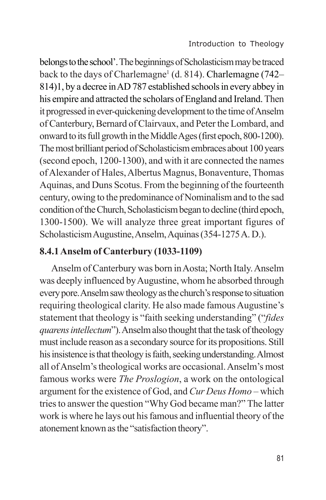belongs to the school'. The beginnings of Scholasticism may be traced back to the days of Charlemagne<sup>1</sup> (d. 814). Charlemagne (742– 814)1, by a decree in AD 787 established schools in every abbey in his empire and attracted the scholars of England and Ireland. Then it progressed in ever-quickening development to the time of Anselm of Canterbury, Bernard of Clairvaux, and Peter the Lombard, and onward to its full growth in the Middle Ages (first epoch, 800-1200). The most brilliant period of Scholasticism embraces about 100 years (second epoch, 1200-1300), and with it are connected the names of Alexander of Hales, Albertus Magnus, Bonaventure, Thomas Aquinas, and Duns Scotus. From the beginning of the fourteenth century, owing to the predominance of Nominalism and to the sad condition of the Church, Scholasticism began to decline (third epoch, 1300-1500). We will analyze three great important figures of Scholasticism Augustine, Anselm, Aquinas (354-1275 A. D.).

## **8.4.1 Anselm of Canterbury (1033-1109)**

Anselm of Canterbury was born in Aosta; North Italy. Anselm was deeply influenced by Augustine, whom he absorbed through every pore. Anselm saw theology as the church's response to situation requiring theological clarity. He also made famous Augustine's statement that theology is "faith seeking understanding" ("*fides quarens intellectum*"). Anselm also thought that the task of theology must include reason as a secondary source for its propositions. Still his insistence is that theology is faith, seeking understanding. Almost all of Anselm's theological works are occasional. Anselm's most famous works were *The Proslogion*, a work on the ontological argument for the existence of God, and *Cur Deus Homo* – which tries to answer the question "Why God became man?" The latter work is where he lays out his famous and influential theory of the atonement known as the "satisfaction theory".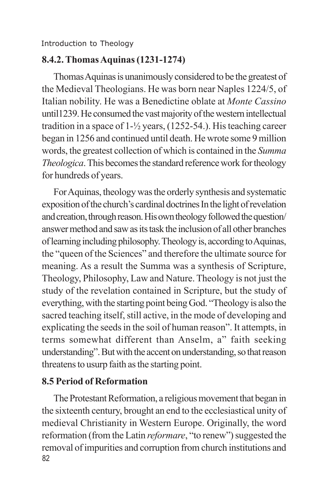# **8.4.2. Thomas Aquinas (1231-1274)**

Thomas Aquinas is unanimously considered to be the greatest of the Medieval Theologians. He was born near Naples 1224/5, of Italian nobility. He was a Benedictine oblate at *Monte Cassino* until1239. He consumed the vast majority of the western intellectual tradition in a space of 1-½ years, (1252-54.). His teaching career began in 1256 and continued until death. He wrote some 9 million words, the greatest collection of which is contained in the *Summa Theologica*. This becomes the standard reference work for theology for hundreds of years.

For Aquinas, theology was the orderly synthesis and systematic exposition of the church's cardinal doctrines In the light of revelation and creation, through reason. His own theology followed the question/ answer method and saw as its task the inclusion of all other branches of learning including philosophy. Theology is, according to Aquinas, the "queen of the Sciences" and therefore the ultimate source for meaning. As a result the Summa was a synthesis of Scripture, Theology, Philosophy, Law and Nature. Theology is not just the study of the revelation contained in Scripture, but the study of everything, with the starting point being God. "Theology is also the sacred teaching itself, still active, in the mode of developing and explicating the seeds in the soil of human reason". It attempts, in terms somewhat different than Anselm, a" faith seeking understanding". But with the accent on understanding, so that reason threatens to usurp faith as the starting point.

## **8.5 Period of Reformation**

82 The Protestant Reformation, a religious movement that began in the sixteenth century, brought an end to the ecclesiastical unity of medieval Christianity in Western Europe. Originally, the word reformation (from the Latin *reformare*, "to renew") suggested the removal of impurities and corruption from church institutions and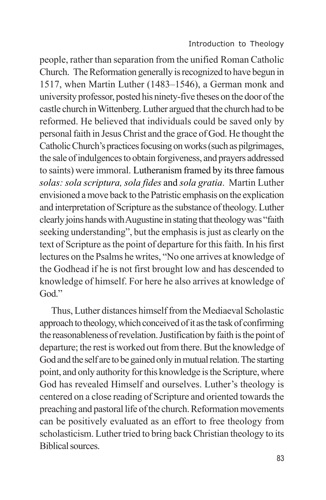people, rather than separation from the unified Roman Catholic Church. The Reformation generally is recognized to have begun in 1517, when Martin Luther (1483–1546), a German monk and university professor, posted his ninety-five theses on the door of the castle church in Wittenberg. Luther argued that the church had to be reformed. He believed that individuals could be saved only by personal faith in Jesus Christ and the grace of God. He thought the Catholic Church's practices focusing on works (such as pilgrimages, the sale of indulgences to obtain forgiveness, and prayers addressed to saints) were immoral. Lutheranism framed by its three famous *solas: sola scriptura, sola fides* and *sola gratia*. Martin Luther envisioned a move back to the Patristic emphasis on the explication and interpretation of Scripture as the substance of theology. Luther clearly joins hands with Augustine in stating that theology was "faith seeking understanding", but the emphasis is just as clearly on the text of Scripture as the point of departure for this faith. In his first lectures on the Psalms he writes, "No one arrives at knowledge of the Godhead if he is not first brought low and has descended to knowledge of himself. For here he also arrives at knowledge of God."

Thus, Luther distances himself from the Mediaeval Scholastic approach to theology, which conceived of it as the task of confirming the reasonableness of revelation. Justification by faith is the point of departure; the rest is worked out from there. But the knowledge of God and the self are to be gained only in mutual relation. The starting point, and only authority for this knowledge is the Scripture, where God has revealed Himself and ourselves. Luther's theology is centered on a close reading of Scripture and oriented towards the preaching and pastoral life of the church. Reformation movements can be positively evaluated as an effort to free theology from scholasticism. Luther tried to bring back Christian theology to its Biblical sources.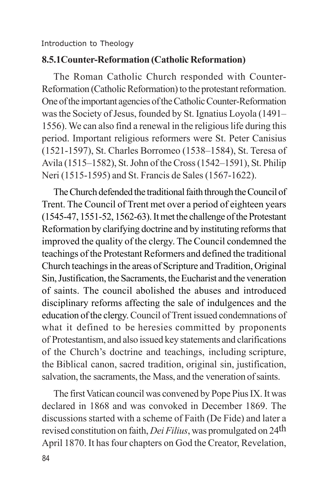#### **8.5.1Counter-Reformation (Catholic Reformation)**

The Roman Catholic Church responded with Counter-Reformation (Catholic Reformation) to the protestant reformation. One of the important agencies of the Catholic Counter-Reformation was the Society of Jesus, founded by St. Ignatius Loyola (1491– 1556). We can also find a renewal in the religious life during this period. Important religious reformers were St. Peter Canisius (1521-1597), St. Charles Borromeo (1538–1584), St. Teresa of Avila (1515–1582), St. John of the Cross (1542–1591), St. Philip Neri (1515-1595) and St. Francis de Sales (1567-1622).

The Church defended the traditional faith through the Council of Trent. The Council of Trent met over a period of eighteen years (1545-47, 1551-52, 1562-63). It met the challenge of the Protestant Reformation by clarifying doctrine and by instituting reforms that improved the quality of the clergy. The Council condemned the teachings of the Protestant Reformers and defined the traditional Church teachings in the areas of Scripture and Tradition, Original Sin, Justification, the Sacraments, the Eucharist and the veneration of saints. The council abolished the abuses and introduced disciplinary reforms affecting the sale of indulgences and the education of the clergy. Council of Trent issued condemnations of what it defined to be heresies committed by proponents of Protestantism, and also issued key statements and clarifications of the Church's doctrine and teachings, including scripture, the Biblical canon, sacred tradition, original sin, justification, salvation, the sacraments, the Mass, and the veneration of saints.

The first Vatican council was convened by Pope Pius IX. It was declared in 1868 and was convoked in December 1869. The discussions started with a scheme of Faith (De Fide) and later a revised constitution on faith, *Dei Filius*, was promulgated on 24th April 1870. It has four chapters on God the Creator, Revelation,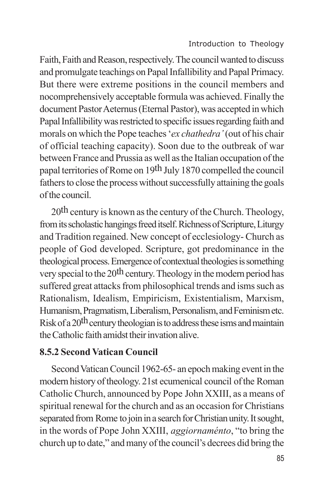Faith, Faith and Reason, respectively. The council wanted to discuss and promulgate teachings on Papal Infallibility and Papal Primacy. But there were extreme positions in the council members and nocomprehensively acceptable formula was achieved. Finally the document Pastor Aeternus (Eternal Pastor), was accepted in which Papal Infallibility was restricted to specific issues regarding faith and morals on which the Pope teaches '*ex chathedra'* (out of his chair of official teaching capacity). Soon due to the outbreak of war between France and Prussia as well as the Italian occupation of the papal territories of Rome on 19th July 1870 compelled the council fathers to close the process without successfully attaining the goals of the council.

 $20<sup>th</sup>$  century is known as the century of the Church. Theology, from its scholastic hangings freed itself. Richness of Scripture, Liturgy and Tradition regained. New concept of ecclesiology- Church as people of God developed. Scripture, got predominance in the theological process. Emergence of contextual theologies is something very special to the  $20<sup>th</sup>$  century. Theology in the modern period has suffered great attacks from philosophical trends and isms such as Rationalism, Idealism, Empiricism, Existentialism, Marxism, Humanism, Pragmatism, Liberalism, Personalism, and Feminism etc. Risk of a 20th century theologian is to address these isms and maintain the Catholic faith amidst their invation alive.

## **8.5.2 Second Vatican Council**

Second Vatican Council 1962-65- an epoch making event in the modern history of theology. 21st ecumenical council of the Roman Catholic Church, announced by Pope John XXIII, as a means of spiritual renewal for the church and as an occasion for Christians separated from Rome to join in a search for Christian unity. It sought, in the words of Pope John XXIII, *aggiornaménto*, "to bring the church up to date," and many of the council's decrees did bring the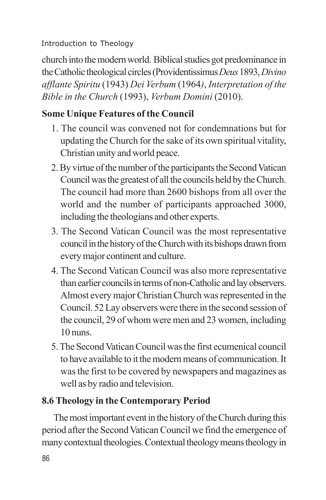church into the modern world. Biblical studies got predominance in the Catholic theological circles (Providentissimus *Deus* 1893, *Divino afflante Spiritu* (1943) *Dei Verbum* (1964*)*, *Interpretation of the Bible in the Church* (1993), *Verbum Domini* (2010).

# **Some Unique Features of the Council**

- 1. The council was convened not for condemnations but for updating the Church for the sake of its own spiritual vitality, Christian unity and world peace.
- 2. By virtue of the number of the participants the Second Vatican Council was the greatest of all the councils held by the Church. The council had more than 2600 bishops from all over the world and the number of participants approached 3000, including the theologians and other experts.
- 3. The Second Vatican Council was the most representative council in the history of the Church with its bishops drawn from every major continent and culture.
- 4. The Second Vatican Council was also more representative than earlier councils in terms of non-Catholic and lay observers. Almost every major Christian Church was represented in the Council. 52 Lay observers were there in the second session of the council, 29 of whom were men and 23 women, including 10 nuns.
- 5. The Second Vatican Council was the first ecumenical council to have available to it the modern means of communication. It was the first to be covered by newspapers and magazines as well as by radio and television.

## **8.6 Theology in the Contemporary Period**

The most important event in the history of the Church during this period after the Second Vatican Council we find the emergence of many contextual theologies. Contextual theology means theology in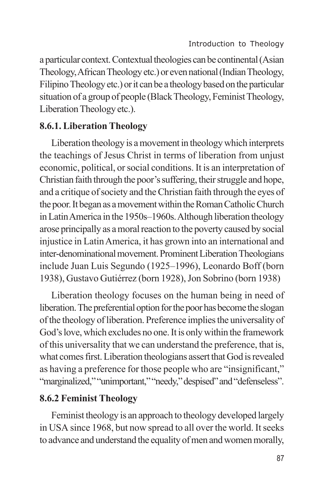a particular context. Contextual theologies can be continental (Asian Theology, African Theology etc.) or even national (Indian Theology, Filipino Theology etc.) or it can be a theology based on the particular situation of a group of people (Black Theology, Feminist Theology, Liberation Theology etc.).

#### **8.6.1. Liberation Theology**

Liberation theology is a movement in theology which interprets the teachings of Jesus Christ in terms of liberation from unjust economic, political, or social conditions. It is an interpretation of Christian faith through the poor's suffering, their struggle and hope, and a critique of society and the Christian faith through the eyes of the poor. It began as a movement within the Roman Catholic Church in Latin America in the 1950s–1960s. Although liberation theology arose principally as a moral reaction to the poverty caused by social injustice in Latin America, it has grown into an international and inter-denominational movement. Prominent Liberation Theologians include Juan Luis Segundo (1925–1996), Leonardo Boff (born 1938), Gustavo Gutiérrez (born 1928), Jon Sobrino (born 1938)

Liberation theology focuses on the human being in need of liberation. The preferential option for the poor has become the slogan of the theology of liberation. Preference implies the universality of God's love, which excludes no one. It is only within the framework of this universality that we can understand the preference, that is, what comes first. Liberation theologians assert that God is revealed as having a preference for those people who are "insignificant," "marginalized," "unimportant," "needy," despised" and "defenseless".

#### **8.6.2 Feminist Theology**

Feminist theology is an approach to theology developed largely in USA since 1968, but now spread to all over the world. It seeks to advance and understand the equality of men and women morally,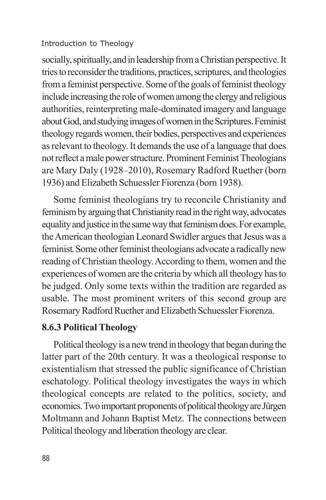socially, spiritually, and in leadership from a Christian perspective. It tries to reconsider the traditions, practices, scriptures, and theologies from a feminist perspective. Some of the goals of feminist theology include increasing the role of women among the clergy and religious authorities, reinterpreting male-dominated imagery and language about God, and studying images of women in the Scriptures. Feminist theology regards women, their bodies, perspectives and experiences as relevant to theology. It demands the use of a language that does not reflect a male power structure. Prominent Feminist Theologians are Mary Daly (1928–2010), Rosemary Radford Ruether (born 1936) and Elizabeth Schuessler Fiorenza (born 1938).

Some feminist theologians try to reconcile Christianity and feminism by arguing that Christianity read in the right way, advocates equality and justice in the same way that feminism does. For example, the American theologian Leonard Swidler argues that Jesus was a feminist. Some other feminist theologians advocate a radically new reading of Christian theology. According to them, women and the experiences of women are the criteria by which all theology has to be judged. Only some texts within the tradition are regarded as usable. The most prominent writers of this second group are Rosemary Radford Ruether and Elizabeth Schuessler Fiorenza.

## **8.6.3 Political Theology**

Political theology is a new trend in theology that began during the latter part of the 20th century. It was a theological response to existentialism that stressed the public significance of Christian eschatology. Political theology investigates the ways in which theological concepts are related to the politics, society, and economics. Two important proponents of political theology are Jürgen Moltmann and Johann Baptist Metz. The connections between Political theology and liberation theology are clear.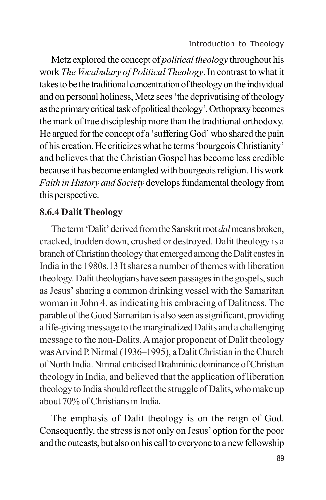Metz explored the concept of *political theology* throughout his work *The Vocabulary of Political Theology*. In contrast to what it takes to be the traditional concentration of theology on the individual and on personal holiness, Metz sees 'the deprivatising of theology as the primary critical task of political theology'. Orthopraxy becomes the mark of true discipleship more than the traditional orthodoxy. He argued for the concept of a 'suffering God' who shared the pain of his creation. He criticizes what he terms 'bourgeois Christianity' and believes that the Christian Gospel has become less credible because it has become entangled with bourgeois religion. His work *Faith in History and Society* develops fundamental theology from this perspective.

### **8.6.4 Dalit Theology**

The term 'Dalit' derived from the Sanskrit root *dal* means broken, cracked, trodden down, crushed or destroyed. Dalit theology is a branch of Christian theology that emerged among the Dalit castes in India in the 1980s.13 It shares a number of themes with liberation theology. Dalit theologians have seen passages in the gospels, such as Jesus' sharing a common drinking vessel with the Samaritan woman in John 4, as indicating his embracing of Dalitness. The parable of the Good Samaritan is also seen as significant, providing a life-giving message to the marginalized Dalits and a challenging message to the non-Dalits. A major proponent of Dalit theology was Arvind P. Nirmal (1936–1995), a Dalit Christian in the Church of North India. Nirmal criticised Brahminic dominance of Christian theology in India, and believed that the application of liberation theology to India should reflect the struggle of Dalits, who make up about 70% of Christians in India.

The emphasis of Dalit theology is on the reign of God. Consequently, the stress is not only on Jesus' option for the poor and the outcasts, but also on his call to everyone to a new fellowship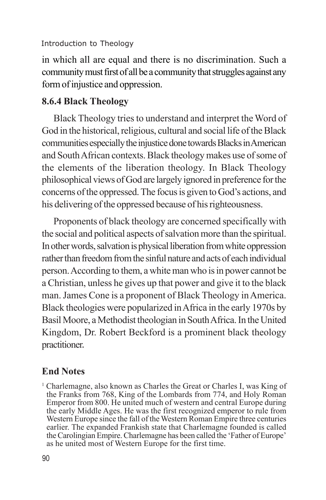in which all are equal and there is no discrimination. Such a community must first of all be a community that struggles against any form of injustice and oppression.

## **8.6.4 Black Theology**

Black Theology tries to understand and interpret the Word of God in the historical, religious, cultural and social life of the Black communities especially the injustice done towards Blacks in American and South African contexts. Black theology makes use of some of the elements of the liberation theology. In Black Theology philosophical views of God are largely ignored in preference for the concerns of the oppressed. The focus is given to God's actions, and his delivering of the oppressed because of his righteousness.

Proponents of black theology are concerned specifically with the social and political aspects of salvation more than the spiritual. In other words, salvation is physical liberation from white oppression rather than freedom from the sinful nature and acts of each individual person. According to them, a white man who is in power cannot be a Christian, unless he gives up that power and give it to the black man. James Cone is a proponent of Black Theology in America. Black theologies were popularized in Africa in the early 1970s by Basil Moore, a Methodist theologian in South Africa. In the United Kingdom, Dr. Robert Beckford is a prominent black theology practitioner.

## **End Notes**

<sup>1</sup> Charlemagne, also known as Charles the Great or Charles I, was King of the Franks from 768, King of the Lombards from 774, and Holy Roman Emperor from 800. He united much of western and central Europe during the early Middle Ages. He was the first recognized emperor to rule from Western Europe since the fall of the Western Roman Empire three centuries earlier. The expanded Frankish state that Charlemagne founded is called the Carolingian Empire. Charlemagne has been called the 'Father of Europe' as he united most of Western Europe for the first time.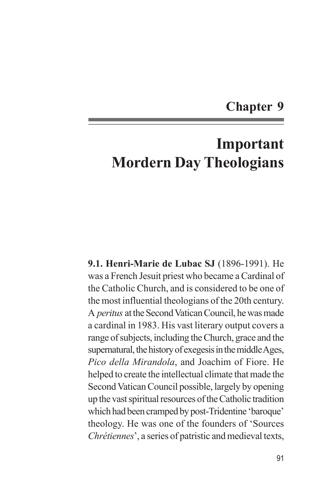# **Chapter 9**

# **Important Mordern Day Theologians**

**9.1. Henri-Marie de Lubac SJ** (1896-1991). He was a French Jesuit priest who became a Cardinal of the Catholic Church, and is considered to be one of the most influential theologians of the 20th century. A *peritus* at the Second Vatican Council, he was made a cardinal in 1983. His vast literary output covers a range of subjects, including the Church, grace and the supernatural, the history of exegesis in the middle Ages, *Pico della Mirandola*, and Joachim of Fiore. He helped to create the intellectual climate that made the Second Vatican Council possible, largely by opening up the vast spiritual resources of the Catholic tradition which had been cramped by post-Tridentine 'baroque' theology. He was one of the founders of 'Sources *Chrétiennes*', a series of patristic and medieval texts,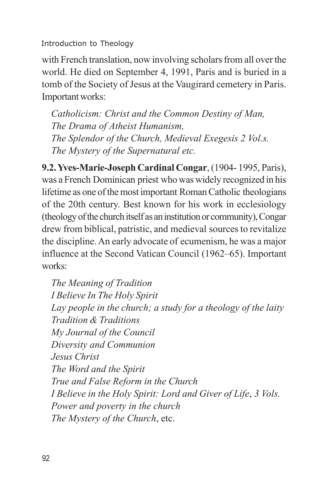with French translation, now involving scholars from all over the world. He died on September 4, 1991, Paris and is buried in a tomb of the Society of Jesus at the Vaugirard cemetery in Paris. Important works:

*Catholicism: Christ and the Common Destiny of Man, The Drama of Atheist Humanism, The Splendor of the Church, Medieval Exegesis 2 Vol.s. The Mystery of the Supernatural etc.*

**9.2. Yves-Marie-Joseph Cardinal Congar**, (1904- 1995, Paris), was a French Dominican priest who was widely recognized in his lifetime as one of the most important Roman Catholic theologians of the 20th century. Best known for his work in ecclesiology (theology of the church itself as an institution or community), Congar drew from biblical, patristic, and medieval sources to revitalize the discipline. An early advocate of ecumenism, he was a major influence at the Second Vatican Council (1962–65). Important works:

*The Meaning of Tradition I Believe In The Holy Spirit Lay people in the church; a study for a theology of the laity Tradition & Traditions My Journal of the Council Diversity and Communion Jesus Christ The Word and the Spirit True and False Reform in the Church I Believe in the Holy Spirit: Lord and Giver of Life*, *3 Vols. Power and poverty in the church The Mystery of the Church*, etc.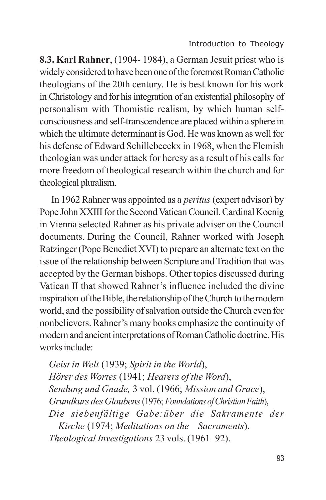**8.3. Karl Rahner**, (1904- 1984), a German Jesuit priest who is widely considered to have been one of the foremost Roman Catholic theologians of the 20th century. He is best known for his work in Christology and for his integration of an existential philosophy of personalism with Thomistic realism, by which human selfconsciousness and self-transcendence are placed within a sphere in which the ultimate determinant is God. He was known as well for his defense of Edward Schillebeeckx in 1968, when the Flemish theologian was under attack for heresy as a result of his calls for more freedom of theological research within the church and for theological pluralism.

In 1962 Rahner was appointed as a *peritus* (expert advisor) by Pope John XXIII for the Second Vatican Council. Cardinal Koenig in Vienna selected Rahner as his private adviser on the Council documents. During the Council, Rahner worked with Joseph Ratzinger (Pope Benedict XVI) to prepare an alternate text on the issue of the relationship between Scripture and Tradition that was accepted by the German bishops. Other topics discussed during Vatican II that showed Rahner's influence included the divine inspiration of the Bible, the relationship of the Church to the modern world, and the possibility of salvation outside the Church even for nonbelievers. Rahner's many books emphasize the continuity of modern and ancient interpretations of Roman Catholic doctrine. His works include:

*Geist in Welt* (1939; *Spirit in the World*), *Hörer des Wortes* (1941; *Hearers of the Word*), *Sendung und Gnade,* 3 vol. (1966; *Mission and Grace*), *Grundkurs des Glaubens* (1976; *Foundations of Christian Faith*), *Die siebenfältige Gabe:über die Sakramente der Kirche* (1974; *Meditations on the Sacraments*). *Theological Investigations* 23 vols. (1961–92).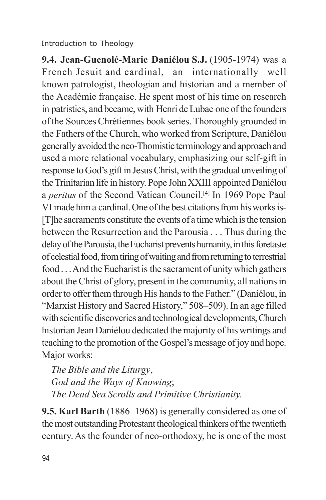**9.4. Jean-Guenolé-Marie Daniélou S.J.** (1905-1974) was a French Jesuit and cardinal, an internationally well known patrologist, theologian and historian and a member of the Académie française. He spent most of his time on research in patristics, and became, with Henri de Lubac one of the founders of the Sources Chrétiennes book series. Thoroughly grounded in the Fathers of the Church, who worked from Scripture, Daniélou generally avoided the neo-Thomistic terminology and approach and used a more relational vocabulary, emphasizing our self-gift in response to God's gift in Jesus Christ, with the gradual unveiling of the Trinitarian life in history. Pope John XXIII appointed Daniélou a *peritus* of the Second Vatican Council.[4] In 1969 Pope Paul VI made him a cardinal. One of the best citations from his works is- [T]he sacraments constitute the events of a time which is the tension between the Resurrection and the Parousia . . . Thus during the delay of the Parousia, the Eucharist prevents humanity, in this foretaste of celestial food, from tiring of waiting and from returning to terrestrial food . . . And the Eucharist is the sacrament of unity which gathers about the Christ of glory, present in the community, all nations in order to offer them through His hands to the Father." (Daniélou, in "Marxist History and Sacred History," 508–509). In an age filled with scientific discoveries and technological developments, Church historian Jean Daniélou dedicated the majority of his writings and teaching to the promotion of the Gospel's message of joy and hope. Major works:

*The Bible and the Liturgy*, *God and the Ways of Knowing*; *The Dead Sea Scrolls and Primitive Christianity.*

**9.5. Karl Barth** (1886–1968) is generally considered as one of the most outstanding Protestant theological thinkers of the twentieth century. As the founder of neo-orthodoxy, he is one of the most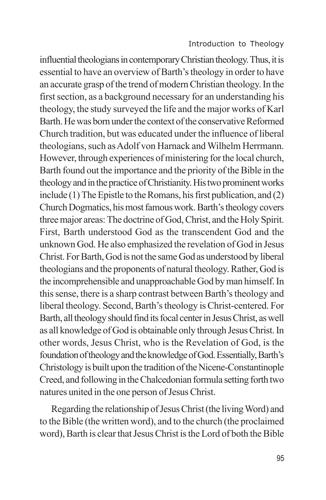influential theologians in contemporary Christian theology. Thus, it is essential to have an overview of Barth's theology in order to have an accurate grasp of the trend of modern Christian theology. In the first section, as a background necessary for an understanding his theology, the study surveyed the life and the major works of Karl Barth. He was born under the context of the conservative Reformed Church tradition, but was educated under the influence of liberal theologians, such as Adolf von Harnack and Wilhelm Herrmann. However, through experiences of ministering for the local church, Barth found out the importance and the priority of the Bible in the theology and in the practice of Christianity. His two prominent works include (1) The Epistle to the Romans, his first publication, and (2) Church Dogmatics, his most famous work. Barth's theology covers three major areas: The doctrine of God, Christ, and the Holy Spirit. First, Barth understood God as the transcendent God and the unknown God. He also emphasized the revelation of God in Jesus Christ. For Barth, God is not the same God as understood by liberal theologians and the proponents of natural theology. Rather, God is the incomprehensible and unapproachable God by man himself. In this sense, there is a sharp contrast between Barth's theology and liberal theology. Second, Barth's theology is Christ-centered. For Barth, all theology should find its focal center in Jesus Christ, as well as all knowledge of God is obtainable only through Jesus Christ. In other words, Jesus Christ, who is the Revelation of God, is the foundation of theology and the knowledge of God. Essentially, Barth's Christology is built upon the tradition of the Nicene-Constantinople Creed, and following in the Chalcedonian formula setting forth two natures united in the one person of Jesus Christ.

Regarding the relationship of Jesus Christ (the living Word) and to the Bible (the written word), and to the church (the proclaimed word), Barth is clear that Jesus Christ is the Lord of both the Bible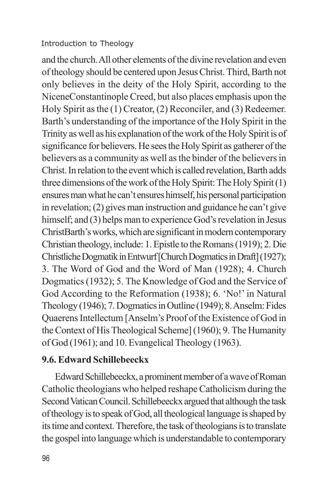and the church. All other elements of the divine revelation and even of theology should be centered upon Jesus Christ. Third, Barth not only believes in the deity of the Holy Spirit, according to the NiceneConstantinople Creed, but also places emphasis upon the Holy Spirit as the (1) Creator, (2) Reconciler, and (3) Redeemer. Barth's understanding of the importance of the Holy Spirit in the Trinity as well as his explanation of the work of the Holy Spirit is of significance for believers. He sees the Holy Spirit as gatherer of the believers as a community as well as the binder of the believers in Christ. In relation to the event which is called revelation, Barth adds three dimensions of the work of the Holy Spirit: The Holy Spirit (1) ensures man what he can't ensures himself, his personal participation in revelation; (2) gives man instruction and guidance he can't give himself; and (3) helps man to experience God's revelation in Jesus ChristBarth's works, which are significant in modern contemporary Christian theology, include: 1. Epistle to the Romans (1919); 2. Die Christliche Dogmatik in Entwurf [Church Dogmatics in Draft] (1927); 3. The Word of God and the Word of Man (1928); 4. Church Dogmatics (1932); 5. The Knowledge of God and the Service of God According to the Reformation (1938); 6. 'No!' in Natural Theology (1946); 7. Dogmatics in Outline (1949); 8. Anselm: Fides Quaerens Intellectum [Anselm's Proof of the Existence of God in the Context of His Theological Scheme] (1960); 9. The Humanity of God (1961); and 10. Evangelical Theology (1963).

### **9.6. Edward Schillebeeckx**

 Edward Schillebeeckx, a prominent member of a wave of Roman Catholic theologians who helped reshape Catholicism during the Second Vatican Council. Schillebeeckx argued that although the task of theology is to speak of God, all theological language is shaped by its time and context. Therefore, the task of theologians is to translate the gospel into language which is understandable to contemporary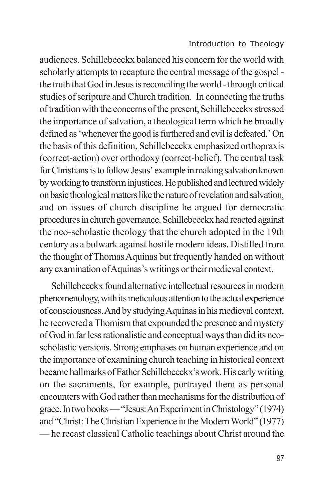audiences. Schillebeeckx balanced his concern for the world with scholarly attempts to recapture the central message of the gospel the truth that God in Jesus is reconciling the world - through critical studies of scripture and Church tradition. In connecting the truths of tradition with the concerns of the present, Schillebeeckx stressed the importance of salvation, a theological term which he broadly defined as 'whenever the good is furthered and evil is defeated.' On the basis of this definition, Schillebeeckx emphasized orthopraxis (correct-action) over orthodoxy (correct-belief). The central task for Christians is to follow Jesus' example in making salvation known by working to transform injustices. He published and lectured widely on basic theological matters like the nature of revelation and salvation, and on issues of church discipline he argued for democratic procedures in church governance. Schillebeeckx had reacted against the neo-scholastic theology that the church adopted in the 19th century as a bulwark against hostile modern ideas. Distilled from the thought of Thomas Aquinas but frequently handed on without any examination of Aquinas's writings or their medieval context.

Schillebeeckx found alternative intellectual resources in modern phenomenology, with its meticulous attention to the actual experience of consciousness. And by studying Aquinas in his medieval context, he recovered a Thomism that expounded the presence and mystery of God in far less rationalistic and conceptual ways than did its neoscholastic versions. Strong emphases on human experience and on the importance of examining church teaching in historical context became hallmarks of Father Schillebeeckx's work. His early writing on the sacraments, for example, portrayed them as personal encounters with God rather than mechanisms for the distribution of grace. In two books — "Jesus: An Experiment in Christology" (1974) and "Christ: The Christian Experience in the Modern World" (1977) — he recast classical Catholic teachings about Christ around the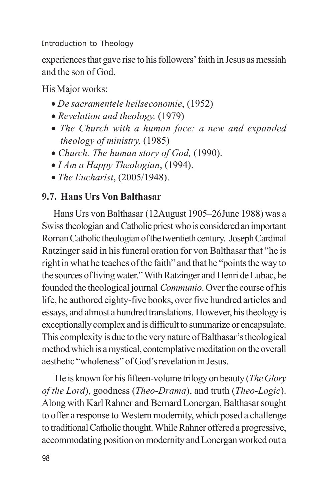experiences that gave rise to his followers' faith in Jesus as messiah and the son of God.

His Major works:

- · *De sacramentele heilseconomie*, (1952)
- · *Revelation and theology,* (1979)
- · *The Church with a human face: a new and expanded theology of ministry,* (1985)
- · *Church. The human story of God,* (1990).
- · *I Am a Happy Theologian*, (1994).
- · *The Eucharist*, (2005/1948).

## **9.7. Hans Urs Von Balthasar**

Hans Urs von Balthasar (12August 1905–26June 1988) was a Swiss theologian and Catholic priest who is considered an important Roman Catholic theologian of the twentieth century. Joseph Cardinal Ratzinger said in his funeral oration for von Balthasar that "he is right in what he teaches of the faith" and that he "points the way to the sources of living water." With Ratzinger and Henri de Lubac, he founded the theological journal *Communio*. Over the course of his life, he authored eighty-five books, over five hundred articles and essays, and almost a hundred translations. However, his theology is exceptionally complex and is difficult to summarize or encapsulate. This complexity is due to the very nature of Balthasar's theological method which is a mystical, contemplative meditation on the overall aesthetic "wholeness" of God's revelation in Jesus.

 He is known for his fifteen-volume trilogy on beauty (*The Glory of the Lord*), goodness (*Theo-Drama*), and truth (*Theo-Logic*). Along with Karl Rahner and Bernard Lonergan, Balthasar sought to offer a response to Western modernity, which posed a challenge to traditional Catholic thought. While Rahner offered a progressive, accommodating position on modernity and Lonergan worked out a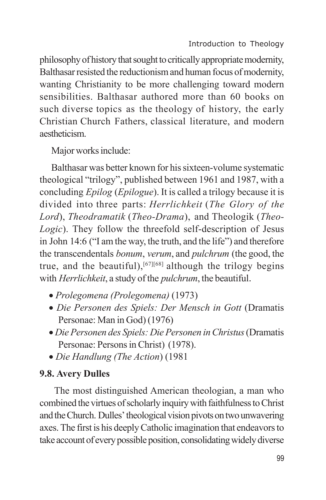philosophy of history that sought to critically appropriate modernity, Balthasar resisted the reductionism and human focus of modernity, wanting Christianity to be more challenging toward modern sensibilities. Balthasar authored more than 60 books on such diverse topics as the theology of history, the early Christian Church Fathers, classical literature, and modern aestheticism.

Major works include:

Balthasar was better known for his sixteen-volume systematic theological "trilogy", published between 1961 and 1987, with a concluding *Epilog* (*Epilogue*). It is called a trilogy because it is divided into three parts: *Herrlichkeit* (*The Glory of the Lord*), *Theodramatik* (*Theo-Drama*), and Theologik (*Theo-Logic*). They follow the threefold self-description of Jesus in John 14:6 ("I am the way, the truth, and the life") and therefore the transcendentals *bonum*, *verum*, and *pulchrum* (the good, the true, and the beautiful),<sup>[67][68]</sup> although the trilogy begins with *Herrlichkeit*, a study of the *pulchrum*, the beautiful.

- · *Prolegomena (Prolegomena)* (1973)
- · *Die Personen des Spiels: Der Mensch in Gott* (Dramatis Personae: Man in God) (1976)
- · *Die Personen des Spiels: Die Personen in Christus* (Dramatis Personae: Persons in Christ) (1978).
- · *Die Handlung (The Action*) (1981

## **9.8. Avery Dulles**

The most distinguished American theologian, a man who combined the virtues of scholarly inquiry with faithfulness to Christ and the Church. Dulles' theological vision pivots on two unwavering axes. The first is his deeply Catholic imagination that endeavors to take account of every possible position, consolidating widely diverse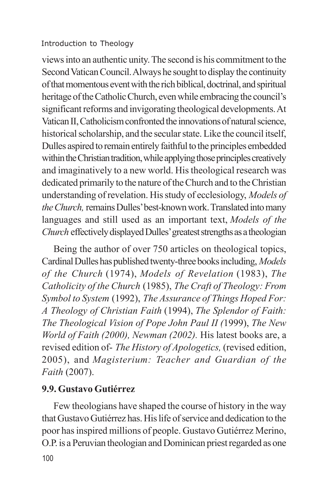views into an authentic unity. The second is his commitment to the Second Vatican Council. Always he sought to display the continuity of that momentous event with the rich biblical, doctrinal, and spiritual heritage of the Catholic Church, even while embracing the council's significant reforms and invigorating theological developments. At Vatican II, Catholicism confronted the innovations of natural science, historical scholarship, and the secular state. Like the council itself, Dulles aspired to remain entirely faithful to the principles embedded within the Christian tradition, while applying those principles creatively and imaginatively to a new world. His theological research was dedicated primarily to the nature of the Church and to the Christian understanding of revelation. His study of ecclesiology, *Models of the Church,* remains Dulles' best-known work. Translated into many languages and still used as an important text, *Models of the Church* effectively displayed Dulles' greatest strengths as a theologian

Being the author of over 750 articles on theological topics, Cardinal Dulles has published twenty-three books including, *Models of the Church* (1974), *Models of Revelation* (1983), *The Catholicity of the Church* (1985), *The Craft of Theology: From Symbol to System* (1992), *The Assurance of Things Hoped For: A Theology of Christian Faith* (1994), *The Splendor of Faith: The Theological Vision of Pope John Paul II (*1999), *The New World of Faith (2000), Newman (2002).* His latest books are, a revised edition of- *The History of Apologetics,* (revised edition, 2005), and *Magisterium: Teacher and Guardian of the Faith* (2007).

### **9.9. Gustavo Gutiérrez**

100 Few theologians have shaped the course of history in the way that Gustavo Gutiérrez has. His life of service and dedication to the poor has inspired millions of people. Gustavo Gutiérrez Merino, O.P. is a Peruvian theologian and Dominican priest regarded as one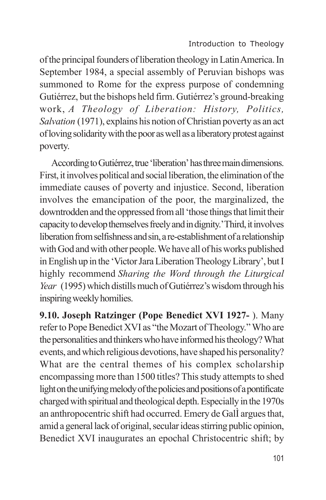of the principal founders of liberation theology in Latin America. In September 1984, a special assembly of Peruvian bishops was summoned to Rome for the express purpose of condemning Gutiérrez, but the bishops held firm. Gutiérrez's ground-breaking work, *A Theology of Liberation: History, Politics, Salvation* (1971), explains his notion of Christian poverty as an act of loving solidarity with the poor as well as a liberatory protest against poverty.

According to Gutiérrez, true 'liberation' has three main dimensions. First, it involves political and social liberation, the elimination of the immediate causes of poverty and injustice. Second, liberation involves the emancipation of the poor, the marginalized, the downtrodden and the oppressed from all 'those things that limit their capacity to develop themselves freely and in dignity.'Third, it involves liberation from selfishness and sin, a re-establishment of a relationship with God and with other people. We have all of his works published in English up in the 'Victor Jara Liberation Theology Library', but I highly recommend *Sharing the Word through the Liturgical Year* (1995) which distills much of Gutiérrez's wisdom through his inspiring weekly homilies.

**9.10. Joseph Ratzinger (Pope Benedict XVI 1927-** ). Many refer to Pope Benedict XVI as "the Mozart of Theology." Who are the personalities and thinkers who have informed his theology? What events, and which religious devotions, have shaped his personality? What are the central themes of his complex scholarship encompassing more than 1500 titles? This study attempts to shed light on the unifying melody of the policies and positions of a pontificate charged with spiritual and theological depth. Especially in the 1970s an anthropocentric shift had occurred. Emery de GalÌ argues that, amid a general lack of original, secular ideas stirring public opinion, Benedict XVI inaugurates an epochal Christocentric shift; by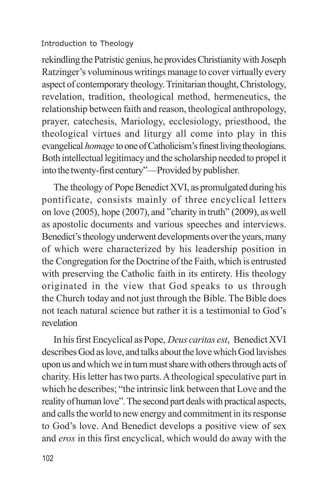rekindling the Patristic genius, he provides Christianity with Joseph Ratzinger's voluminous writings manage to cover virtually every aspect of contemporary theology. Trinitarian thought, Christology, revelation, tradition, theological method, hermeneutics, the relationship between faith and reason, theological anthropology, prayer, catechesis, Mariology, ecclesiology, priesthood, the theological virtues and liturgy all come into play in this evangelical *homage* to one of Catholicism's finest living theologians. Both intellectual legitimacy and the scholarship needed to propel it into the twenty-first century"—Provided by publisher.

The theology of Pope Benedict XVI, as promulgated during his pontificate, consists mainly of three encyclical letters on love (2005), hope (2007), and "charity in truth" (2009), as well as apostolic documents and various speeches and interviews. Benedict's theology underwent developments over the years, many of which were characterized by his leadership position in the Congregation for the Doctrine of the Faith, which is entrusted with preserving the Catholic faith in its entirety. His theology originated in the view that God speaks to us through the Church today and not just through the Bible. The Bible does not teach natural science but rather it is a testimonial to God's revelation

In his first Encyclical as Pope, *Deus caritas est*, Benedict XVI describes God as love, and talks about the love which God lavishes upon us and which we in turn must share with others through acts of charity. His letter has two parts. A theological speculative part in which he describes; "the intrinsic link between that Love and the reality of human love". The second part deals with practical aspects, and calls the world to new energy and commitment in its response to God's love. And Benedict develops a positive view of sex and *eros* in this first encyclical, which would do away with the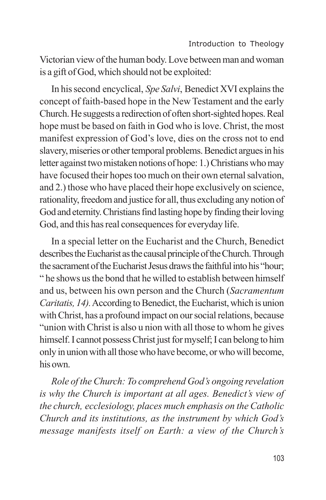Victorian view of the human body. Love between man and woman is a gift of God, which should not be exploited:

In his second encyclical, *Spe Salvi*, Benedict XVI explains the concept of faith-based hope in the New Testament and the early Church. He suggests a redirection of often short-sighted hopes. Real hope must be based on faith in God who is love. Christ, the most manifest expression of God's love, dies on the cross not to end slavery, miseries or other temporal problems. Benedict argues in his letter against two mistaken notions of hope: 1.) Christians who may have focused their hopes too much on their own eternal salvation, and 2.) those who have placed their hope exclusively on science, rationality, freedom and justice for all, thus excluding any notion of God and eternity. Christians find lasting hope by finding their loving God, and this has real consequences for everyday life.

In a special letter on the Eucharist and the Church, Benedict describes the Eucharist as the causal principle of the Church. Through the sacrament of the Eucharist Jesus draws the faithful into his "hour; " he shows us the bond that he willed to establish between himself and us, between his own person and the Church (*Sacramentum Caritatis, 14).*According to Benedict, the Eucharist, which is union with Christ, has a profound impact on our social relations, because "union with Christ is also u nion with all those to whom he gives himself. I cannot possess Christ just for myself; I can belong to him only in union with all those who have become, or who will become, his own.

*Role of the Church: To comprehend God's ongoing revelation is why the Church is important at all ages. Benedict's view of the church, ecclesiology, places much emphasis on the Catholic Church and its institutions, as the instrument by which God's message manifests itself on Earth: a view of the Church's*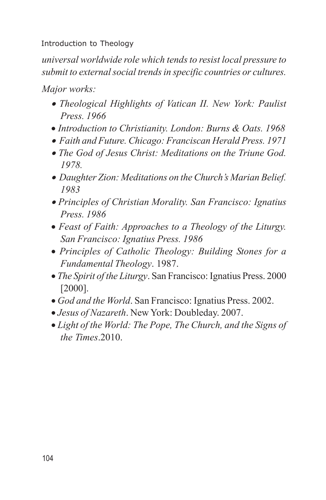*universal worldwide role which tends to resist local pressure to submit to external social trends in specific countries or cultures.*

*Major works:*

- · *Theological Highlights of Vatican II. New York: Paulist Press. 1966*
- · *Introduction to Christianity. London: Burns & Oats. 1968*
- · *Faith and Future. Chicago: Franciscan Herald Press. 1971*
- · *The God of Jesus Christ: Meditations on the Triune God. 1978.*
- · *Daughter Zion: Meditations on the Church's Marian Belief. 1983*
- · *Principles of Christian Morality. San Francisco: Ignatius Press. 1986*
- · *Feast of Faith: Approaches to a Theology of the Liturgy. San Francisco: Ignatius Press. 1986*
- · *Principles of Catholic Theology: Building Stones for a Fundamental Theology*. 1987.
- · *The Spirit of the Liturgy*. San Francisco: Ignatius Press. 2000 [2000].
- · *God and the World*. San Francisco: Ignatius Press. 2002.
- · *Jesus of Nazareth*. New York: Doubleday. 2007.
- · *Light of the World: The Pope, The Church, and the Signs of the Times*.2010.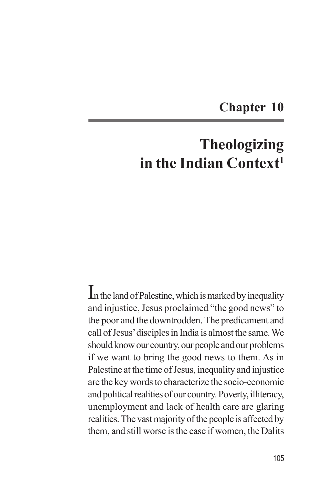# **Chapter 10**

# **Theologizing in the Indian Context<sup>1</sup>**

In the land of Palestine, which is marked by inequality and injustice, Jesus proclaimed "the good news" to the poor and the downtrodden. The predicament and call of Jesus' disciples in India is almost the same. We should know our country, our people and our problems if we want to bring the good news to them. As in Palestine at the time of Jesus, inequality and injustice are the key words to characterize the socio-economic and political realities of our country. Poverty, illiteracy, unemployment and lack of health care are glaring realities. The vast majority of the people is affected by them, and still worse is the case if women, the Dalits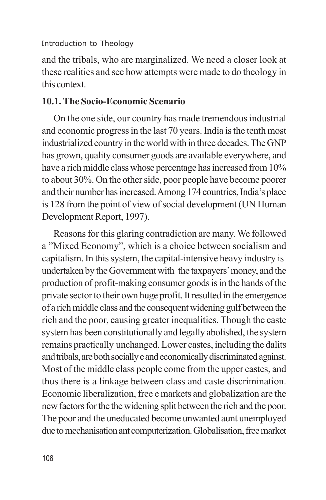and the tribals, who are marginalized. We need a closer look at these realities and see how attempts were made to do theology in this context.

## **10.1. The Socio-Economic Scenario**

On the one side, our country has made tremendous industrial and economic progress in the last 70 years. India is the tenth most industrialized country in the world with in three decades. The GNP has grown, quality consumer goods are available everywhere, and have a rich middle class whose percentage has increased from 10% to about 30%. On the other side, poor people have become poorer and their number has increased. Among 174 countries, India's place is 128 from the point of view of social development (UN Human Development Report, 1997).

Reasons for this glaring contradiction are many. We followed a "Mixed Economy", which is a choice between socialism and capitalism. In this system, the capital-intensive heavy industry is undertaken by the Government with the taxpayers' money, and the production of profit-making consumer goods is in the hands of the private sector to their own huge profit. It resulted in the emergence of a rich middle class and the consequent widening gulf between the rich and the poor, causing greater inequalities. Though the caste system has been constitutionally and legally abolished, the system remains practically unchanged. Lower castes, including the dalits and tribals, are both socially e and economically discriminated against. Most of the middle class people come from the upper castes, and thus there is a linkage between class and caste discrimination. Economic liberalization, free e markets and globalization are the new factors for the the widening split between the rich and the poor. The poor and the uneducated become unwanted aunt unemployed due to mechanisation ant computerization. Globalisation, free market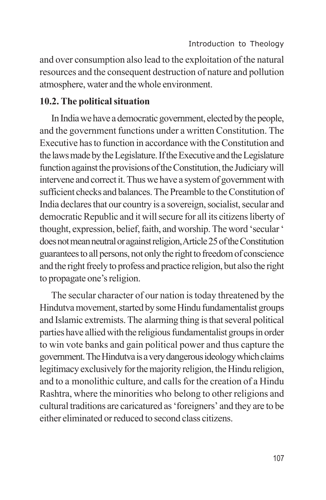and over consumption also lead to the exploitation of the natural resources and the consequent destruction of nature and pollution atmosphere, water and the whole environment.

## **10.2. The political situation**

In India we have a democratic government, elected by the people, and the government functions under a written Constitution. The Executive has to function in accordance with the Constitution and the laws made by the Legislature. If the Executive and the Legislature function against the provisions of the Constitution, the Judiciary will intervene and correct it. Thus we have a system of government with sufficient checks and balances. The Preamble to the Constitution of India declares that our country is a sovereign, socialist, secular and democratic Republic and it will secure for all its citizens liberty of thought, expression, belief, faith, and worship. The word 'secular ' does not mean neutral or against religion, Article 25 of the Constitution guarantees to all persons, not only the right to freedom of conscience and the right freely to profess and practice religion, but also the right to propagate one's religion.

The secular character of our nation is today threatened by the Hindutva movement, started by some Hindu fundamentalist groups and Islamic extremists. The alarming thing is that several political parties have allied with the religious fundamentalist groups in order to win vote banks and gain political power and thus capture the government. The Hindutva is a very dangerous ideology which claims legitimacy exclusively for the majority religion, the Hindu religion, and to a monolithic culture, and calls for the creation of a Hindu Rashtra, where the minorities who belong to other religions and cultural traditions are caricatured as 'foreigners' and they are to be either eliminated or reduced to second class citizens.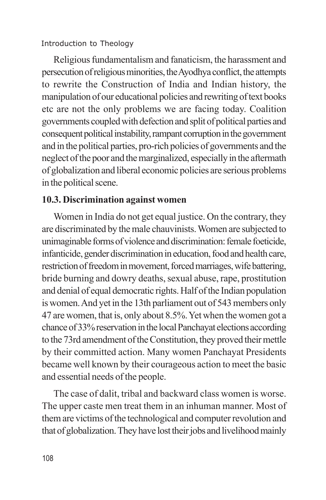Religious fundamentalism and fanaticism, the harassment and persecution of religious minorities, the Ayodhya conflict, the attempts to rewrite the Construction of India and Indian history, the manipulation of our educational policies and rewriting of text books etc are not the only problems we are facing today. Coalition governments coupled with defection and split of political parties and consequent political instability, rampant corruption in the government and in the political parties, pro-rich policies of governments and the neglect of the poor and the marginalized, especially in the aftermath of globalization and liberal economic policies are serious problems in the political scene.

## **10.3. Discrimination against women**

Women in India do not get equal justice. On the contrary, they are discriminated by the male chauvinists. Women are subjected to unimaginable forms of violence and discrimination: female foeticide, infanticide, gender discrimination in education, food and health care, restriction of freedom in movement, forced marriages, wife battering, bride burning and dowry deaths, sexual abuse, rape, prostitution and denial of equal democratic rights. Half of the Indian population is women. And yet in the 13th parliament out of 543 members only 47 are women, that is, only about 8.5%. Yet when the women got a chance of 33% reservation in the local Panchayat elections according to the 73rd amendment of the Constitution, they proved their mettle by their committed action. Many women Panchayat Presidents became well known by their courageous action to meet the basic and essential needs of the people.

The case of dalit, tribal and backward class women is worse. The upper caste men treat them in an inhuman manner. Most of them are victims of the technological and computer revolution and that of globalization. They have lost their jobs and livelihood mainly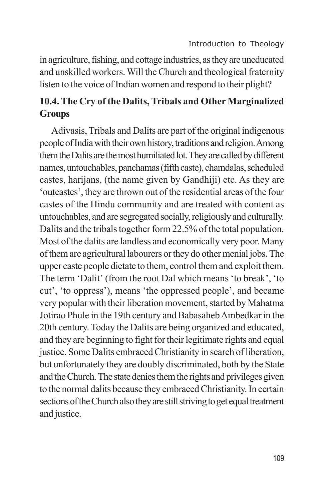in agriculture, fishing, and cottage industries, as they are uneducated and unskilled workers. Will the Church and theological fraternity listen to the voice of Indian women and respond to their plight?

## **10.4. The Cry of the Dalits, Tribals and Other Marginalized Groups**

Adivasis, Tribals and Dalits are part of the original indigenous people of India with their own history, traditions and religion. Among them the Dalits are the most humiliated lot. They are called by different names, untouchables, panchamas (fifth caste), chamdalas, scheduled castes, harijans, (the name given by Gandhiji) etc. As they are 'outcastes', they are thrown out of the residential areas of the four castes of the Hindu community and are treated with content as untouchables, and are segregated socially, religiously and culturally. Dalits and the tribals together form 22.5% of the total population. Most of the dalits are landless and economically very poor. Many of them are agricultural labourers or they do other menial jobs. The upper caste people dictate to them, control them and exploit them. The term 'Dalit' (from the root Dal which means 'to break', 'to cut', 'to oppress'), means 'the oppressed people', and became very popular with their liberation movement, started by Mahatma Jotirao Phule in the 19th century and Babasaheb Ambedkar in the 20th century. Today the Dalits are being organized and educated, and they are beginning to fight for their legitimate rights and equal justice. Some Dalits embraced Christianity in search of liberation, but unfortunately they are doubly discriminated, both by the State and the Church. The state denies them the rights and privileges given to the normal dalits because they embraced Christianity. In certain sections of the Church also they are still striving to get equal treatment and justice.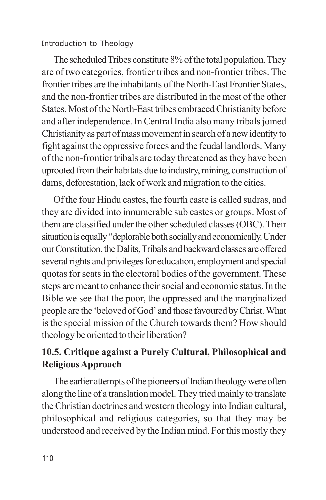The scheduled Tribes constitute 8% of the total population. They are of two categories, frontier tribes and non-frontier tribes. The frontier tribes are the inhabitants of the North-East Frontier States, and the non-frontier tribes are distributed in the most of the other States. Most of the North-East tribes embraced Christianity before and after independence. In Central India also many tribals joined Christianity as part of mass movement in search of a new identity to fight against the oppressive forces and the feudal landlords. Many of the non-frontier tribals are today threatened as they have been uprooted from their habitats due to industry, mining, construction of dams, deforestation, lack of work and migration to the cities.

Of the four Hindu castes, the fourth caste is called sudras, and they are divided into innumerable sub castes or groups. Most of them are classified under the other scheduled classes (OBC). Their situation is equally "deplorable both socially and economically. Under our Constitution, the Dalits, Tribals and backward classes are offered several rights and privileges for education, employment and special quotas for seats in the electoral bodies of the government. These steps are meant to enhance their social and economic status. In the Bible we see that the poor, the oppressed and the marginalized people are the 'beloved of God' and those favoured by Christ. What is the special mission of the Church towards them? How should theology be oriented to their liberation?

## **10.5. Critique against a Purely Cultural, Philosophical and Religious Approach**

The earlier attempts of the pioneers of Indian theology were often along the line of a translation model. They tried mainly to translate the Christian doctrines and western theology into Indian cultural, philosophical and religious categories, so that they may be understood and received by the Indian mind. For this mostly they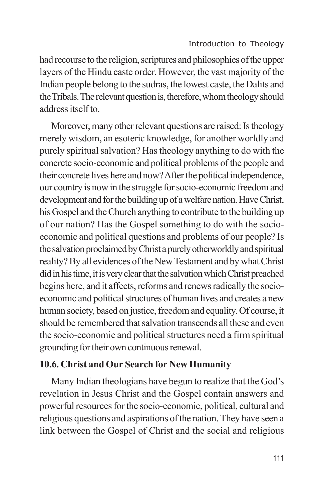had recourse to the religion, scriptures and philosophies of the upper layers of the Hindu caste order. However, the vast majority of the Indian people belong to the sudras, the lowest caste, the Dalits and the Tribals. The relevant question is, therefore, whom theology should address itself to.

Moreover, many other relevant questions are raised: Is theology merely wisdom, an esoteric knowledge, for another worldly and purely spiritual salvation? Has theology anything to do with the concrete socio-economic and political problems of the people and their concrete lives here and now? After the political independence, our country is now in the struggle for socio-economic freedom and development and for the building up of a welfare nation. Have Christ, his Gospel and the Church anything to contribute to the building up of our nation? Has the Gospel something to do with the socioeconomic and political questions and problems of our people? Is the salvation proclaimed by Christ a purely otherworldly and spiritual reality? By all evidences of the New Testament and by what Christ did in his time, it is very clear that the salvation which Christ preached begins here, and it affects, reforms and renews radically the socioeconomic and political structures of human lives and creates a new human society, based on justice, freedom and equality. Of course, it should be remembered that salvation transcends all these and even the socio-economic and political structures need a firm spiritual grounding for their own continuous renewal.

## **10.6. Christ and Our Search for New Humanity**

Many Indian theologians have begun to realize that the God's revelation in Jesus Christ and the Gospel contain answers and powerful resources for the socio-economic, political, cultural and religious questions and aspirations of the nation. They have seen a link between the Gospel of Christ and the social and religious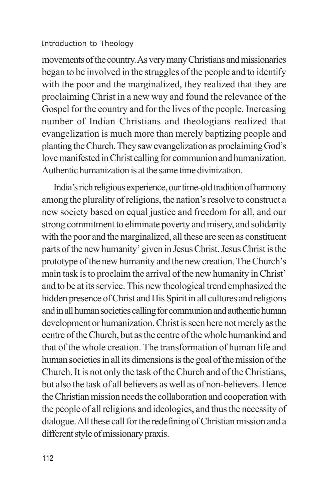movements of the country. As very many Christians and missionaries began to be involved in the struggles of the people and to identify with the poor and the marginalized, they realized that they are proclaiming Christ in a new way and found the relevance of the Gospel for the country and for the lives of the people. Increasing number of Indian Christians and theologians realized that evangelization is much more than merely baptizing people and planting the Church. They saw evangelization as proclaiming God's love manifested in Christ calling for communion and humanization. Authentic humanization is at the same time divinization.

India's rich religious experience, our time-old tradition of harmony among the plurality of religions, the nation's resolve to construct a new society based on equal justice and freedom for all, and our strong commitment to eliminate poverty and misery, and solidarity with the poor and the marginalized, all these are seen as constituent parts of the new humanity' given in Jesus Christ. Jesus Christ is the prototype of the new humanity and the new creation. The Church's main task is to proclaim the arrival of the new humanity in Christ' and to be at its service. This new theological trend emphasized the hidden presence of Christ and His Spirit in all cultures and religions and in all human societies calling for communion and authentic human development or humanization. Christ is seen here not merely as the centre of the Church, but as the centre of the whole humankind and that of the whole creation. The transformation of human life and human societies in all its dimensions is the goal of the mission of the Church. It is not only the task of the Church and of the Christians, but also the task of all believers as well as of non-believers. Hence the Christian mission needs the collaboration and cooperation with the people of all religions and ideologies, and thus the necessity of dialogue. All these call for the redefining of Christian mission and a different style of missionary praxis.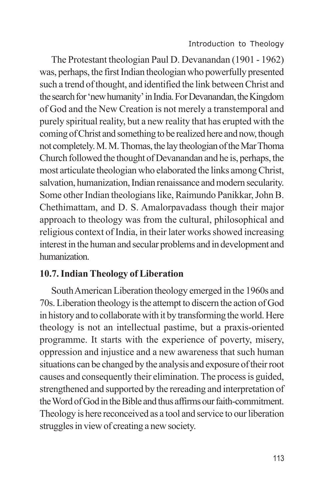The Protestant theologian Paul D. Devanandan (1901 - 1962) was, perhaps, the first Indian theologian who powerfully presented such a trend of thought, and identified the link between Christ and the search for 'new humanity' in India. For Devanandan, the Kingdom of God and the New Creation is not merely a transtemporal and purely spiritual reality, but a new reality that has erupted with the coming of Christ and something to be realized here and now, though not completely. M. M. Thomas, the lay theologian of the Mar Thoma Church followed the thought of Devanandan and he is, perhaps, the most articulate theologian who elaborated the links among Christ, salvation, humanization, Indian renaissance and modern secularity. Some other Indian theologians like, Raimundo Panikkar, John B. Chethimattam, and D. S. Amalorpavadass though their major approach to theology was from the cultural, philosophical and religious context of India, in their later works showed increasing interest in the human and secular problems and in development and humanization.

## **10.7. Indian Theology of Liberation**

South American Liberation theology emerged in the 1960s and 70s. Liberation theology is the attempt to discern the action of God in history and to collaborate with it by transforming the world. Here theology is not an intellectual pastime, but a praxis-oriented programme. It starts with the experience of poverty, misery, oppression and injustice and a new awareness that such human situations can be changed by the analysis and exposure of their root causes and consequently their elimination. The process is guided, strengthened and supported by the rereading and interpretation of the Word of God in the Bible and thus affirms our faith-commitment. Theology is here reconceived as a tool and service to our liberation struggles in view of creating a new society.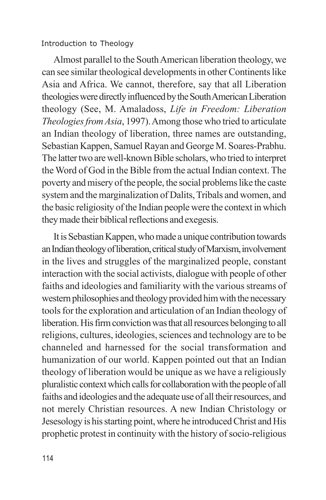Almost parallel to the South American liberation theology, we can see similar theological developments in other Continents like Asia and Africa. We cannot, therefore, say that all Liberation theologies were directly influenced by the South American Liberation theology (See, M. Amaladoss, *Life in Freedom: Liberation Theologies from Asia*, 1997). Among those who tried to articulate an Indian theology of liberation, three names are outstanding, Sebastian Kappen, Samuel Rayan and George M. Soares-Prabhu. The latter two are well-known Bible scholars, who tried to interpret the Word of God in the Bible from the actual Indian context. The poverty and misery of the people, the social problems like the caste system and the marginalization of Dalits, Tribals and women, and the basic religiosity of the Indian people were the context in which they made their biblical reflections and exegesis.

It is Sebastian Kappen, who made a unique contribution towards an Indian theology of liberation, critical study of Marxism, involvement in the lives and struggles of the marginalized people, constant interaction with the social activists, dialogue with people of other faiths and ideologies and familiarity with the various streams of western philosophies and theology provided him with the necessary tools for the exploration and articulation of an Indian theology of liberation. His firm conviction was that all resources belonging to all religions, cultures, ideologies, sciences and technology are to be channeled and harnessed for the social transformation and humanization of our world. Kappen pointed out that an Indian theology of liberation would be unique as we have a religiously pluralistic context which calls for collaboration with the people of all faiths and ideologies and the adequate use of all their resources, and not merely Christian resources. A new Indian Christology or Jesesology is his starting point, where he introduced Christ and His prophetic protest in continuity with the history of socio-religious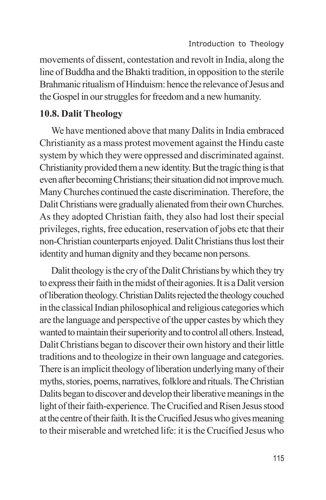movements of dissent, contestation and revolt in India, along the line of Buddha and the Bhakti tradition, in opposition to the sterile Brahmanic ritualism of Hinduism: hence the relevance of Jesus and the Gospel in our struggles for freedom and a new humanity.

### **10.8. Dalit Theology**

We have mentioned above that many Dalits in India embraced Christianity as a mass protest movement against the Hindu caste system by which they were oppressed and discriminated against. Christianity provided them a new identity. But the tragic thing is that even after becoming Christians; their situation did not improve much. Many Churches continued the caste discrimination. Therefore, the Dalit Christians were gradually alienated from their own Churches. As they adopted Christian faith, they also had lost their special privileges, rights, free education, reservation of jobs etc that their non-Christian counterparts enjoyed. Dalit Christians thus lost their identity and human dignity and they became non persons.

Dalit theology is the cry of the Dalit Christians by which they try to express their faith in the midst of their agonies. It is a Dalit version of liberation theology. Christian Dalits rejected the theology couched in the classical Indian philosophical and religious categories which are the language and perspective of the upper castes by which they wanted to maintain their superiority and to control all others. Instead, Dalit Christians began to discover their own history and their little traditions and to theologize in their own language and categories. There is an implicit theology of liberation underlying many of their myths, stories, poems, narratives, folklore and rituals. The Christian Dalits began to discover and develop their liberative meanings in the light of their faith-experience. The Crucified and Risen Jesus stood at the centre of their faith. It is the Crucified Jesus who gives meaning to their miserable and wretched life: it is the Crucified Jesus who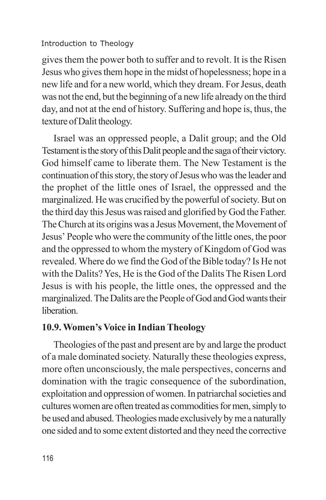gives them the power both to suffer and to revolt. It is the Risen Jesus who gives them hope in the midst of hopelessness; hope in a new life and for a new world, which they dream. For Jesus, death was not the end, but the beginning of a new life already on the third day, and not at the end of history. Suffering and hope is, thus, the texture of Dalit theology.

Israel was an oppressed people, a Dalit group; and the Old Testament is the story of this Dalit people and the saga of their victory. God himself came to liberate them. The New Testament is the continuation of this story, the story of Jesus who was the leader and the prophet of the little ones of Israel, the oppressed and the marginalized. He was crucified by the powerful of society. But on the third day this Jesus was raised and glorified by God the Father. The Church at its origins was a Jesus Movement, the Movement of Jesus' People who were the community of the little ones, the poor and the oppressed to whom the mystery of Kingdom of God was revealed. Where do we find the God of the Bible today? Is He not with the Dalits? Yes, He is the God of the Dalits The Risen Lord Jesus is with his people, the little ones, the oppressed and the marginalized. The Dalits are the People of God and God wants their **liberation** 

## **10.9. Women's Voice in Indian Theology**

Theologies of the past and present are by and large the product of a male dominated society. Naturally these theologies express, more often unconsciously, the male perspectives, concerns and domination with the tragic consequence of the subordination, exploitation and oppression of women. In patriarchal societies and cultures women are often treated as commodities for men, simply to be used and abused. Theologies made exclusively by me a naturally one sided and to some extent distorted and they need the corrective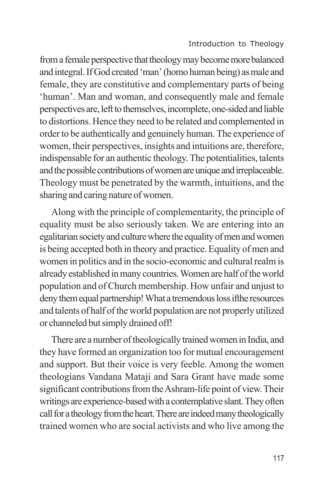from a female perspective that theology may become more balanced and integral. If God created 'man' (homo human being) as male and female, they are constitutive and complementary parts of being 'human'. Man and woman, and consequently male and female perspectives are, left to themselves, incomplete, one-sided and liable to distortions. Hence they need to be related and complemented in order to be authentically and genuinely human. The experience of women, their perspectives, insights and intuitions are, therefore, indispensable for an authentic theology. The potentialities, talents and the possible contributions of women are unique and irreplaceable. Theology must be penetrated by the warmth, intuitions, and the sharing and caring nature of women.

Along with the principle of complementarity, the principle of equality must be also seriously taken. We are entering into an egalitarian society and culture where the equality of men and women is being accepted both in theory and practice. Equality of men and women in politics and in the socio-economic and cultural realm is already established in many countries. Women are half of the world population and of Church membership. How unfair and unjust to deny them equal partnership! What a tremendous loss ifthe resources and talents of half of the world population are not properly utilized or channeled but simply drained off!

There are a number of theologically trained women in India, and they have formed an organization too for mutual encouragement and support. But their voice is very feeble. Among the women theologians Vandana Mataji and Sara Grant have made some significant contributions from the Ashram-life point of view. Their writings are experience-based with a contemplative slant. They often call for a theology from the heart. There are indeed many theologically trained women who are social activists and who live among the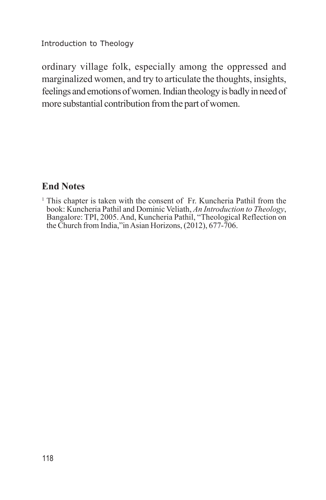ordinary village folk, especially among the oppressed and marginalized women, and try to articulate the thoughts, insights, feelings and emotions of women. Indian theology is badly in need of more substantial contribution from the part of women.

## **End Notes**

<sup>1</sup> This chapter is taken with the consent of Fr. Kuncheria Pathil from the book: Kuncheria Pathil and Dominic Veliath, *An Introduction to Theology*, Bangalore: TPI, 2005. And, Kuncheria Pathil, "Theological Reflection on the Church from India,"in Asian Horizons, (2012), 677-706.